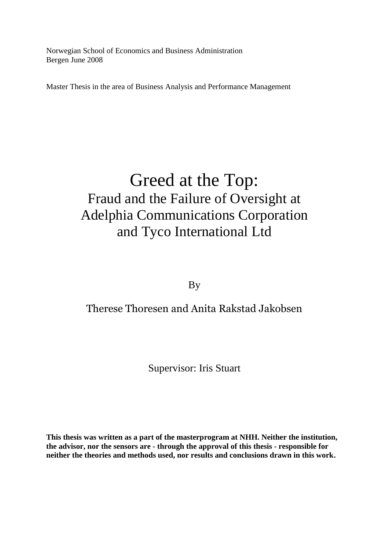Norwegian School of Economics and Business Administration Bergen June 2008

Master Thesis in the area of Business Analysis and Performance Management

# Greed at the Top: Fraud and the Failure of Oversight at Adelphia Communications Corporation and Tyco International Ltd

By

## Therese Thoresen and Anita Rakstad Jakobsen

Supervisor: Iris Stuart

**This thesis was written as a part of the masterprogram at NHH. Neither the institution, the advisor, nor the sensors are - through the approval of this thesis - responsible for neither the theories and methods used, nor results and conclusions drawn in this work.**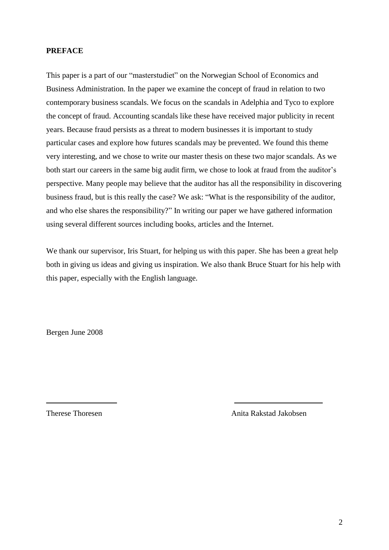#### **PREFACE**

This paper is a part of our "masterstudiet" on the Norwegian School of Economics and Business Administration. In the paper we examine the concept of fraud in relation to two contemporary business scandals. We focus on the scandals in Adelphia and Tyco to explore the concept of fraud. Accounting scandals like these have received major publicity in recent years. Because fraud persists as a threat to modern businesses it is important to study particular cases and explore how futures scandals may be prevented. We found this theme very interesting, and we chose to write our master thesis on these two major scandals. As we both start our careers in the same big audit firm, we chose to look at fraud from the auditor's perspective. Many people may believe that the auditor has all the responsibility in discovering business fraud, but is this really the case? We ask: "What is the responsibility of the auditor, and who else shares the responsibility?" In writing our paper we have gathered information using several different sources including books, articles and the Internet.

We thank our supervisor, Iris Stuart, for helping us with this paper. She has been a great help both in giving us ideas and giving us inspiration. We also thank Bruce Stuart for his help with this paper, especially with the English language.

Bergen June 2008

Therese Thoresen **Anita Rakstad Jakobsen** Anita Rakstad Jakobsen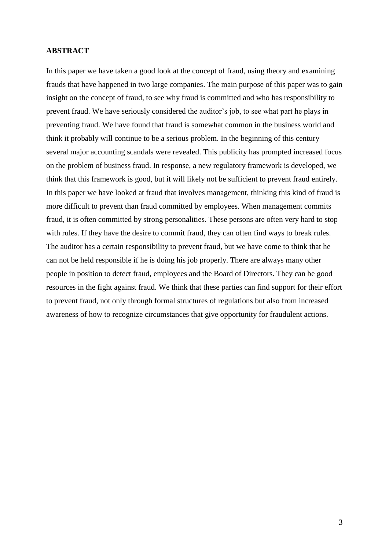#### **ABSTRACT**

In this paper we have taken a good look at the concept of fraud, using theory and examining frauds that have happened in two large companies. The main purpose of this paper was to gain insight on the concept of fraud, to see why fraud is committed and who has responsibility to prevent fraud. We have seriously considered the auditor's job, to see what part he plays in preventing fraud. We have found that fraud is somewhat common in the business world and think it probably will continue to be a serious problem. In the beginning of this century several major accounting scandals were revealed. This publicity has prompted increased focus on the problem of business fraud. In response, a new regulatory framework is developed, we think that this framework is good, but it will likely not be sufficient to prevent fraud entirely. In this paper we have looked at fraud that involves management, thinking this kind of fraud is more difficult to prevent than fraud committed by employees. When management commits fraud, it is often committed by strong personalities. These persons are often very hard to stop with rules. If they have the desire to commit fraud, they can often find ways to break rules. The auditor has a certain responsibility to prevent fraud, but we have come to think that he can not be held responsible if he is doing his job properly. There are always many other people in position to detect fraud, employees and the Board of Directors. They can be good resources in the fight against fraud. We think that these parties can find support for their effort to prevent fraud, not only through formal structures of regulations but also from increased awareness of how to recognize circumstances that give opportunity for fraudulent actions.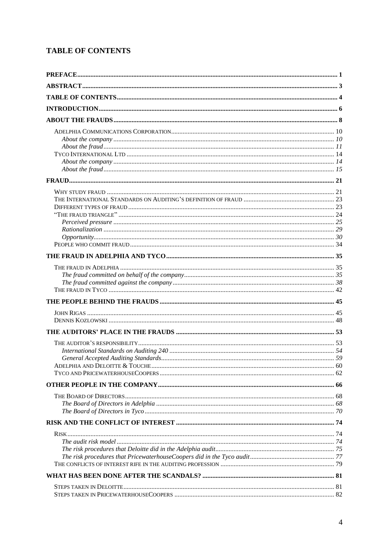### **TABLE OF CONTENTS**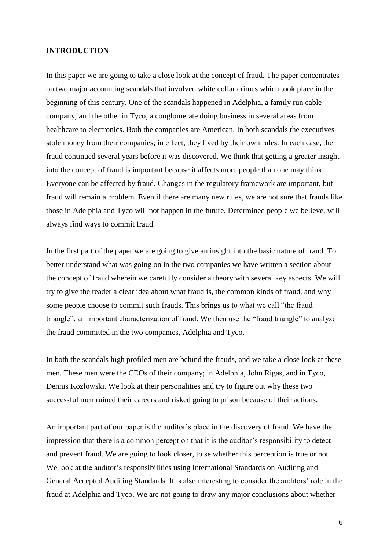#### **INTRODUCTION**

In this paper we are going to take a close look at the concept of fraud. The paper concentrates on two major accounting scandals that involved white collar crimes which took place in the beginning of this century. One of the scandals happened in Adelphia, a family run cable company, and the other in Tyco, a conglomerate doing business in several areas from healthcare to electronics. Both the companies are American. In both scandals the executives stole money from their companies; in effect, they lived by their own rules. In each case, the fraud continued several years before it was discovered. We think that getting a greater insight into the concept of fraud is important because it affects more people than one may think. Everyone can be affected by fraud. Changes in the regulatory framework are important, but fraud will remain a problem. Even if there are many new rules, we are not sure that frauds like those in Adelphia and Tyco will not happen in the future. Determined people we believe, will always find ways to commit fraud.

In the first part of the paper we are going to give an insight into the basic nature of fraud. To better understand what was going on in the two companies we have written a section about the concept of fraud wherein we carefully consider a theory with several key aspects. We will try to give the reader a clear idea about what fraud is, the common kinds of fraud, and why some people choose to commit such frauds. This brings us to what we call "the fraud triangle", an important characterization of fraud. We then use the "fraud triangle" to analyze the fraud committed in the two companies, Adelphia and Tyco.

In both the scandals high profiled men are behind the frauds, and we take a close look at these men. These men were the CEOs of their company; in Adelphia, John Rigas, and in Tyco, Dennis Kozlowski. We look at their personalities and try to figure out why these two successful men ruined their careers and risked going to prison because of their actions.

An important part of our paper is the auditor's place in the discovery of fraud. We have the impression that there is a common perception that it is the auditor's responsibility to detect and prevent fraud. We are going to look closer, to se whether this perception is true or not. We look at the auditor's responsibilities using International Standards on Auditing and General Accepted Auditing Standards. It is also interesting to consider the auditors' role in the fraud at Adelphia and Tyco. We are not going to draw any major conclusions about whether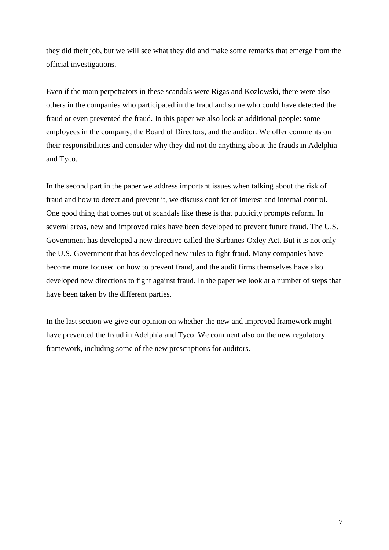they did their job, but we will see what they did and make some remarks that emerge from the official investigations.

Even if the main perpetrators in these scandals were Rigas and Kozlowski, there were also others in the companies who participated in the fraud and some who could have detected the fraud or even prevented the fraud. In this paper we also look at additional people: some employees in the company, the Board of Directors, and the auditor. We offer comments on their responsibilities and consider why they did not do anything about the frauds in Adelphia and Tyco.

In the second part in the paper we address important issues when talking about the risk of fraud and how to detect and prevent it, we discuss conflict of interest and internal control. One good thing that comes out of scandals like these is that publicity prompts reform. In several areas, new and improved rules have been developed to prevent future fraud. The U.S. Government has developed a new directive called the Sarbanes-Oxley Act. But it is not only the U.S. Government that has developed new rules to fight fraud. Many companies have become more focused on how to prevent fraud, and the audit firms themselves have also developed new directions to fight against fraud. In the paper we look at a number of steps that have been taken by the different parties.

In the last section we give our opinion on whether the new and improved framework might have prevented the fraud in Adelphia and Tyco. We comment also on the new regulatory framework, including some of the new prescriptions for auditors.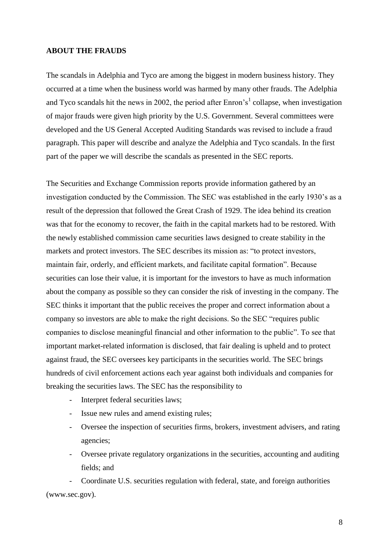#### **ABOUT THE FRAUDS**

The scandals in Adelphia and Tyco are among the biggest in modern business history. They occurred at a time when the business world was harmed by many other frauds. The Adelphia and Tyco scandals hit the news in 2002, the period after Enron's<sup>1</sup> collapse, when investigation of major frauds were given high priority by the U.S. Government. Several committees were developed and the US General Accepted Auditing Standards was revised to include a fraud paragraph. This paper will describe and analyze the Adelphia and Tyco scandals. In the first part of the paper we will describe the scandals as presented in the SEC reports.

The Securities and Exchange Commission reports provide information gathered by an investigation conducted by the Commission. The SEC was established in the early 1930's as a result of the depression that followed the Great Crash of 1929. The idea behind its creation was that for the economy to recover, the faith in the capital markets had to be restored. With the newly established commission came securities laws designed to create stability in the markets and protect investors. The SEC describes its mission as: "to protect investors, maintain fair, orderly, and efficient markets, and facilitate capital formation". Because securities can lose their value, it is important for the investors to have as much information about the company as possible so they can consider the risk of investing in the company. The SEC thinks it important that the public receives the proper and correct information about a company so investors are able to make the right decisions. So the SEC "requires public companies to disclose meaningful financial and other information to the public". To see that important market-related information is disclosed, that fair dealing is upheld and to protect against fraud, the SEC oversees key participants in the securities world. The SEC brings hundreds of civil enforcement actions each year against both individuals and companies for breaking the securities laws. The SEC has the responsibility to

- Interpret federal securities laws;
- Issue new rules and amend existing rules;
- Oversee the inspection of securities firms, brokers, investment advisers, and rating agencies;
- Oversee private regulatory organizations in the securities, accounting and auditing fields; and

- Coordinate U.S. securities regulation with federal, state, and foreign authorities (www.sec.gov).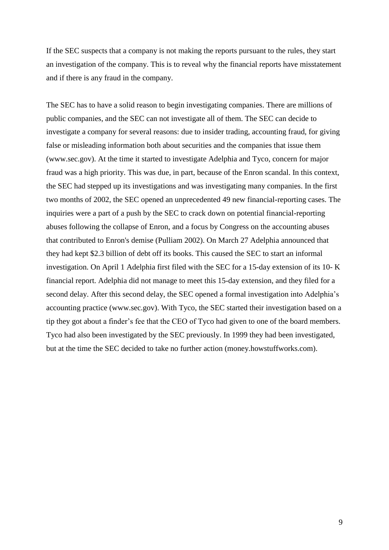If the SEC suspects that a company is not making the reports pursuant to the rules, they start an investigation of the company. This is to reveal why the financial reports have misstatement and if there is any fraud in the company.

The SEC has to have a solid reason to begin investigating companies. There are millions of public companies, and the SEC can not investigate all of them. The SEC can decide to investigate a company for several reasons: due to insider trading, accounting fraud, for giving false or misleading information both about securities and the companies that issue them (www.sec.gov). At the time it started to investigate Adelphia and Tyco, concern for major fraud was a high priority. This was due, in part, because of the Enron scandal. In this context, the SEC had stepped up its investigations and was investigating many companies. In the first two months of 2002, the SEC opened an unprecedented 49 new financial-reporting cases. The inquiries were a part of a push by the SEC to crack down on potential financial-reporting abuses following the collapse of Enron, and a focus by Congress on the accounting abuses that contributed to Enron's demise [\(Pulliam](javascript:void(0);) [2002\)](javascript:void(0);). On March 27 Adelphia announced that they had kept \$2.3 billion of debt off its books. This caused the SEC to start an informal investigation. On April 1 Adelphia first filed with the SEC for a 15-day extension of its 10- K financial report. Adelphia did not manage to meet this 15-day extension, and they filed for a second delay. After this second delay, the SEC opened a formal investigation into Adelphia's accounting practice (www.sec.gov). With Tyco, the SEC started their investigation based on a tip they got about a finder's fee that the CEO of Tyco had given to one of the board members. Tyco had also been investigated by the SEC previously. In 1999 they had been investigated, but at the time the SEC decided to take no further action (money.howstuffworks.com).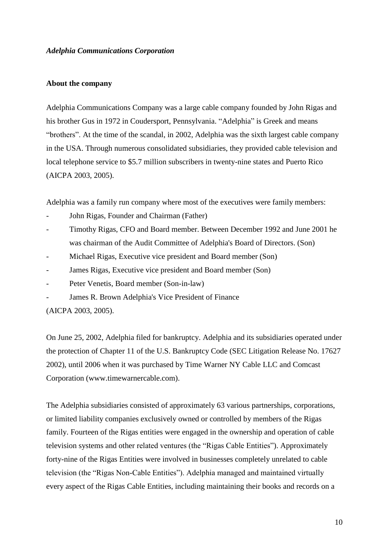#### *Adelphia Communications Corporation*

#### **About the company**

Adelphia Communications Company was a large cable company founded by John Rigas and his brother Gus in 1972 in Coudersport, Pennsylvania. "Adelphia" is Greek and means "brothers". At the time of the scandal, in 2002, Adelphia was the sixth largest cable company in the USA. Through numerous consolidated subsidiaries, they provided cable television and local telephone service to \$5.7 million subscribers in twenty-nine states and Puerto Rico (AICPA 2003, 2005).

Adelphia was a family run company where most of the executives were family members:

- John Rigas, Founder and Chairman (Father)
- Timothy Rigas, CFO and Board member. Between December 1992 and June 2001 he was chairman of the Audit Committee of Adelphia's Board of Directors. (Son)
- Michael Rigas, Executive vice president and Board member (Son)
- James Rigas, Executive vice president and Board member (Son)
- Peter Venetis, Board member (Son-in-law)
- James R. Brown Adelphia's Vice President of Finance

(AICPA 2003, 2005).

On June 25, 2002, Adelphia filed for bankruptcy. Adelphia and its subsidiaries operated under the protection of Chapter 11 of the U.S. Bankruptcy Code (SEC Litigation Release No. 17627 2002), until 2006 when it was purchased by Time Warner NY Cable LLC and Comcast Corporation (www.timewarnercable.com).

The Adelphia subsidiaries consisted of approximately 63 various partnerships, corporations, or limited liability companies exclusively owned or controlled by members of the Rigas family. Fourteen of the Rigas entities were engaged in the ownership and operation of cable television systems and other related ventures (the "Rigas Cable Entities"). Approximately forty-nine of the Rigas Entities were involved in businesses completely unrelated to cable television (the "Rigas Non-Cable Entities"). Adelphia managed and maintained virtually every aspect of the Rigas Cable Entities, including maintaining their books and records on a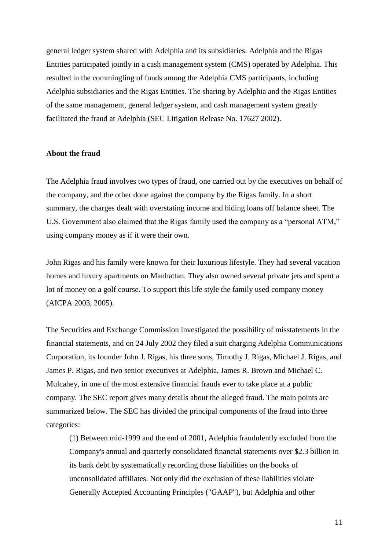general ledger system shared with Adelphia and its subsidiaries. Adelphia and the Rigas Entities participated jointly in a cash management system (CMS) operated by Adelphia. This resulted in the commingling of funds among the Adelphia CMS participants, including Adelphia subsidiaries and the Rigas Entities. The sharing by Adelphia and the Rigas Entities of the same management, general ledger system, and cash management system greatly facilitated the fraud at Adelphia (SEC Litigation Release No. 17627 2002).

#### **About the fraud**

The Adelphia fraud involves two types of fraud, one carried out by the executives on behalf of the company, and the other done against the company by the Rigas family. In a short summary, the charges dealt with overstating income and hiding loans off balance sheet. The U.S. Government also claimed that the Rigas family used the company as a "personal ATM," using company money as if it were their own.

John Rigas and his family were known for their luxurious lifestyle. They had several vacation homes and luxury apartments on Manhattan. They also owned several private jets and spent a lot of money on a golf course. To support this life style the family used company money (AICPA 2003, 2005).

The Securities and Exchange Commission investigated the possibility of misstatements in the financial statements, and on 24 July 2002 they filed a suit charging Adelphia Communications Corporation, its founder John J. Rigas, his three sons, Timothy J. Rigas, Michael J. Rigas, and James P. Rigas, and two senior executives at Adelphia, James R. Brown and Michael C. Mulcahey, in one of the most extensive financial frauds ever to take place at a public company. The SEC report gives many details about the alleged fraud. The main points are summarized below. The SEC has divided the principal components of the fraud into three categories:

(1) Between mid-1999 and the end of 2001, Adelphia fraudulently excluded from the Company's annual and quarterly consolidated financial statements over \$2.3 billion in its bank debt by systematically recording those liabilities on the books of unconsolidated affiliates. Not only did the exclusion of these liabilities violate Generally Accepted Accounting Principles ("GAAP"), but Adelphia and other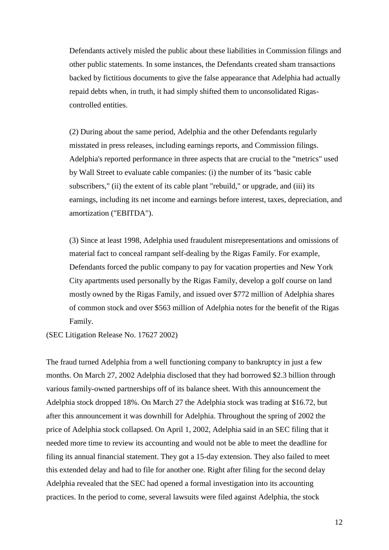Defendants actively misled the public about these liabilities in Commission filings and other public statements. In some instances, the Defendants created sham transactions backed by fictitious documents to give the false appearance that Adelphia had actually repaid debts when, in truth, it had simply shifted them to unconsolidated Rigascontrolled entities.

(2) During about the same period, Adelphia and the other Defendants regularly misstated in press releases, including earnings reports, and Commission filings. Adelphia's reported performance in three aspects that are crucial to the "metrics" used by Wall Street to evaluate cable companies: (i) the number of its "basic cable subscribers," (ii) the extent of its cable plant "rebuild," or upgrade, and (iii) its earnings, including its net income and earnings before interest, taxes, depreciation, and amortization ("EBITDA").

(3) Since at least 1998, Adelphia used fraudulent misrepresentations and omissions of material fact to conceal rampant self-dealing by the Rigas Family. For example, Defendants forced the public company to pay for vacation properties and New York City apartments used personally by the Rigas Family, develop a golf course on land mostly owned by the Rigas Family, and issued over \$772 million of Adelphia shares of common stock and over \$563 million of Adelphia notes for the benefit of the Rigas Family.

(SEC Litigation Release No. 17627 2002)

The fraud turned Adelphia from a well functioning company to bankruptcy in just a few months. On March 27, 2002 Adelphia disclosed that they had borrowed \$2.3 billion through various family-owned partnerships off of its balance sheet. With this announcement the Adelphia stock dropped 18%. On March 27 the Adelphia stock was trading at \$16.72, but after this announcement it was downhill for Adelphia. Throughout the spring of 2002 the price of Adelphia stock collapsed. On April 1, 2002, Adelphia said in an SEC filing that it needed more time to review its accounting and would not be able to meet the deadline for filing its annual financial statement. They got a 15-day extension. They also failed to meet this extended delay and had to file for another one. Right after filing for the second delay Adelphia revealed that the SEC had opened a formal investigation into its accounting practices. In the period to come, several lawsuits were filed against Adelphia, the stock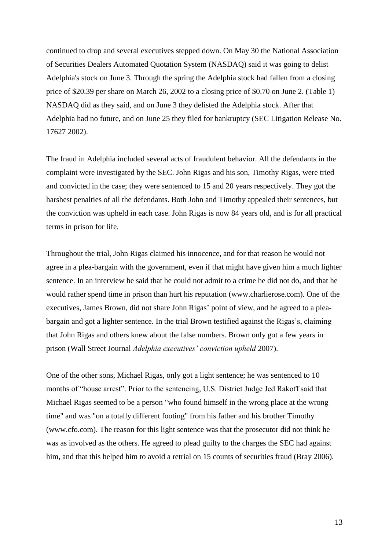continued to drop and several executives stepped down. On May 30 the National Association of Securities Dealers Automated Quotation System (NASDAQ) said it was going to delist Adelphia's stock on June 3. Through the spring the Adelphia stock had fallen from a closing price of \$20.39 per share on March 26, 2002 to a closing price of \$0.70 on June 2. (Table 1) NASDAQ did as they said, and on June 3 they delisted the Adelphia stock. After that Adelphia had no future, and on June 25 they filed for bankruptcy (SEC Litigation Release No. 17627 2002).

The fraud in Adelphia included several acts of fraudulent behavior. All the defendants in the complaint were investigated by the SEC. John Rigas and his son, Timothy Rigas, were tried and convicted in the case; they were sentenced to 15 and 20 years respectively. They got the harshest penalties of all the defendants. Both John and Timothy appealed their sentences, but the conviction was upheld in each case. John Rigas is now 84 years old, and is for all practical terms in prison for life.

Throughout the trial, John Rigas claimed his innocence, and for that reason he would not agree in a plea-bargain with the government, even if that might have given him a much lighter sentence. In an interview he said that he could not admit to a crime he did not do, and that he would rather spend time in prison than hurt his reputation [\(www.charlierose.com\)](http://www.charlierose.com/). One of the executives, James Brown, did not share John Rigas' point of view, and he agreed to a pleabargain and got a lighter sentence. In the trial Brown testified against the Rigas's, claiming that John Rigas and others knew about the false numbers. Brown only got a few years in prison (Wall Street Journal *Adelphia executives' conviction upheld* 2007).

One of the other sons, Michael Rigas, only got a light sentence; he was sentenced to 10 months of "house arrest". Prior to the sentencing, U.S. District Judge Jed Rakoff said that Michael Rigas seemed to be a person "who found himself in the wrong place at the wrong time" and was "on a totally different footing" from his father and his brother Timothy (www.cfo.com). The reason for this light sentence was that the prosecutor did not think he was as involved as the others. He agreed to plead guilty to the charges the SEC had against him, and that this helped him to avoid a retrial on 15 counts of securities fraud (Bray 2006).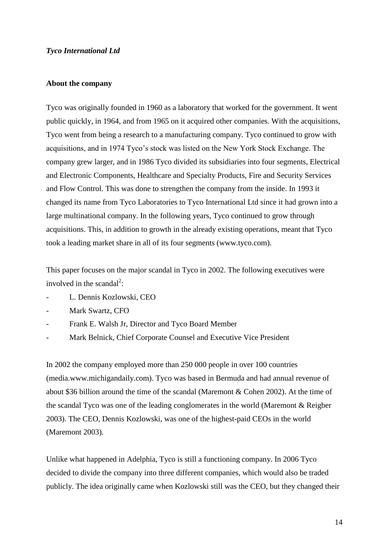#### *Tyco International Ltd*

#### **About the company**

Tyco was originally founded in 1960 as a laboratory that worked for the government. It went public quickly, in 1964, and from 1965 on it acquired other companies. With the acquisitions, Tyco went from being a research to a manufacturing company. Tyco continued to grow with acquisitions, and in 1974 Tyco's stock was listed on the New York Stock Exchange. The company grew larger, and in 1986 Tyco divided its subsidiaries into four segments, Electrical and Electronic Components, Healthcare and Specialty Products, Fire and Security Services and Flow Control. This was done to strengthen the company from the inside. In 1993 it changed its name from Tyco Laboratories to Tyco International Ltd since it had grown into a large multinational company. In the following years, Tyco continued to grow through acquisitions. This, in addition to growth in the already existing operations, meant that Tyco took a leading market share in all of its four segments (www.tyco.com).

This paper focuses on the major scandal in Tyco in 2002. The following executives were involved in the scandal<sup>2</sup>:

- L. Dennis Kozlowski, CEO
- Mark Swartz, CFO
- Frank E. Walsh Jr, Director and Tyco Board Member
- Mark Belnick, Chief Corporate Counsel and Executive Vice President

In 2002 the company employed more than 250 000 people in over 100 countries (media.www.michigandaily.com). Tyco was based in Bermuda and had annual revenue of about \$36 billion around the time of the scandal (Maremont & Cohen 2002). At the time of the scandal Tyco was one of the leading conglomerates in the world (Maremont & Reigber 2003). The CEO, Dennis Kozlowski, was one of the highest-paid CEOs in the world (Maremont 2003).

Unlike what happened in Adelphia, Tyco is still a functioning company. In 2006 Tyco decided to divide the company into three different companies, which would also be traded publicly. The idea originally came when Kozlowski still was the CEO, but they changed their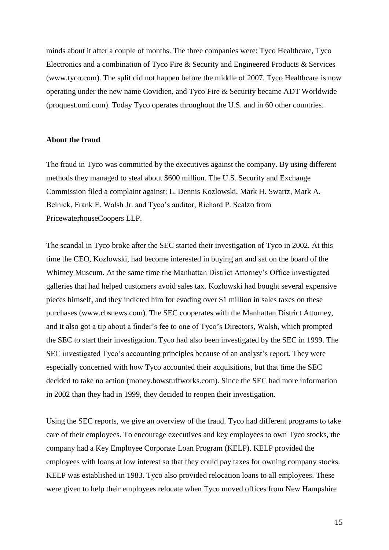minds about it after a couple of months. The three companies were: Tyco Healthcare, Tyco Electronics and a combination of Tyco Fire & Security and Engineered Products & Services (www.tyco.com). The split did not happen before the middle of 2007. Tyco Healthcare is now operating under the new name Covidien, and Tyco Fire & Security became ADT Worldwide (proquest.umi.com). Today Tyco operates throughout the U.S. and in 60 other countries.

#### **About the fraud**

The fraud in Tyco was committed by the executives against the company. By using different methods they managed to steal about \$600 million. The U.S. Security and Exchange Commission filed a complaint against: L. Dennis Kozlowski, Mark H. Swartz, Mark A. Belnick, Frank E. Walsh Jr. and Tyco's auditor, Richard P. Scalzo from PricewaterhouseCoopers LLP.

The scandal in Tyco broke after the SEC started their investigation of Tyco in 2002. At this time the CEO, Kozlowski, had become interested in buying art and sat on the board of the Whitney Museum. At the same time the Manhattan District Attorney's Office investigated galleries that had helped customers avoid sales tax. Kozlowski had bought several expensive pieces himself, and they indicted him for evading over \$1 million in sales taxes on these purchases (www.cbsnews.com). The SEC cooperates with the Manhattan District Attorney, and it also got a tip about a finder's fee to one of Tyco's Directors, Walsh, which prompted the SEC to start their investigation. Tyco had also been investigated by the SEC in 1999. The SEC investigated Tyco's accounting principles because of an analyst's report. They were especially concerned with how Tyco accounted their acquisitions, but that time the SEC decided to take no action (money.howstuffworks.com). Since the SEC had more information in 2002 than they had in 1999, they decided to reopen their investigation.

Using the SEC reports, we give an overview of the fraud. Tyco had different programs to take care of their employees. To encourage executives and key employees to own Tyco stocks, the company had a Key Employee Corporate Loan Program (KELP). KELP provided the employees with loans at low interest so that they could pay taxes for owning company stocks. KELP was established in 1983. Tyco also provided relocation loans to all employees. These were given to help their employees relocate when Tyco moved offices from New Hampshire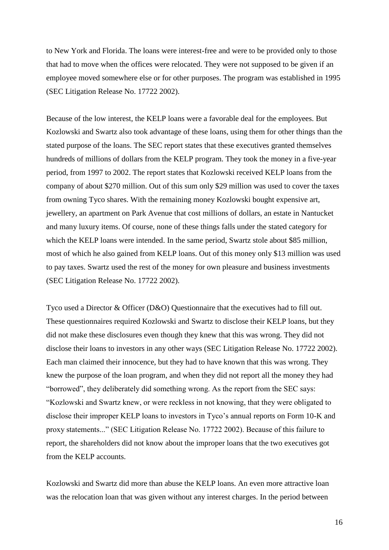to New York and Florida. The loans were interest-free and were to be provided only to those that had to move when the offices were relocated. They were not supposed to be given if an employee moved somewhere else or for other purposes. The program was established in 1995 (SEC Litigation Release No. 17722 2002).

Because of the low interest, the KELP loans were a favorable deal for the employees. But Kozlowski and Swartz also took advantage of these loans, using them for other things than the stated purpose of the loans. The SEC report states that these executives granted themselves hundreds of millions of dollars from the KELP program. They took the money in a five-year period, from 1997 to 2002. The report states that Kozlowski received KELP loans from the company of about \$270 million. Out of this sum only \$29 million was used to cover the taxes from owning Tyco shares. With the remaining money Kozlowski bought expensive art, jewellery, an apartment on Park Avenue that cost millions of dollars, an estate in Nantucket and many luxury items. Of course, none of these things falls under the stated category for which the KELP loans were intended. In the same period, Swartz stole about \$85 million, most of which he also gained from KELP loans. Out of this money only \$13 million was used to pay taxes. Swartz used the rest of the money for own pleasure and business investments (SEC Litigation Release No. 17722 2002).

Tyco used a Director & Officer (D&O) Questionnaire that the executives had to fill out. These questionnaires required Kozlowski and Swartz to disclose their KELP loans, but they did not make these disclosures even though they knew that this was wrong. They did not disclose their loans to investors in any other ways (SEC Litigation Release No. 17722 2002). Each man claimed their innocence, but they had to have known that this was wrong. They knew the purpose of the loan program, and when they did not report all the money they had "borrowed", they deliberately did something wrong. As the report from the SEC says: "Kozlowski and Swartz knew, or were reckless in not knowing, that they were obligated to disclose their improper KELP loans to investors in Tyco's annual reports on Form 10-K and proxy statements..." (SEC Litigation Release No. 17722 2002). Because of this failure to report, the shareholders did not know about the improper loans that the two executives got from the KELP accounts.

Kozlowski and Swartz did more than abuse the KELP loans. An even more attractive loan was the relocation loan that was given without any interest charges. In the period between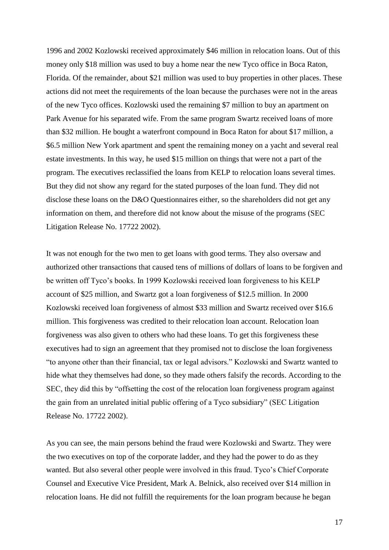1996 and 2002 Kozlowski received approximately \$46 million in relocation loans. Out of this money only \$18 million was used to buy a home near the new Tyco office in Boca Raton, Florida. Of the remainder, about \$21 million was used to buy properties in other places. These actions did not meet the requirements of the loan because the purchases were not in the areas of the new Tyco offices. Kozlowski used the remaining \$7 million to buy an apartment on Park Avenue for his separated wife. From the same program Swartz received loans of more than \$32 million. He bought a waterfront compound in Boca Raton for about \$17 million, a \$6.5 million New York apartment and spent the remaining money on a yacht and several real estate investments. In this way, he used \$15 million on things that were not a part of the program. The executives reclassified the loans from KELP to relocation loans several times. But they did not show any regard for the stated purposes of the loan fund. They did not disclose these loans on the D&O Questionnaires either, so the shareholders did not get any information on them, and therefore did not know about the misuse of the programs (SEC Litigation Release No. 17722 2002).

It was not enough for the two men to get loans with good terms. They also oversaw and authorized other transactions that caused tens of millions of dollars of loans to be forgiven and be written off Tyco's books. In 1999 Kozlowski received loan forgiveness to his KELP account of \$25 million, and Swartz got a loan forgiveness of \$12.5 million. In 2000 Kozlowski received loan forgiveness of almost \$33 million and Swartz received over \$16.6 million. This forgiveness was credited to their relocation loan account. Relocation loan forgiveness was also given to others who had these loans. To get this forgiveness these executives had to sign an agreement that they promised not to disclose the loan forgiveness "to anyone other than their financial, tax or legal advisors." Kozlowski and Swartz wanted to hide what they themselves had done, so they made others falsify the records. According to the SEC, they did this by "offsetting the cost of the relocation loan forgiveness program against the gain from an unrelated initial public offering of a Tyco subsidiary" (SEC Litigation Release No. 17722 2002).

As you can see, the main persons behind the fraud were Kozlowski and Swartz. They were the two executives on top of the corporate ladder, and they had the power to do as they wanted. But also several other people were involved in this fraud. Tyco's Chief Corporate Counsel and Executive Vice President, Mark A. Belnick, also received over \$14 million in relocation loans. He did not fulfill the requirements for the loan program because he began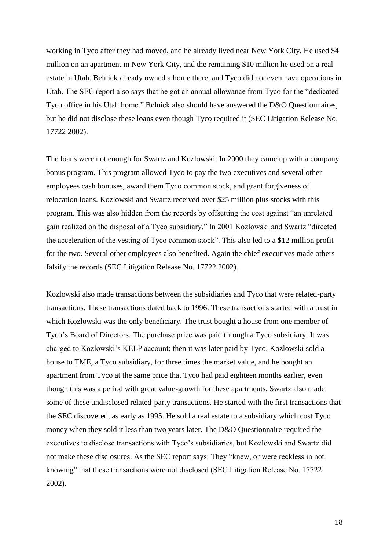working in Tyco after they had moved, and he already lived near New York City. He used \$4 million on an apartment in New York City, and the remaining \$10 million he used on a real estate in Utah. Belnick already owned a home there, and Tyco did not even have operations in Utah. The SEC report also says that he got an annual allowance from Tyco for the "dedicated Tyco office in his Utah home." Belnick also should have answered the D&O Questionnaires, but he did not disclose these loans even though Tyco required it (SEC Litigation Release No. 17722 2002).

The loans were not enough for Swartz and Kozlowski. In 2000 they came up with a company bonus program. This program allowed Tyco to pay the two executives and several other employees cash bonuses, award them Tyco common stock, and grant forgiveness of relocation loans. Kozlowski and Swartz received over \$25 million plus stocks with this program. This was also hidden from the records by offsetting the cost against "an unrelated gain realized on the disposal of a Tyco subsidiary." In 2001 Kozlowski and Swartz "directed the acceleration of the vesting of Tyco common stock". This also led to a \$12 million profit for the two. Several other employees also benefited. Again the chief executives made others falsify the records (SEC Litigation Release No. 17722 2002).

Kozlowski also made transactions between the subsidiaries and Tyco that were related-party transactions. These transactions dated back to 1996. These transactions started with a trust in which Kozlowski was the only beneficiary. The trust bought a house from one member of Tyco's Board of Directors. The purchase price was paid through a Tyco subsidiary. It was charged to Kozlowski's KELP account; then it was later paid by Tyco. Kozlowski sold a house to TME, a Tyco subsidiary, for three times the market value, and he bought an apartment from Tyco at the same price that Tyco had paid eighteen months earlier, even though this was a period with great value-growth for these apartments. Swartz also made some of these undisclosed related-party transactions. He started with the first transactions that the SEC discovered, as early as 1995. He sold a real estate to a subsidiary which cost Tyco money when they sold it less than two years later. The D&O Questionnaire required the executives to disclose transactions with Tyco's subsidiaries, but Kozlowski and Swartz did not make these disclosures. As the SEC report says: They "knew, or were reckless in not knowing" that these transactions were not disclosed (SEC Litigation Release No. 17722 2002).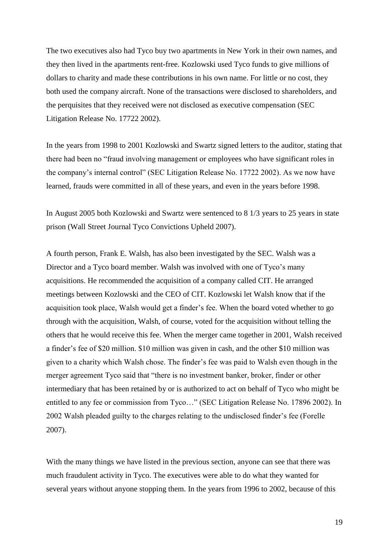The two executives also had Tyco buy two apartments in New York in their own names, and they then lived in the apartments rent-free. Kozlowski used Tyco funds to give millions of dollars to charity and made these contributions in his own name. For little or no cost, they both used the company aircraft. None of the transactions were disclosed to shareholders, and the perquisites that they received were not disclosed as executive compensation (SEC Litigation Release No. 17722 2002).

In the years from 1998 to 2001 Kozlowski and Swartz signed letters to the auditor, stating that there had been no "fraud involving management or employees who have significant roles in the company's internal control" (SEC Litigation Release No. 17722 2002). As we now have learned, frauds were committed in all of these years, and even in the years before 1998.

In August 2005 both Kozlowski and Swartz were sentenced to 8 1/3 years to 25 years in state prison (Wall Street Journal Tyco Convictions Upheld 2007).

A fourth person, Frank E. Walsh, has also been investigated by the SEC. Walsh was a Director and a Tyco board member. Walsh was involved with one of Tyco's many acquisitions. He recommended the acquisition of a company called CIT. He arranged meetings between Kozlowski and the CEO of CIT. Kozlowski let Walsh know that if the acquisition took place, Walsh would get a finder's fee. When the board voted whether to go through with the acquisition, Walsh, of course, voted for the acquisition without telling the others that he would receive this fee. When the merger came together in 2001, Walsh received a finder's fee of \$20 million. \$10 million was given in cash, and the other \$10 million was given to a charity which Walsh chose. The finder's fee was paid to Walsh even though in the merger agreement Tyco said that "there is no investment banker, broker, finder or other intermediary that has been retained by or is authorized to act on behalf of Tyco who might be entitled to any fee or commission from Tyco…" (SEC Litigation Release No. 17896 2002). In 2002 Walsh pleaded guilty to the charges relating to the undisclosed finder's fee (Forelle 2007).

With the many things we have listed in the previous section, anyone can see that there was much fraudulent activity in Tyco. The executives were able to do what they wanted for several years without anyone stopping them. In the years from 1996 to 2002, because of this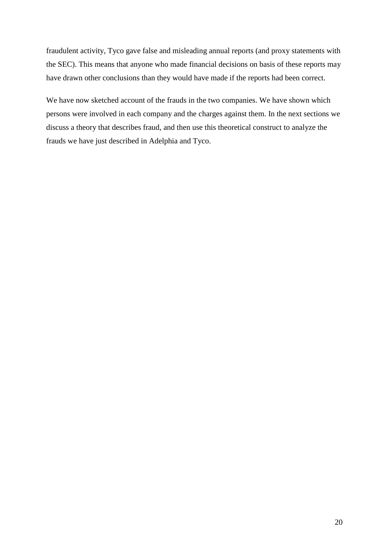fraudulent activity, Tyco gave false and misleading annual reports (and proxy statements with the SEC). This means that anyone who made financial decisions on basis of these reports may have drawn other conclusions than they would have made if the reports had been correct.

We have now sketched account of the frauds in the two companies. We have shown which persons were involved in each company and the charges against them. In the next sections we discuss a theory that describes fraud, and then use this theoretical construct to analyze the frauds we have just described in Adelphia and Tyco.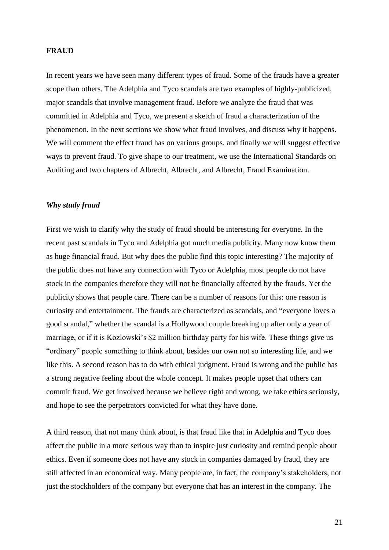#### **FRAUD**

In recent years we have seen many different types of fraud. Some of the frauds have a greater scope than others. The Adelphia and Tyco scandals are two examples of highly-publicized, major scandals that involve management fraud. Before we analyze the fraud that was committed in Adelphia and Tyco, we present a sketch of fraud a characterization of the phenomenon. In the next sections we show what fraud involves, and discuss why it happens. We will comment the effect fraud has on various groups, and finally we will suggest effective ways to prevent fraud. To give shape to our treatment, we use the International Standards on Auditing and two chapters of Albrecht, Albrecht, and Albrecht, Fraud Examination.

#### *Why study fraud*

First we wish to clarify why the study of fraud should be interesting for everyone. In the recent past scandals in Tyco and Adelphia got much media publicity. Many now know them as huge financial fraud. But why does the public find this topic interesting? The majority of the public does not have any connection with Tyco or Adelphia, most people do not have stock in the companies therefore they will not be financially affected by the frauds. Yet the publicity shows that people care. There can be a number of reasons for this: one reason is curiosity and entertainment. The frauds are characterized as scandals, and "everyone loves a good scandal," whether the scandal is a Hollywood couple breaking up after only a year of marriage, or if it is Kozlowski's \$2 million birthday party for his wife. These things give us "ordinary" people something to think about, besides our own not so interesting life, and we like this. A second reason has to do with ethical judgment. Fraud is wrong and the public has a strong negative feeling about the whole concept. It makes people upset that others can commit fraud. We get involved because we believe right and wrong, we take ethics seriously, and hope to see the perpetrators convicted for what they have done.

A third reason, that not many think about, is that fraud like that in Adelphia and Tyco does affect the public in a more serious way than to inspire just curiosity and remind people about ethics. Even if someone does not have any stock in companies damaged by fraud, they are still affected in an economical way. Many people are, in fact, the company's stakeholders, not just the stockholders of the company but everyone that has an interest in the company. The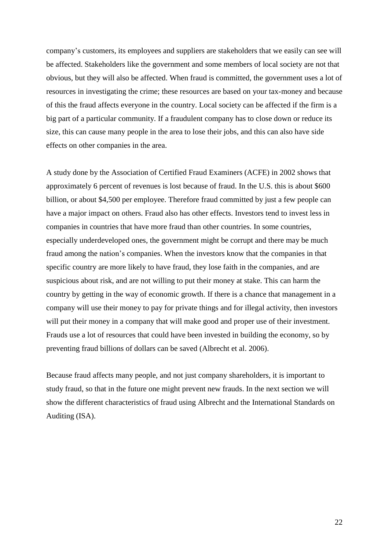company's customers, its employees and suppliers are stakeholders that we easily can see will be affected. Stakeholders like the government and some members of local society are not that obvious, but they will also be affected. When fraud is committed, the government uses a lot of resources in investigating the crime; these resources are based on your tax-money and because of this the fraud affects everyone in the country. Local society can be affected if the firm is a big part of a particular community. If a fraudulent company has to close down or reduce its size, this can cause many people in the area to lose their jobs, and this can also have side effects on other companies in the area.

A study done by the Association of Certified Fraud Examiners (ACFE) in 2002 shows that approximately 6 percent of revenues is lost because of fraud. In the U.S. this is about \$600 billion, or about \$4,500 per employee. Therefore fraud committed by just a few people can have a major impact on others. Fraud also has other effects. Investors tend to invest less in companies in countries that have more fraud than other countries. In some countries, especially underdeveloped ones, the government might be corrupt and there may be much fraud among the nation's companies. When the investors know that the companies in that specific country are more likely to have fraud, they lose faith in the companies, and are suspicious about risk, and are not willing to put their money at stake. This can harm the country by getting in the way of economic growth. If there is a chance that management in a company will use their money to pay for private things and for illegal activity, then investors will put their money in a company that will make good and proper use of their investment. Frauds use a lot of resources that could have been invested in building the economy, so by preventing fraud billions of dollars can be saved (Albrecht et al. 2006).

Because fraud affects many people, and not just company shareholders, it is important to study fraud, so that in the future one might prevent new frauds. In the next section we will show the different characteristics of fraud using Albrecht and the International Standards on Auditing (ISA).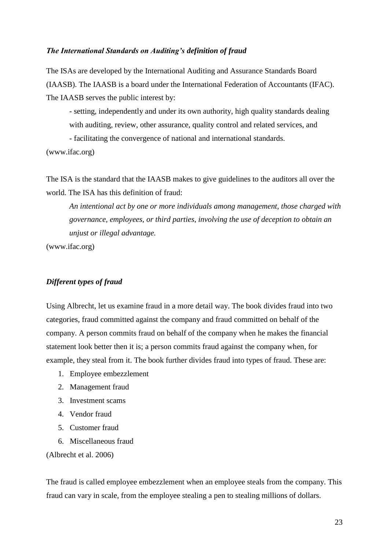#### *The International Standards on Auditing's definition of fraud*

The ISAs are developed by the [International Auditing and Assurance Standards Board](http://www.ifac.org/IAASB/About.php)  [\(IAASB\).](http://www.ifac.org/IAASB/About.php) The IAASB is a board under the International Federation of Accountants (IFAC). The IAASB serves the public interest by:

- setting, independently and under its own authority, high quality standards dealing with auditing, review, other assurance, quality control and related services, and - facilitating the convergence of national and international standards.

(www.ifac.org)

The ISA is the standard that the IAASB makes to give guidelines to the auditors all over the world. The ISA has this definition of fraud:

*An intentional act by one or more individuals among management, those charged with governance, employees, or third parties, involving the use of deception to obtain an unjust or illegal advantage.*

(www.ifac.org)

#### *Different types of fraud*

Using Albrecht, let us examine fraud in a more detail way. The book divides fraud into two categories, fraud committed against the company and fraud committed on behalf of the company. A person commits fraud on behalf of the company when he makes the financial statement look better then it is; a person commits fraud against the company when, for example, they steal from it. The book further divides fraud into types of fraud. These are:

- 1. Employee embezzlement
- 2. Management fraud
- 3. Investment scams
- 4. Vendor fraud
- 5. Customer fraud
- 6. Miscellaneous fraud

(Albrecht et al. 2006)

The fraud is called employee embezzlement when an employee steals from the company. This fraud can vary in scale, from the employee stealing a pen to stealing millions of dollars.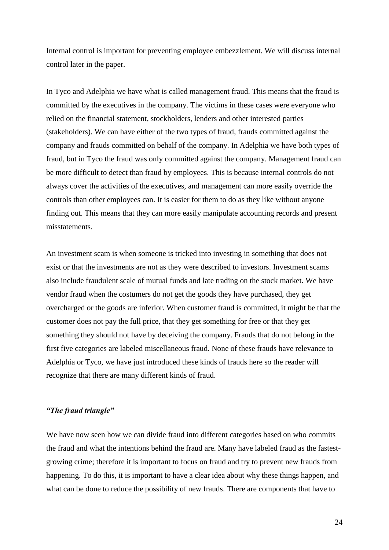Internal control is important for preventing employee embezzlement. We will discuss internal control later in the paper.

In Tyco and Adelphia we have what is called management fraud. This means that the fraud is committed by the executives in the company. The victims in these cases were everyone who relied on the financial statement, stockholders, lenders and other interested parties (stakeholders). We can have either of the two types of fraud, frauds committed against the company and frauds committed on behalf of the company. In Adelphia we have both types of fraud, but in Tyco the fraud was only committed against the company. Management fraud can be more difficult to detect than fraud by employees. This is because internal controls do not always cover the activities of the executives, and management can more easily override the controls than other employees can. It is easier for them to do as they like without anyone finding out. This means that they can more easily manipulate accounting records and present misstatements.

An investment scam is when someone is tricked into investing in something that does not exist or that the investments are not as they were described to investors. Investment scams also include fraudulent scale of mutual funds and late trading on the stock market. We have vendor fraud when the costumers do not get the goods they have purchased, they get overcharged or the goods are inferior. When customer fraud is committed, it might be that the customer does not pay the full price, that they get something for free or that they get something they should not have by deceiving the company. Frauds that do not belong in the first five categories are labeled miscellaneous fraud. None of these frauds have relevance to Adelphia or Tyco, we have just introduced these kinds of frauds here so the reader will recognize that there are many different kinds of fraud.

#### *"The fraud triangle"*

We have now seen how we can divide fraud into different categories based on who commits the fraud and what the intentions behind the fraud are. Many have labeled fraud as the fastestgrowing crime; therefore it is important to focus on fraud and try to prevent new frauds from happening. To do this, it is important to have a clear idea about why these things happen, and what can be done to reduce the possibility of new frauds. There are components that have to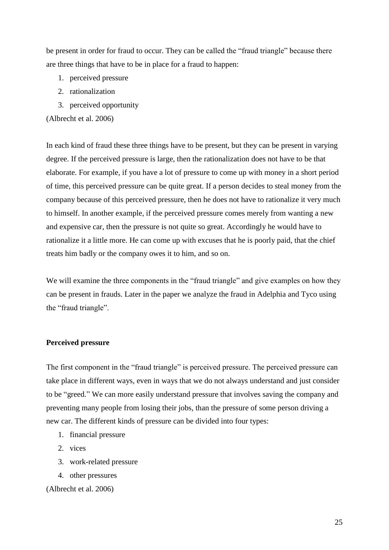be present in order for fraud to occur. They can be called the "fraud triangle" because there are three things that have to be in place for a fraud to happen:

- 1. perceived pressure
- 2. rationalization
- 3. perceived opportunity

(Albrecht et al. 2006)

In each kind of fraud these three things have to be present, but they can be present in varying degree. If the perceived pressure is large, then the rationalization does not have to be that elaborate. For example, if you have a lot of pressure to come up with money in a short period of time, this perceived pressure can be quite great. If a person decides to steal money from the company because of this perceived pressure, then he does not have to rationalize it very much to himself. In another example, if the perceived pressure comes merely from wanting a new and expensive car, then the pressure is not quite so great. Accordingly he would have to rationalize it a little more. He can come up with excuses that he is poorly paid, that the chief treats him badly or the company owes it to him, and so on.

We will examine the three components in the "fraud triangle" and give examples on how they can be present in frauds. Later in the paper we analyze the fraud in Adelphia and Tyco using the "fraud triangle".

#### **Perceived pressure**

The first component in the "fraud triangle" is perceived pressure. The perceived pressure can take place in different ways, even in ways that we do not always understand and just consider to be "greed." We can more easily understand pressure that involves saving the company and preventing many people from losing their jobs, than the pressure of some person driving a new car. The different kinds of pressure can be divided into four types:

- 1. financial pressure
- 2. vices
- 3. work-related pressure
- 4. other pressures

(Albrecht et al. 2006)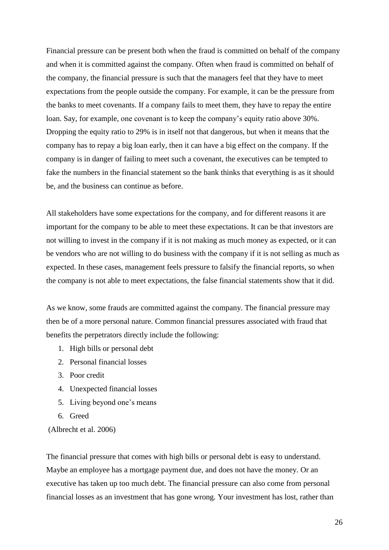Financial pressure can be present both when the fraud is committed on behalf of the company and when it is committed against the company. Often when fraud is committed on behalf of the company, the financial pressure is such that the managers feel that they have to meet expectations from the people outside the company. For example, it can be the pressure from the banks to meet covenants. If a company fails to meet them, they have to repay the entire loan. Say, for example, one covenant is to keep the company's equity ratio above 30%. Dropping the equity ratio to 29% is in itself not that dangerous, but when it means that the company has to repay a big loan early, then it can have a big effect on the company. If the company is in danger of failing to meet such a covenant, the executives can be tempted to fake the numbers in the financial statement so the bank thinks that everything is as it should be, and the business can continue as before.

All stakeholders have some expectations for the company, and for different reasons it are important for the company to be able to meet these expectations. It can be that investors are not willing to invest in the company if it is not making as much money as expected, or it can be vendors who are not willing to do business with the company if it is not selling as much as expected. In these cases, management feels pressure to falsify the financial reports, so when the company is not able to meet expectations, the false financial statements show that it did.

As we know, some frauds are committed against the company. The financial pressure may then be of a more personal nature. Common financial pressures associated with fraud that benefits the perpetrators directly include the following:

- 1. High bills or personal debt
- 2. Personal financial losses
- 3. Poor credit
- 4. Unexpected financial losses
- 5. Living beyond one's means
- 6. Greed

(Albrecht et al. 2006)

The financial pressure that comes with high bills or personal debt is easy to understand. Maybe an employee has a mortgage payment due, and does not have the money. Or an executive has taken up too much debt. The financial pressure can also come from personal financial losses as an investment that has gone wrong. Your investment has lost, rather than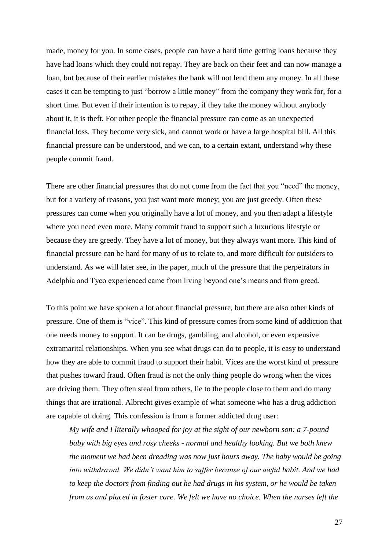made, money for you. In some cases, people can have a hard time getting loans because they have had loans which they could not repay. They are back on their feet and can now manage a loan, but because of their earlier mistakes the bank will not lend them any money. In all these cases it can be tempting to just "borrow a little money" from the company they work for, for a short time. But even if their intention is to repay, if they take the money without anybody about it, it is theft. For other people the financial pressure can come as an unexpected financial loss. They become very sick, and cannot work or have a large hospital bill. All this financial pressure can be understood, and we can, to a certain extant, understand why these people commit fraud.

There are other financial pressures that do not come from the fact that you "need" the money, but for a variety of reasons, you just want more money; you are just greedy. Often these pressures can come when you originally have a lot of money, and you then adapt a lifestyle where you need even more. Many commit fraud to support such a luxurious lifestyle or because they are greedy. They have a lot of money, but they always want more. This kind of financial pressure can be hard for many of us to relate to, and more difficult for outsiders to understand. As we will later see, in the paper, much of the pressure that the perpetrators in Adelphia and Tyco experienced came from living beyond one's means and from greed.

To this point we have spoken a lot about financial pressure, but there are also other kinds of pressure. One of them is "vice". This kind of pressure comes from some kind of addiction that one needs money to support. It can be drugs, gambling, and alcohol, or even expensive extramarital relationships. When you see what drugs can do to people, it is easy to understand how they are able to commit fraud to support their habit. Vices are the worst kind of pressure that pushes toward fraud. Often fraud is not the only thing people do wrong when the vices are driving them. They often steal from others, lie to the people close to them and do many things that are irrational. Albrecht gives example of what someone who has a drug addiction are capable of doing. This confession is from a former addicted drug user:

*My wife and I literally whooped for joy at the sight of our newborn son: a 7-pound baby with big eyes and rosy cheeks - normal and healthy looking. But we both knew the moment we had been dreading was now just hours away. The baby would be going into withdrawal. We didn't want him to suffer because of our awful habit. And we had to keep the doctors from finding out he had drugs in his system, or he would be taken from us and placed in foster care. We felt we have no choice. When the nurses left the*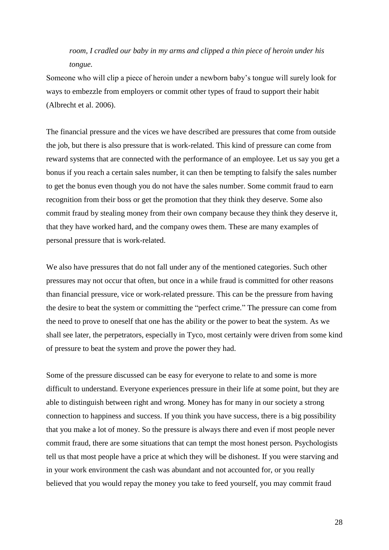*room, I cradled our baby in my arms and clipped a thin piece of heroin under his tongue.* 

Someone who will clip a piece of heroin under a newborn baby's tongue will surely look for ways to embezzle from employers or commit other types of fraud to support their habit (Albrecht et al. 2006).

The financial pressure and the vices we have described are pressures that come from outside the job, but there is also pressure that is work-related. This kind of pressure can come from reward systems that are connected with the performance of an employee. Let us say you get a bonus if you reach a certain sales number, it can then be tempting to falsify the sales number to get the bonus even though you do not have the sales number. Some commit fraud to earn recognition from their boss or get the promotion that they think they deserve. Some also commit fraud by stealing money from their own company because they think they deserve it, that they have worked hard, and the company owes them. These are many examples of personal pressure that is work-related.

We also have pressures that do not fall under any of the mentioned categories. Such other pressures may not occur that often, but once in a while fraud is committed for other reasons than financial pressure, vice or work-related pressure. This can be the pressure from having the desire to beat the system or committing the "perfect crime." The pressure can come from the need to prove to oneself that one has the ability or the power to beat the system. As we shall see later, the perpetrators, especially in Tyco, most certainly were driven from some kind of pressure to beat the system and prove the power they had.

Some of the pressure discussed can be easy for everyone to relate to and some is more difficult to understand. Everyone experiences pressure in their life at some point, but they are able to distinguish between right and wrong. Money has for many in our society a strong connection to happiness and success. If you think you have success, there is a big possibility that you make a lot of money. So the pressure is always there and even if most people never commit fraud, there are some situations that can tempt the most honest person. Psychologists tell us that most people have a price at which they will be dishonest. If you were starving and in your work environment the cash was abundant and not accounted for, or you really believed that you would repay the money you take to feed yourself, you may commit fraud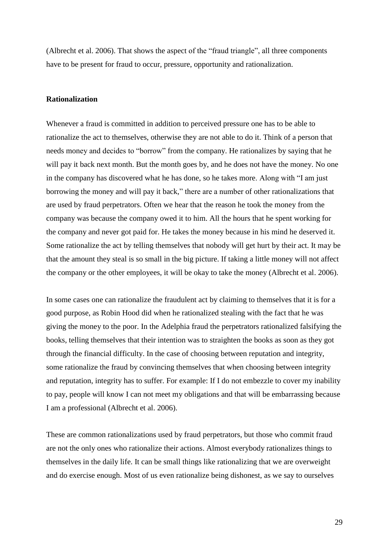(Albrecht et al. 2006). That shows the aspect of the "fraud triangle", all three components have to be present for fraud to occur, pressure, opportunity and rationalization.

#### **Rationalization**

Whenever a fraud is committed in addition to perceived pressure one has to be able to rationalize the act to themselves, otherwise they are not able to do it. Think of a person that needs money and decides to "borrow" from the company. He rationalizes by saying that he will pay it back next month. But the month goes by, and he does not have the money. No one in the company has discovered what he has done, so he takes more. Along with "I am just borrowing the money and will pay it back," there are a number of other rationalizations that are used by fraud perpetrators. Often we hear that the reason he took the money from the company was because the company owed it to him. All the hours that he spent working for the company and never got paid for. He takes the money because in his mind he deserved it. Some rationalize the act by telling themselves that nobody will get hurt by their act. It may be that the amount they steal is so small in the big picture. If taking a little money will not affect the company or the other employees, it will be okay to take the money (Albrecht et al. 2006).

In some cases one can rationalize the fraudulent act by claiming to themselves that it is for a good purpose, as Robin Hood did when he rationalized stealing with the fact that he was giving the money to the poor. In the Adelphia fraud the perpetrators rationalized falsifying the books, telling themselves that their intention was to straighten the books as soon as they got through the financial difficulty. In the case of choosing between reputation and integrity, some rationalize the fraud by convincing themselves that when choosing between integrity and reputation, integrity has to suffer. For example: If I do not embezzle to cover my inability to pay, people will know I can not meet my obligations and that will be embarrassing because I am a professional (Albrecht et al. 2006).

These are common rationalizations used by fraud perpetrators, but those who commit fraud are not the only ones who rationalize their actions. Almost everybody rationalizes things to themselves in the daily life. It can be small things like rationalizing that we are overweight and do exercise enough. Most of us even rationalize being dishonest, as we say to ourselves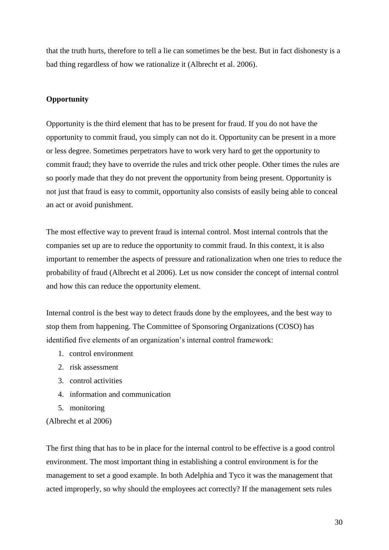that the truth hurts, therefore to tell a lie can sometimes be the best. But in fact dishonesty is a bad thing regardless of how we rationalize it (Albrecht et al. 2006).

#### **Opportunity**

Opportunity is the third element that has to be present for fraud. If you do not have the opportunity to commit fraud, you simply can not do it. Opportunity can be present in a more or less degree. Sometimes perpetrators have to work very hard to get the opportunity to commit fraud; they have to override the rules and trick other people. Other times the rules are so poorly made that they do not prevent the opportunity from being present. Opportunity is not just that fraud is easy to commit, opportunity also consists of easily being able to conceal an act or avoid punishment.

The most effective way to prevent fraud is internal control. Most internal controls that the companies set up are to reduce the opportunity to commit fraud. In this context, it is also important to remember the aspects of pressure and rationalization when one tries to reduce the probability of fraud (Albrecht et al 2006). Let us now consider the concept of internal control and how this can reduce the opportunity element.

Internal control is the best way to detect frauds done by the employees, and the best way to stop them from happening. The Committee of Sponsoring Organizations (COSO) has identified five elements of an organization's internal control framework:

- 1. control environment
- 2. risk assessment
- 3. control activities
- 4. information and communication
- 5. monitoring

(Albrecht et al 2006)

The first thing that has to be in place for the internal control to be effective is a good control environment. The most important thing in establishing a control environment is for the management to set a good example. In both Adelphia and Tyco it was the management that acted improperly, so why should the employees act correctly? If the management sets rules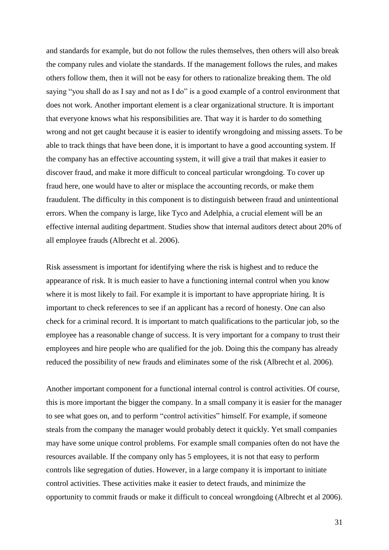and standards for example, but do not follow the rules themselves, then others will also break the company rules and violate the standards. If the management follows the rules, and makes others follow them, then it will not be easy for others to rationalize breaking them. The old saying "you shall do as I say and not as I do" is a good example of a control environment that does not work. Another important element is a clear organizational structure. It is important that everyone knows what his responsibilities are. That way it is harder to do something wrong and not get caught because it is easier to identify wrongdoing and missing assets. To be able to track things that have been done, it is important to have a good accounting system. If the company has an effective accounting system, it will give a trail that makes it easier to discover fraud, and make it more difficult to conceal particular wrongdoing. To cover up fraud here, one would have to alter or misplace the accounting records, or make them fraudulent. The difficulty in this component is to distinguish between fraud and unintentional errors. When the company is large, like Tyco and Adelphia, a crucial element will be an effective internal auditing department. Studies show that internal auditors detect about 20% of all employee frauds (Albrecht et al. 2006).

Risk assessment is important for identifying where the risk is highest and to reduce the appearance of risk. It is much easier to have a functioning internal control when you know where it is most likely to fail. For example it is important to have appropriate hiring. It is important to check references to see if an applicant has a record of honesty. One can also check for a criminal record. It is important to match qualifications to the particular job, so the employee has a reasonable change of success. It is very important for a company to trust their employees and hire people who are qualified for the job. Doing this the company has already reduced the possibility of new frauds and eliminates some of the risk (Albrecht et al. 2006).

Another important component for a functional internal control is control activities. Of course, this is more important the bigger the company. In a small company it is easier for the manager to see what goes on, and to perform "control activities" himself. For example, if someone steals from the company the manager would probably detect it quickly. Yet small companies may have some unique control problems. For example small companies often do not have the resources available. If the company only has 5 employees, it is not that easy to perform controls like segregation of duties. However, in a large company it is important to initiate control activities. These activities make it easier to detect frauds, and minimize the opportunity to commit frauds or make it difficult to conceal wrongdoing (Albrecht et al 2006).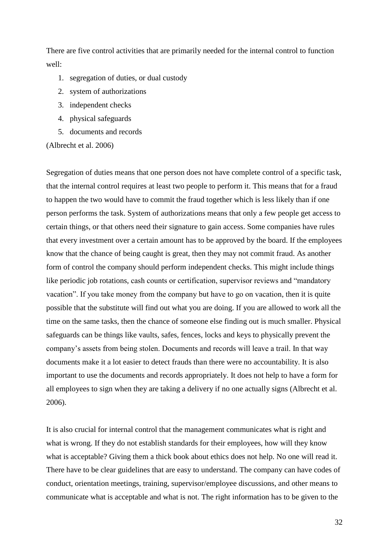There are five control activities that are primarily needed for the internal control to function well:

- 1. segregation of duties, or dual custody
- 2. system of authorizations
- 3. independent checks
- 4. physical safeguards
- 5. documents and records

(Albrecht et al. 2006)

Segregation of duties means that one person does not have complete control of a specific task, that the internal control requires at least two people to perform it. This means that for a fraud to happen the two would have to commit the fraud together which is less likely than if one person performs the task. System of authorizations means that only a few people get access to certain things, or that others need their signature to gain access. Some companies have rules that every investment over a certain amount has to be approved by the board. If the employees know that the chance of being caught is great, then they may not commit fraud. As another form of control the company should perform independent checks. This might include things like periodic job rotations, cash counts or certification, supervisor reviews and "mandatory vacation". If you take money from the company but have to go on vacation, then it is quite possible that the substitute will find out what you are doing. If you are allowed to work all the time on the same tasks, then the chance of someone else finding out is much smaller. Physical safeguards can be things like vaults, safes, fences, locks and keys to physically prevent the company's assets from being stolen. Documents and records will leave a trail. In that way documents make it a lot easier to detect frauds than there were no accountability. It is also important to use the documents and records appropriately. It does not help to have a form for all employees to sign when they are taking a delivery if no one actually signs (Albrecht et al. 2006).

It is also crucial for internal control that the management communicates what is right and what is wrong. If they do not establish standards for their employees, how will they know what is acceptable? Giving them a thick book about ethics does not help. No one will read it. There have to be clear guidelines that are easy to understand. The company can have codes of conduct, orientation meetings, training, supervisor/employee discussions, and other means to communicate what is acceptable and what is not. The right information has to be given to the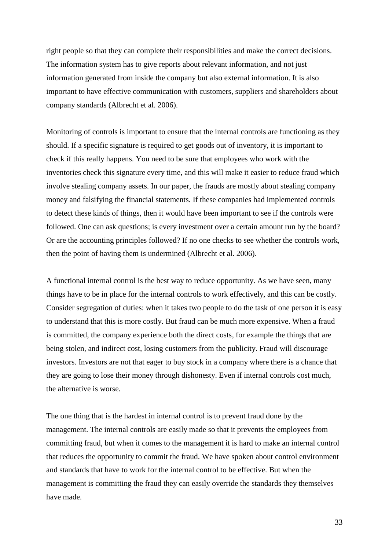right people so that they can complete their responsibilities and make the correct decisions. The information system has to give reports about relevant information, and not just information generated from inside the company but also external information. It is also important to have effective communication with customers, suppliers and shareholders about company standards (Albrecht et al. 2006).

Monitoring of controls is important to ensure that the internal controls are functioning as they should. If a specific signature is required to get goods out of inventory, it is important to check if this really happens. You need to be sure that employees who work with the inventories check this signature every time, and this will make it easier to reduce fraud which involve stealing company assets. In our paper, the frauds are mostly about stealing company money and falsifying the financial statements. If these companies had implemented controls to detect these kinds of things, then it would have been important to see if the controls were followed. One can ask questions; is every investment over a certain amount run by the board? Or are the accounting principles followed? If no one checks to see whether the controls work, then the point of having them is undermined (Albrecht et al. 2006).

A functional internal control is the best way to reduce opportunity. As we have seen, many things have to be in place for the internal controls to work effectively, and this can be costly. Consider segregation of duties: when it takes two people to do the task of one person it is easy to understand that this is more costly. But fraud can be much more expensive. When a fraud is committed, the company experience both the direct costs, for example the things that are being stolen, and indirect cost, losing customers from the publicity. Fraud will discourage investors. Investors are not that eager to buy stock in a company where there is a chance that they are going to lose their money through dishonesty. Even if internal controls cost much, the alternative is worse.

The one thing that is the hardest in internal control is to prevent fraud done by the management. The internal controls are easily made so that it prevents the employees from committing fraud, but when it comes to the management it is hard to make an internal control that reduces the opportunity to commit the fraud. We have spoken about control environment and standards that have to work for the internal control to be effective. But when the management is committing the fraud they can easily override the standards they themselves have made.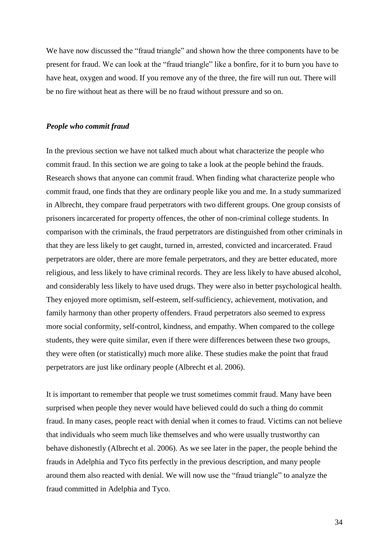We have now discussed the "fraud triangle" and shown how the three components have to be present for fraud. We can look at the "fraud triangle" like a bonfire, for it to burn you have to have heat, oxygen and wood. If you remove any of the three, the fire will run out. There will be no fire without heat as there will be no fraud without pressure and so on.

#### *People who commit fraud*

In the previous section we have not talked much about what characterize the people who commit fraud. In this section we are going to take a look at the people behind the frauds. Research shows that anyone can commit fraud. When finding what characterize people who commit fraud, one finds that they are ordinary people like you and me. In a study summarized in Albrecht, they compare fraud perpetrators with two different groups. One group consists of prisoners incarcerated for property offences, the other of non-criminal college students. In comparison with the criminals, the fraud perpetrators are distinguished from other criminals in that they are less likely to get caught, turned in, arrested, convicted and incarcerated. Fraud perpetrators are older, there are more female perpetrators, and they are better educated, more religious, and less likely to have criminal records. They are less likely to have abused alcohol, and considerably less likely to have used drugs. They were also in better psychological health. They enjoyed more optimism, self-esteem, self-sufficiency, achievement, motivation, and family harmony than other property offenders. Fraud perpetrators also seemed to express more social conformity, self-control, kindness, and empathy. When compared to the college students, they were quite similar, even if there were differences between these two groups, they were often (or statistically) much more alike. These studies make the point that fraud perpetrators are just like ordinary people (Albrecht et al. 2006).

It is important to remember that people we trust sometimes commit fraud. Many have been surprised when people they never would have believed could do such a thing do commit fraud. In many cases, people react with denial when it comes to fraud. Victims can not believe that individuals who seem much like themselves and who were usually trustworthy can behave dishonestly (Albrecht et al. 2006). As we see later in the paper, the people behind the frauds in Adelphia and Tyco fits perfectly in the previous description, and many people around them also reacted with denial. We will now use the "fraud triangle" to analyze the fraud committed in Adelphia and Tyco.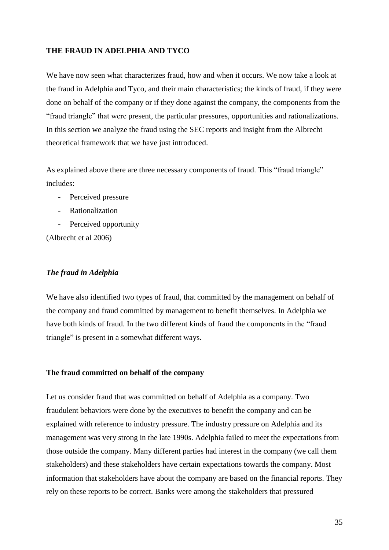#### **THE FRAUD IN ADELPHIA AND TYCO**

We have now seen what characterizes fraud, how and when it occurs. We now take a look at the fraud in Adelphia and Tyco, and their main characteristics; the kinds of fraud, if they were done on behalf of the company or if they done against the company, the components from the "fraud triangle" that were present, the particular pressures, opportunities and rationalizations. In this section we analyze the fraud using the SEC reports and insight from the Albrecht theoretical framework that we have just introduced.

As explained above there are three necessary components of fraud. This "fraud triangle" includes:

- Perceived pressure
- Rationalization
- Perceived opportunity

(Albrecht et al 2006)

#### *The fraud in Adelphia*

We have also identified two types of fraud, that committed by the management on behalf of the company and fraud committed by management to benefit themselves. In Adelphia we have both kinds of fraud. In the two different kinds of fraud the components in the "fraud triangle" is present in a somewhat different ways.

#### **The fraud committed on behalf of the company**

Let us consider fraud that was committed on behalf of Adelphia as a company. Two fraudulent behaviors were done by the executives to benefit the company and can be explained with reference to industry pressure. The industry pressure on Adelphia and its management was very strong in the late 1990s. Adelphia failed to meet the expectations from those outside the company. Many different parties had interest in the company (we call them stakeholders) and these stakeholders have certain expectations towards the company. Most information that stakeholders have about the company are based on the financial reports. They rely on these reports to be correct. Banks were among the stakeholders that pressured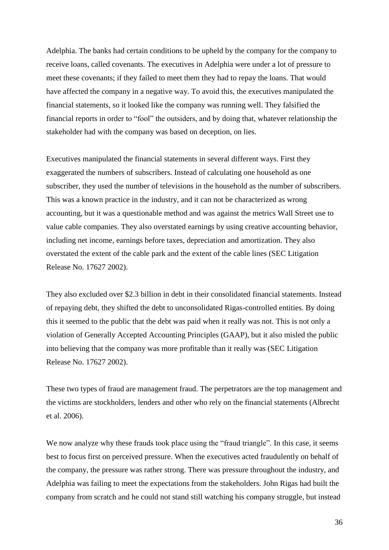Adelphia. The banks had certain conditions to be upheld by the company for the company to receive loans, called covenants. The executives in Adelphia were under a lot of pressure to meet these covenants; if they failed to meet them they had to repay the loans. That would have affected the company in a negative way. To avoid this, the executives manipulated the financial statements, so it looked like the company was running well. They falsified the financial reports in order to "fool" the outsiders, and by doing that, whatever relationship the stakeholder had with the company was based on deception, on lies.

Executives manipulated the financial statements in several different ways. First they exaggerated the numbers of subscribers. Instead of calculating one household as one subscriber, they used the number of televisions in the household as the number of subscribers. This was a known practice in the industry, and it can not be characterized as wrong accounting, but it was a questionable method and was against the metrics Wall Street use to value cable companies. They also overstated earnings by using creative accounting behavior, including net income, earnings before taxes, depreciation and amortization. They also overstated the extent of the cable park and the extent of the cable lines (SEC Litigation Release No. 17627 2002).

They also excluded over \$2.3 billion in debt in their consolidated financial statements. Instead of repaying debt, they shifted the debt to unconsolidated Rigas-controlled entities. By doing this it seemed to the public that the debt was paid when it really was not. This is not only a violation of Generally Accepted Accounting Principles (GAAP), but it also misled the public into believing that the company was more profitable than it really was (SEC Litigation Release No. 17627 2002).

These two types of fraud are management fraud. The perpetrators are the top management and the victims are stockholders, lenders and other who rely on the financial statements (Albrecht et al. 2006).

We now analyze why these frauds took place using the "fraud triangle". In this case, it seems best to focus first on perceived pressure. When the executives acted fraudulently on behalf of the company, the pressure was rather strong. There was pressure throughout the industry, and Adelphia was failing to meet the expectations from the stakeholders. John Rigas had built the company from scratch and he could not stand still watching his company struggle, but instead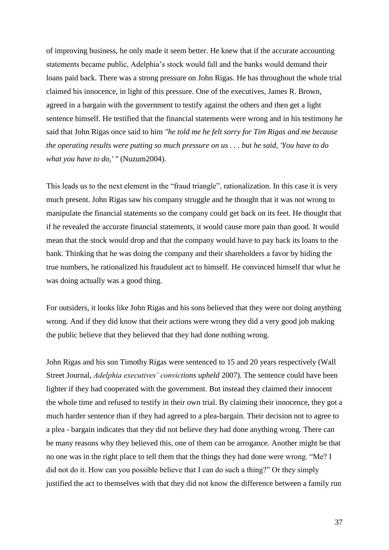of improving business, he only made it seem better. He knew that if the accurate accounting statements became public, Adelphia's stock would fall and the banks would demand their loans paid back. There was a strong pressure on John Rigas. He has throughout the whole trial claimed his innocence, in light of this pressure. One of the executives, James R. Brown, agreed in a bargain with the government to testify against the others and then get a light sentence himself. He testified that the financial statements were wrong and in his testimony he said that John Rigas once said to him *"he told me he felt sorry for Tim Rigas and me because the operating results were putting so much pressure on us . . . but he said, 'You have to do what you have to do,' "* (Nuzum2004).

This leads us to the next element in the "fraud triangle", rationalization. In this case it is very much present. John Rigas saw his company struggle and he thought that it was not wrong to manipulate the financial statements so the company could get back on its feet. He thought that if he revealed the accurate financial statements, it would cause more pain than good. It would mean that the stock would drop and that the company would have to pay back its loans to the bank. Thinking that he was doing the company and their shareholders a favor by hiding the true numbers, he rationalized his fraudulent act to himself. He convinced himself that what he was doing actually was a good thing.

For outsiders, it looks like John Rigas and his sons believed that they were not doing anything wrong. And if they did know that their actions were wrong they did a very good job making the public believe that they believed that they had done nothing wrong.

John Rigas and his son Timothy Rigas were sentenced to 15 and 20 years respectively (Wall Street Journal, *Adelphia executives' convictions upheld* 2007). The sentence could have been lighter if they had cooperated with the government. But instead they claimed their innocent the whole time and refused to testify in their own trial. By claiming their innocence, they got a much harder sentence than if they had agreed to a plea-bargain. Their decision not to agree to a plea - bargain indicates that they did not believe they had done anything wrong. There can be many reasons why they believed this, one of them can be arrogance. Another might be that no one was in the right place to tell them that the things they had done were wrong. "Me? I did not do it. How can you possible believe that I can do such a thing?" Or they simply justified the act to themselves with that they did not know the difference between a family run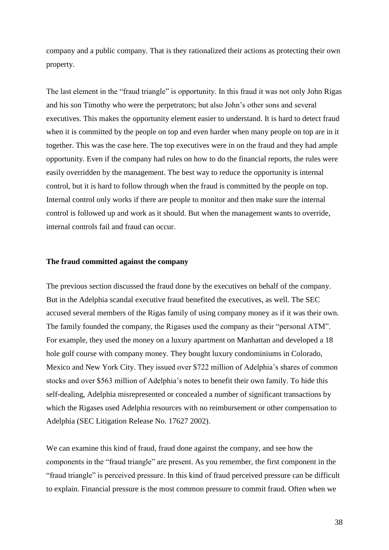company and a public company. That is they rationalized their actions as protecting their own property.

The last element in the "fraud triangle" is opportunity. In this fraud it was not only John Rigas and his son Timothy who were the perpetrators; but also John's other sons and several executives. This makes the opportunity element easier to understand. It is hard to detect fraud when it is committed by the people on top and even harder when many people on top are in it together. This was the case here. The top executives were in on the fraud and they had ample opportunity. Even if the company had rules on how to do the financial reports, the rules were easily overridden by the management. The best way to reduce the opportunity is internal control, but it is hard to follow through when the fraud is committed by the people on top. Internal control only works if there are people to monitor and then make sure the internal control is followed up and work as it should. But when the management wants to override, internal controls fail and fraud can occur.

### **The fraud committed against the company**

The previous section discussed the fraud done by the executives on behalf of the company. But in the Adelphia scandal executive fraud benefited the executives, as well. The SEC accused several members of the Rigas family of using company money as if it was their own. The family founded the company, the Rigases used the company as their "personal ATM". For example, they used the money on a luxury apartment on Manhattan and developed a 18 hole golf course with company money. They bought luxury condominiums in Colorado, Mexico and New York City. They issued over \$722 million of Adelphia's shares of common stocks and over \$563 million of Adelphia's notes to benefit their own family. To hide this self-dealing, Adelphia misrepresented or concealed a number of significant transactions by which the Rigases used Adelphia resources with no reimbursement or other compensation to Adelphia (SEC Litigation Release No. 17627 2002).

We can examine this kind of fraud, fraud done against the company, and see how the components in the "fraud triangle" are present. As you remember, the first component in the "fraud triangle" is perceived pressure. In this kind of fraud perceived pressure can be difficult to explain. Financial pressure is the most common pressure to commit fraud. Often when we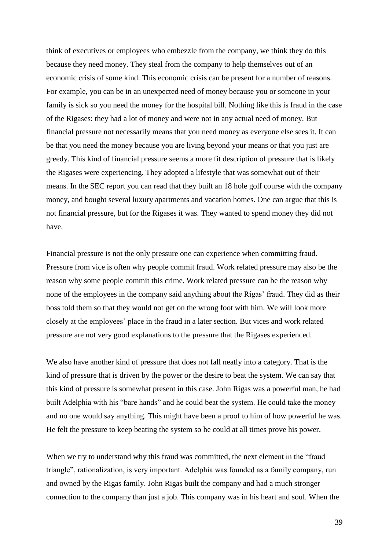think of executives or employees who embezzle from the company, we think they do this because they need money. They steal from the company to help themselves out of an economic crisis of some kind. This economic crisis can be present for a number of reasons. For example, you can be in an unexpected need of money because you or someone in your family is sick so you need the money for the hospital bill. Nothing like this is fraud in the case of the Rigases: they had a lot of money and were not in any actual need of money. But financial pressure not necessarily means that you need money as everyone else sees it. It can be that you need the money because you are living beyond your means or that you just are greedy. This kind of financial pressure seems a more fit description of pressure that is likely the Rigases were experiencing. They adopted a lifestyle that was somewhat out of their means. In the SEC report you can read that they built an 18 hole golf course with the company money, and bought several luxury apartments and vacation homes. One can argue that this is not financial pressure, but for the Rigases it was. They wanted to spend money they did not have.

Financial pressure is not the only pressure one can experience when committing fraud. Pressure from vice is often why people commit fraud. Work related pressure may also be the reason why some people commit this crime. Work related pressure can be the reason why none of the employees in the company said anything about the Rigas' fraud. They did as their boss told them so that they would not get on the wrong foot with him. We will look more closely at the employees' place in the fraud in a later section. But vices and work related pressure are not very good explanations to the pressure that the Rigases experienced.

We also have another kind of pressure that does not fall neatly into a category. That is the kind of pressure that is driven by the power or the desire to beat the system. We can say that this kind of pressure is somewhat present in this case. John Rigas was a powerful man, he had built Adelphia with his "bare hands" and he could beat the system. He could take the money and no one would say anything. This might have been a proof to him of how powerful he was. He felt the pressure to keep beating the system so he could at all times prove his power.

When we try to understand why this fraud was committed, the next element in the "fraud triangle", rationalization, is very important. Adelphia was founded as a family company, run and owned by the Rigas family. John Rigas built the company and had a much stronger connection to the company than just a job. This company was in his heart and soul. When the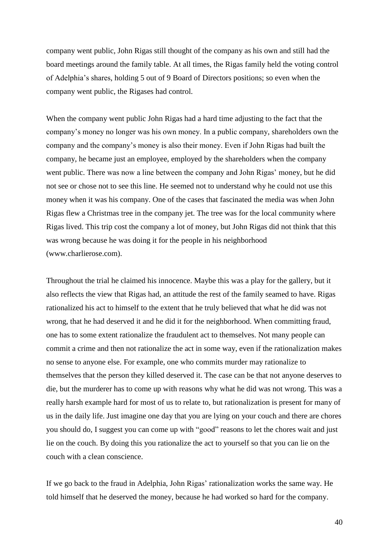company went public, John Rigas still thought of the company as his own and still had the board meetings around the family table. At all times, the Rigas family held the voting control of Adelphia's shares, holding 5 out of 9 Board of Directors positions; so even when the company went public, the Rigases had control.

When the company went public John Rigas had a hard time adjusting to the fact that the company's money no longer was his own money. In a public company, shareholders own the company and the company's money is also their money. Even if John Rigas had built the company, he became just an employee, employed by the shareholders when the company went public. There was now a line between the company and John Rigas' money, but he did not see or chose not to see this line. He seemed not to understand why he could not use this money when it was his company. One of the cases that fascinated the media was when John Rigas flew a Christmas tree in the company jet. The tree was for the local community where Rigas lived. This trip cost the company a lot of money, but John Rigas did not think that this was wrong because he was doing it for the people in his neighborhood [\(www.charlierose.com\)](http://www.charlierose.com/).

Throughout the trial he claimed his innocence. Maybe this was a play for the gallery, but it also reflects the view that Rigas had, an attitude the rest of the family seamed to have. Rigas rationalized his act to himself to the extent that he truly believed that what he did was not wrong, that he had deserved it and he did it for the neighborhood. When committing fraud, one has to some extent rationalize the fraudulent act to themselves. Not many people can commit a crime and then not rationalize the act in some way, even if the rationalization makes no sense to anyone else. For example, one who commits murder may rationalize to themselves that the person they killed deserved it. The case can be that not anyone deserves to die, but the murderer has to come up with reasons why what he did was not wrong. This was a really harsh example hard for most of us to relate to, but rationalization is present for many of us in the daily life. Just imagine one day that you are lying on your couch and there are chores you should do, I suggest you can come up with "good" reasons to let the chores wait and just lie on the couch. By doing this you rationalize the act to yourself so that you can lie on the couch with a clean conscience.

If we go back to the fraud in Adelphia, John Rigas' rationalization works the same way. He told himself that he deserved the money, because he had worked so hard for the company.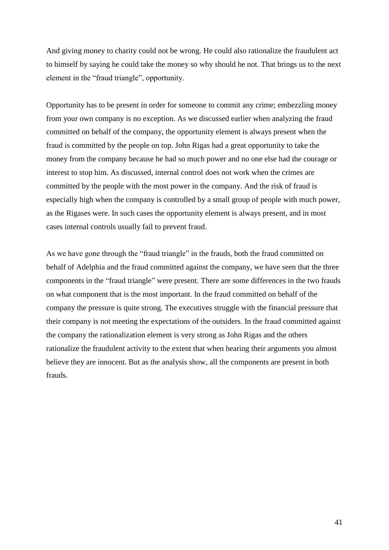And giving money to charity could not be wrong. He could also rationalize the fraudulent act to himself by saying he could take the money so why should he not. That brings us to the next element in the "fraud triangle", opportunity.

Opportunity has to be present in order for someone to commit any crime; embezzling money from your own company is no exception. As we discussed earlier when analyzing the fraud committed on behalf of the company, the opportunity element is always present when the fraud is committed by the people on top. John Rigas had a great opportunity to take the money from the company because he had so much power and no one else had the courage or interest to stop him. As discussed, internal control does not work when the crimes are committed by the people with the most power in the company. And the risk of fraud is especially high when the company is controlled by a small group of people with much power, as the Rigases were. In such cases the opportunity element is always present, and in most cases internal controls usually fail to prevent fraud.

As we have gone through the "fraud triangle" in the frauds, both the fraud committed on behalf of Adelphia and the fraud committed against the company, we have seen that the three components in the "fraud triangle" were present. There are some differences in the two frauds on what component that is the most important. In the fraud committed on behalf of the company the pressure is quite strong. The executives struggle with the financial pressure that their company is not meeting the expectations of the outsiders. In the fraud committed against the company the rationalization element is very strong as John Rigas and the others rationalize the fraudulent activity to the extent that when hearing their arguments you almost believe they are innocent. But as the analysis show, all the components are present in both frauds.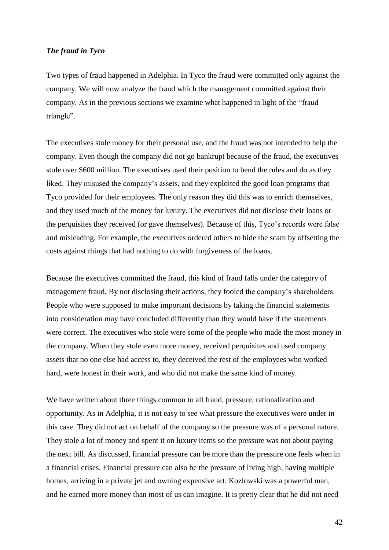## *The fraud in Tyco*

Two types of fraud happened in Adelphia. In Tyco the fraud were committed only against the company. We will now analyze the fraud which the management committed against their company. As in the previous sections we examine what happened in light of the "fraud triangle".

The executives stole money for their personal use, and the fraud was not intended to help the company. Even though the company did not go bankrupt because of the fraud, the executives stole over \$600 million. The executives used their position to bend the rules and do as they liked. They misused the company's assets, and they exploited the good loan programs that Tyco provided for their employees. The only reason they did this was to enrich themselves, and they used much of the money for luxury. The executives did not disclose their loans or the perquisites they received (or gave themselves). Because of this, Tyco's records were false and misleading. For example, the executives ordered others to hide the scam by offsetting the costs against things that had nothing to do with forgiveness of the loans.

Because the executives committed the fraud, this kind of fraud falls under the category of management fraud. By not disclosing their actions, they fooled the company's shareholders. People who were supposed to make important decisions by taking the financial statements into consideration may have concluded differently than they would have if the statements were correct. The executives who stole were some of the people who made the most money in the company. When they stole even more money, received perquisites and used company assets that no one else had access to, they deceived the rest of the employees who worked hard, were honest in their work, and who did not make the same kind of money.

We have written about three things common to all fraud, pressure, rationalization and opportunity. As in Adelphia, it is not easy to see what pressure the executives were under in this case. They did not act on behalf of the company so the pressure was of a personal nature. They stole a lot of money and spent it on luxury items so the pressure was not about paying the next bill. As discussed, financial pressure can be more than the pressure one feels when in a financial crises. Financial pressure can also be the pressure of living high, having multiple homes, arriving in a private jet and owning expensive art. Kozlowski was a powerful man, and he earned more money than most of us can imagine. It is pretty clear that he did not need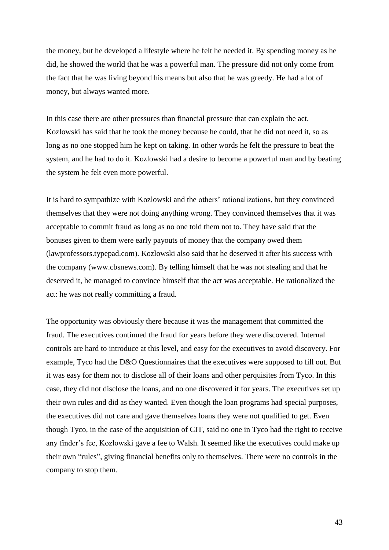the money, but he developed a lifestyle where he felt he needed it. By spending money as he did, he showed the world that he was a powerful man. The pressure did not only come from the fact that he was living beyond his means but also that he was greedy. He had a lot of money, but always wanted more.

In this case there are other pressures than financial pressure that can explain the act. Kozlowski has said that he took the money because he could, that he did not need it, so as long as no one stopped him he kept on taking. In other words he felt the pressure to beat the system, and he had to do it. Kozlowski had a desire to become a powerful man and by beating the system he felt even more powerful.

It is hard to sympathize with Kozlowski and the others' rationalizations, but they convinced themselves that they were not doing anything wrong. They convinced themselves that it was acceptable to commit fraud as long as no one told them not to. They have said that the bonuses given to them were early payouts of money that the company owed them (lawprofessors.typepad.com). Kozlowski also said that he deserved it after his success with the company [\(www.cbsnews.com\)](http://www.cbsnews.com/). By telling himself that he was not stealing and that he deserved it, he managed to convince himself that the act was acceptable. He rationalized the act: he was not really committing a fraud.

The opportunity was obviously there because it was the management that committed the fraud. The executives continued the fraud for years before they were discovered. Internal controls are hard to introduce at this level, and easy for the executives to avoid discovery. For example, Tyco had the D&O Questionnaires that the executives were supposed to fill out. But it was easy for them not to disclose all of their loans and other perquisites from Tyco. In this case, they did not disclose the loans, and no one discovered it for years. The executives set up their own rules and did as they wanted. Even though the loan programs had special purposes, the executives did not care and gave themselves loans they were not qualified to get. Even though Tyco, in the case of the acquisition of CIT, said no one in Tyco had the right to receive any finder's fee, Kozlowski gave a fee to Walsh. It seemed like the executives could make up their own "rules", giving financial benefits only to themselves. There were no controls in the company to stop them.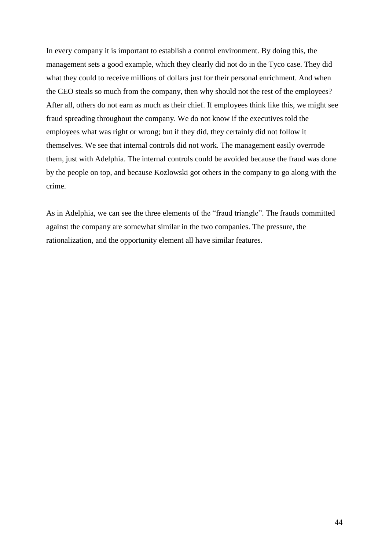In every company it is important to establish a control environment. By doing this, the management sets a good example, which they clearly did not do in the Tyco case. They did what they could to receive millions of dollars just for their personal enrichment. And when the CEO steals so much from the company, then why should not the rest of the employees? After all, others do not earn as much as their chief. If employees think like this, we might see fraud spreading throughout the company. We do not know if the executives told the employees what was right or wrong; but if they did, they certainly did not follow it themselves. We see that internal controls did not work. The management easily overrode them, just with Adelphia. The internal controls could be avoided because the fraud was done by the people on top, and because Kozlowski got others in the company to go along with the crime.

As in Adelphia, we can see the three elements of the "fraud triangle". The frauds committed against the company are somewhat similar in the two companies. The pressure, the rationalization, and the opportunity element all have similar features.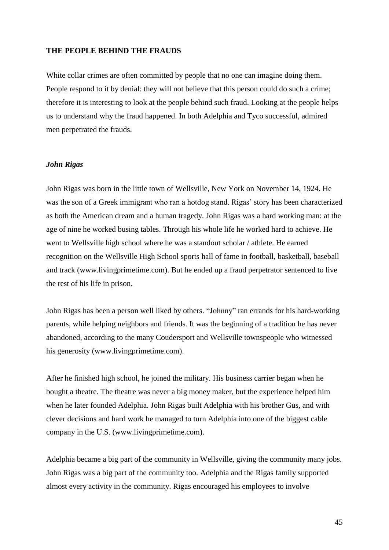## **THE PEOPLE BEHIND THE FRAUDS**

White collar crimes are often committed by people that no one can imagine doing them. People respond to it by denial: they will not believe that this person could do such a crime; therefore it is interesting to look at the people behind such fraud. Looking at the people helps us to understand why the fraud happened. In both Adelphia and Tyco successful, admired men perpetrated the frauds.

## *John Rigas*

John Rigas was born in the little town of Wellsville, New York on November 14, 1924. He was the son of a Greek immigrant who ran a hotdog stand. Rigas' story has been characterized as both the American dream and a human tragedy. John Rigas was a hard working man: at the age of nine he worked busing tables. Through his whole life he worked hard to achieve. He went to Wellsville high school where he was a standout scholar / athlete. He earned recognition on the Wellsville High School sports hall of fame in football, basketball, baseball and track (www.livingprimetime.com). But he ended up a fraud perpetrator sentenced to live the rest of his life in prison.

John Rigas has been a person well liked by others. "Johnny" ran errands for his hard-working parents, while helping neighbors and friends. It was the beginning of a tradition he has never abandoned, according to the many Coudersport and Wellsville townspeople who witnessed his generosity (www.livingprimetime.com).

After he finished high school, he joined the military. His business carrier began when he bought a theatre. The theatre was never a big money maker, but the experience helped him when he later founded Adelphia. John Rigas built Adelphia with his brother Gus, and with clever decisions and hard work he managed to turn Adelphia into one of the biggest cable company in the U.S. (www.livingprimetime.com).

Adelphia became a big part of the community in Wellsville, giving the community many jobs. John Rigas was a big part of the community too. Adelphia and the Rigas family supported almost every activity in the community. Rigas encouraged his employees to involve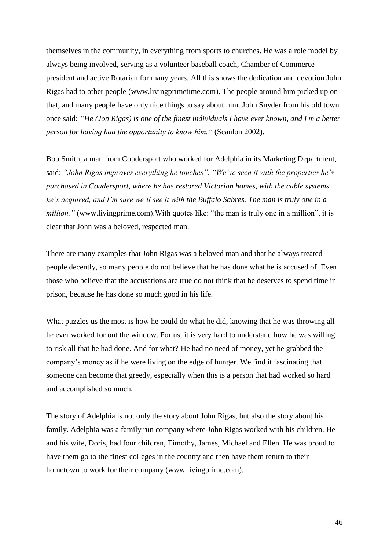themselves in the community, in everything from sports to churches. He was a role model by always being involved, serving as a volunteer baseball coach, Chamber of Commerce president and active Rotarian for many years. All this shows the dedication and devotion John Rigas had to other people (www.livingprimetime.com). The people around him picked up on that, and many people have only nice things to say about him. John Snyder from his old town once said: *"He (Jon Rigas) is one of the finest individuals I have ever known, and I'm a better person for having had the opportunity to know him."* (Scanlon 2002).

Bob Smith, a man from Coudersport who worked for Adelphia in its Marketing Department, said: *"John Rigas improves everything he touches". "We've seen it with the properties he's purchased in Coudersport, where he has restored Victorian homes, with the cable systems he's acquired, and I'm sure we'll see it with the Buffalo Sabres. The man is truly one in a million.*" [\(www.livingprime.com\)](http://www.livingprime.com/). With quotes like: "the man is truly one in a million", it is clear that John was a beloved, respected man.

There are many examples that John Rigas was a beloved man and that he always treated people decently, so many people do not believe that he has done what he is accused of. Even those who believe that the accusations are true do not think that he deserves to spend time in prison, because he has done so much good in his life.

What puzzles us the most is how he could do what he did, knowing that he was throwing all he ever worked for out the window. For us, it is very hard to understand how he was willing to risk all that he had done. And for what? He had no need of money, yet he grabbed the company's money as if he were living on the edge of hunger. We find it fascinating that someone can become that greedy, especially when this is a person that had worked so hard and accomplished so much.

The story of Adelphia is not only the story about John Rigas, but also the story about his family. Adelphia was a family run company where John Rigas worked with his children. He and his wife, Doris, had four children, Timothy, James, Michael and Ellen. He was proud to have them go to the finest colleges in the country and then have them return to their hometown to work for their company (www.livingprime.com).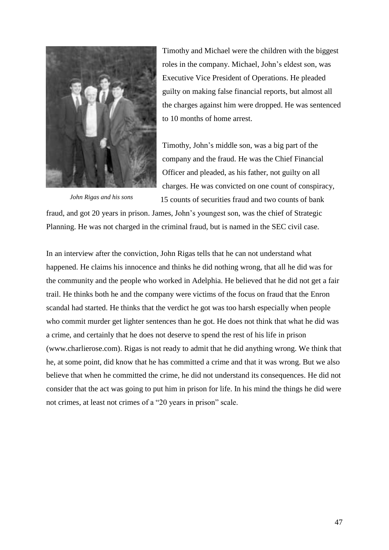

*John Rigas and his sons*

Timothy and Michael were the children with the biggest roles in the company. Michael, John's eldest son, was Executive Vice President of Operations. He pleaded guilty on making false financial reports, but almost all the charges against him were dropped. He was sentenced to 10 months of home arrest.

Timothy, John's middle son, was a big part of the company and the fraud. He was the Chief Financial Officer and pleaded, as his father, not guilty on all charges. He was convicted on one count of conspiracy, 15 counts of securities fraud and two counts of bank

fraud, and got 20 years in prison. James, John's youngest son, was the chief of Strategic Planning. He was not charged in the criminal fraud, but is named in the SEC civil case.

In an interview after the conviction, John Rigas tells that he can not understand what happened. He claims his innocence and thinks he did nothing wrong, that all he did was for the community and the people who worked in Adelphia. He believed that he did not get a fair trail. He thinks both he and the company were victims of the focus on fraud that the Enron scandal had started. He thinks that the verdict he got was too harsh especially when people who commit murder get lighter sentences than he got. He does not think that what he did was a crime, and certainly that he does not deserve to spend the rest of his life in prison (www.charlierose.com). Rigas is not ready to admit that he did anything wrong. We think that he, at some point, did know that he has committed a crime and that it was wrong. But we also believe that when he committed the crime, he did not understand its consequences. He did not consider that the act was going to put him in prison for life. In his mind the things he did were not crimes, at least not crimes of a "20 years in prison" scale.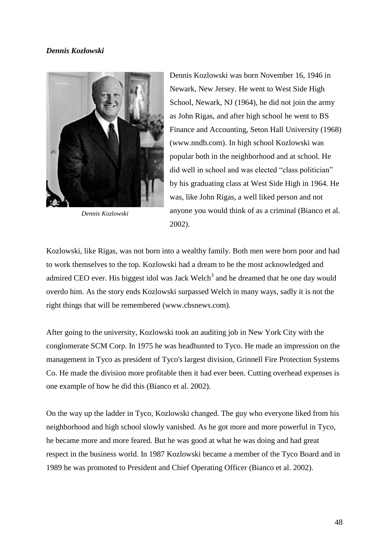# *Dennis Kozlowski*



*Dennis Kozlowski*

Dennis Kozlowski was born November 16, 1946 in Newark, New Jersey. He went to West Side High School, Newark, NJ (1964), he did not join the army as John Rigas, and after high school he went to [BS](http://www.nndb.com/edu/305/000069098/)  [Finance and Accounting, Seton Hall University \(1968\)](http://www.nndb.com/edu/305/000069098/) (www.nndb.com). In high school Kozlowski was popular both in the neighborhood and at school. He did well in school and was elected "class politician" by his graduating class at West Side High in 1964. He was, like John Rigas, a well liked person and not anyone you would think of as a criminal (Bianco et al. 2002).

Kozlowski, like Rigas, was not born into a wealthy family. Both men were born poor and had to work themselves to the top. Kozlowski had a dream to be the most acknowledged and admired CEO ever. His biggest idol was Jack Welch<sup>3</sup> and he dreamed that he one day would overdo him. As the story ends Kozlowski surpassed Welch in many ways, sadly it is not the right things that will be remembered (www.cbsnews.com).

After going to the university, Kozlowski took an auditing job in New York City with the conglomerate SCM Corp. In 1975 he was headhunted to Tyco. He made an impression on the management in Tyco as president of Tyco's largest division, Grinnell Fire Protection Systems Co. He made the division more profitable then it had ever been. Cutting overhead expenses is one example of how he did this (Bianco et al. 2002).

On the way up the ladder in Tyco, Kozlowski changed. The guy who everyone liked from his neighborhood and high school slowly vanished. As he got more and more powerful in Tyco, he became more and more feared. But he was good at what he was doing and had great respect in the business world. In 1987 Kozlowski became a member of the Tyco Board and in 1989 he was promoted to President and Chief Operating Officer (Bianco et al. 2002).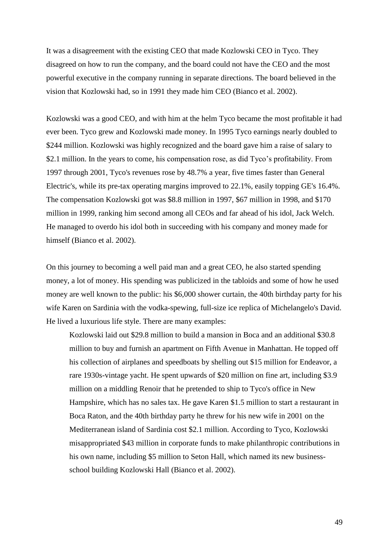It was a disagreement with the existing CEO that made Kozlowski CEO in Tyco. They disagreed on how to run the company, and the board could not have the CEO and the most powerful executive in the company running in separate directions. The board believed in the vision that Kozlowski had, so in 1991 they made him CEO (Bianco et al. 2002).

Kozlowski was a good CEO, and with him at the helm Tyco became the most profitable it had ever been. Tyco grew and Kozlowski made money. In 1995 Tyco earnings nearly doubled to \$244 million. Kozlowski was highly recognized and the board gave him a raise of salary to \$2.1 million. In the years to come, his compensation rose, as did Tyco's profitability. From 1997 through 2001, Tyco's revenues rose by 48.7% a year, five times faster than General Electric's, while its pre-tax operating margins improved to 22.1%, easily topping GE's 16.4%. The compensation Kozlowski got was \$8.8 million in 1997, \$67 million in 1998, and \$170 million in 1999, ranking him second among all CEOs and far ahead of his idol, Jack Welch. He managed to overdo his idol both in succeeding with his company and money made for himself (Bianco et al. 2002).

On this journey to becoming a well paid man and a great CEO, he also started spending money, a lot of money. His spending was publicized in the tabloids and some of how he used money are well known to the public: his \$6,000 shower curtain, the 40th birthday party for his wife Karen on Sardinia with the vodka-spewing, full-size ice replica of Michelangelo's David. He lived a luxurious life style. There are many examples:

Kozlowski laid out \$29.8 million to build a mansion in Boca and an additional \$30.8 million to buy and furnish an apartment on Fifth Avenue in Manhattan. He topped off his collection of airplanes and speedboats by shelling out \$15 million for Endeavor, a rare 1930s-vintage yacht. He spent upwards of \$20 million on fine art, including \$3.9 million on a middling Renoir that he pretended to ship to Tyco's office in New Hampshire, which has no sales tax. He gave Karen \$1.5 million to start a restaurant in Boca Raton, and the 40th birthday party he threw for his new wife in 2001 on the Mediterranean island of Sardinia cost \$2.1 million. According to Tyco, Kozlowski misappropriated \$43 million in corporate funds to make philanthropic contributions in his own name, including \$5 million to Seton Hall, which named its new businessschool building Kozlowski Hall (Bianco et al. 2002).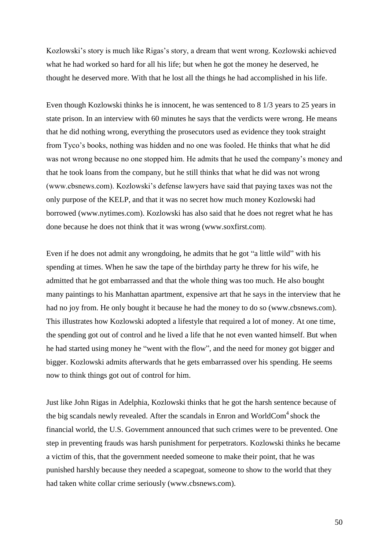Kozlowski's story is much like Rigas's story, a dream that went wrong. Kozlowski achieved what he had worked so hard for all his life; but when he got the money he deserved, he thought he deserved more. With that he lost all the things he had accomplished in his life.

Even though Kozlowski thinks he is innocent, he was sentenced to 8 1/3 years to 25 years in state prison. In an interview with 60 minutes he says that the verdicts were wrong. He means that he did nothing wrong, everything the prosecutors used as evidence they took straight from Tyco's books, nothing was hidden and no one was fooled. He thinks that what he did was not wrong because no one stopped him. He admits that he used the company's money and that he took loans from the company, but he still thinks that what he did was not wrong (www.cbsnews.com). Kozlowski's defense lawyers have said that paying taxes was not the only purpose of the KELP, and that it was no secret how much money Kozlowski had borrowed (www.nytimes.com). Kozlowski has also said that he does not regret what he has done because he does not think that it was wrong (www.soxfirst.com).

Even if he does not admit any wrongdoing, he admits that he got "a little wild" with his spending at times. When he saw the tape of the birthday party he threw for his wife, he admitted that he got embarrassed and that the whole thing was too much. He also bought many paintings to his Manhattan apartment, expensive art that he says in the interview that he had no joy from. He only bought it because he had the money to do so (www.cbsnews.com). This illustrates how Kozlowski adopted a lifestyle that required a lot of money. At one time, the spending got out of control and he lived a life that he not even wanted himself. But when he had started using money he "went with the flow", and the need for money got bigger and bigger. Kozlowski admits afterwards that he gets embarrassed over his spending. He seems now to think things got out of control for him.

Just like John Rigas in Adelphia, Kozlowski thinks that he got the harsh sentence because of the big scandals newly revealed. After the scandals in Enron and WorldCom<sup>4</sup> shock the financial world, the U.S. Government announced that such crimes were to be prevented. One step in preventing frauds was harsh punishment for perpetrators. Kozlowski thinks he became a victim of this, that the government needed someone to make their point, that he was punished harshly because they needed a scapegoat, someone to show to the world that they had taken white collar crime seriously [\(www.cbsnews.com\)](http://www.cbsnews.com/).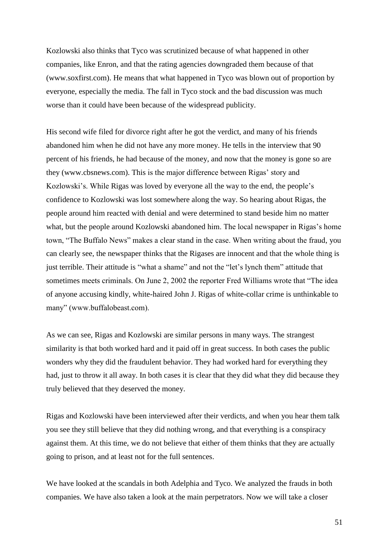Kozlowski also thinks that Tyco was scrutinized because of what happened in other companies, like Enron, and that the rating agencies downgraded them because of that (www.soxfirst.com). He means that what happened in Tyco was blown out of proportion by everyone, especially the media. The fall in Tyco stock and the bad discussion was much worse than it could have been because of the widespread publicity.

His second wife filed for divorce right after he got the verdict, and many of his friends abandoned him when he did not have any more money. He tells in the interview that 90 percent of his friends, he had because of the money, and now that the money is gone so are they (www.cbsnews.com). This is the major difference between Rigas' story and Kozlowski's. While Rigas was loved by everyone all the way to the end, the people's confidence to Kozlowski was lost somewhere along the way. So hearing about Rigas, the people around him reacted with denial and were determined to stand beside him no matter what, but the people around Kozlowski abandoned him. The local newspaper in Rigas's home town, "The Buffalo News" makes a clear stand in the case. When writing about the fraud, you can clearly see, the newspaper thinks that the Rigases are innocent and that the whole thing is just terrible. Their attitude is "what a shame" and not the "let's lynch them" attitude that sometimes meets criminals. On June 2, 2002 the reporter Fred Williams wrote that "The idea of anyone accusing kindly, white-haired John J. Rigas of white-collar crime is unthinkable to many" (www.buffalobeast.com).

As we can see, Rigas and Kozlowski are similar persons in many ways. The strangest similarity is that both worked hard and it paid off in great success. In both cases the public wonders why they did the fraudulent behavior. They had worked hard for everything they had, just to throw it all away. In both cases it is clear that they did what they did because they truly believed that they deserved the money.

Rigas and Kozlowski have been interviewed after their verdicts, and when you hear them talk you see they still believe that they did nothing wrong, and that everything is a conspiracy against them. At this time, we do not believe that either of them thinks that they are actually going to prison, and at least not for the full sentences.

We have looked at the scandals in both Adelphia and Tyco. We analyzed the frauds in both companies. We have also taken a look at the main perpetrators. Now we will take a closer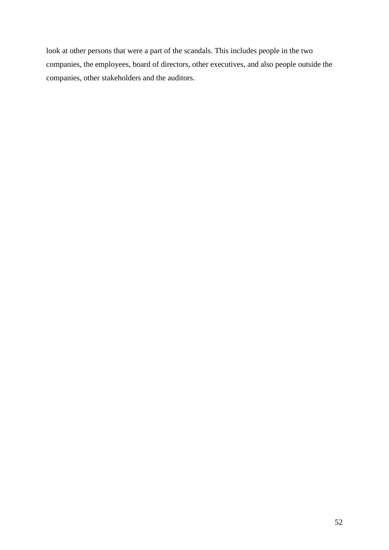look at other persons that were a part of the scandals. This includes people in the two companies, the employees, board of directors, other executives, and also people outside the companies, other stakeholders and the auditors.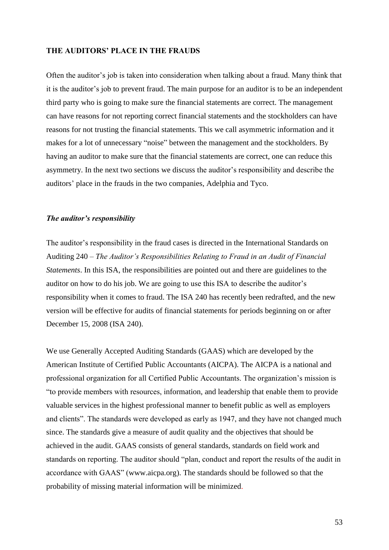## **THE AUDITORS' PLACE IN THE FRAUDS**

Often the auditor's job is taken into consideration when talking about a fraud. Many think that it is the auditor's job to prevent fraud. The main purpose for an auditor is to be an independent third party who is going to make sure the financial statements are correct. The management can have reasons for not reporting correct financial statements and the stockholders can have reasons for not trusting the financial statements. This we call asymmetric information and it makes for a lot of unnecessary "noise" between the management and the stockholders. By having an auditor to make sure that the financial statements are correct, one can reduce this asymmetry. In the next two sections we discuss the auditor's responsibility and describe the auditors' place in the frauds in the two companies, Adelphia and Tyco.

#### *The auditor's responsibility*

The auditor's responsibility in the fraud cases is directed in the International Standards on Auditing 240 – *The Auditor's Responsibilities Relating to Fraud in an Audit of Financial Statements*. In this ISA, the responsibilities are pointed out and there are guidelines to the auditor on how to do his job. We are going to use this ISA to describe the auditor's responsibility when it comes to fraud. The ISA 240 has recently been redrafted, and the new version will be effective for audits of financial statements for periods beginning on or after December 15, 2008 (ISA 240).

We use Generally Accepted Auditing Standards (GAAS) which are developed by the American Institute of Certified Public Accountants (AICPA). The AICPA is a national and professional organization for all Certified Public Accountants. The organization's mission is "to provide members with resources, information, and leadership that enable them to provide valuable services in the highest professional manner to benefit public as well as employers and clients". The standards were developed as early as 1947, and they have not changed much since. The standards give a measure of audit quality and the objectives that should be achieved in the audit. GAAS consists of general standards, standards on field work and standards on reporting. The auditor should "plan, conduct and report the results of the audit in accordance with GAAS" (www.aicpa.org). The standards should be followed so that the probability of missing material information will be minimized.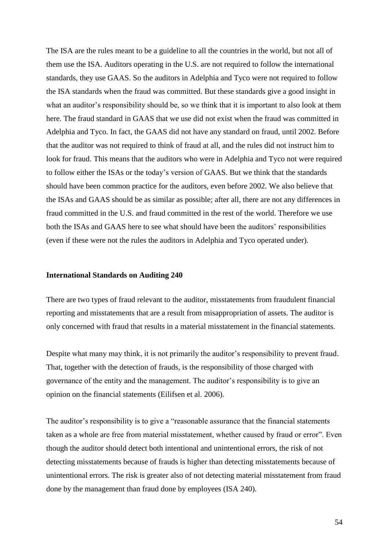The ISA are the rules meant to be a guideline to all the countries in the world, but not all of them use the ISA. Auditors operating in the U.S. are not required to follow the international standards, they use GAAS. So the auditors in Adelphia and Tyco were not required to follow the ISA standards when the fraud was committed. But these standards give a good insight in what an auditor's responsibility should be, so we think that it is important to also look at them here. The fraud standard in GAAS that we use did not exist when the fraud was committed in Adelphia and Tyco. In fact, the GAAS did not have any standard on fraud, until 2002. Before that the auditor was not required to think of fraud at all, and the rules did not instruct him to look for fraud. This means that the auditors who were in Adelphia and Tyco not were required to follow either the ISAs or the today's version of GAAS. But we think that the standards should have been common practice for the auditors, even before 2002. We also believe that the ISAs and GAAS should be as similar as possible; after all, there are not any differences in fraud committed in the U.S. and fraud committed in the rest of the world. Therefore we use both the ISAs and GAAS here to see what should have been the auditors' responsibilities (even if these were not the rules the auditors in Adelphia and Tyco operated under).

#### **International Standards on Auditing 240**

There are two types of fraud relevant to the auditor, misstatements from fraudulent financial reporting and misstatements that are a result from misappropriation of assets. The auditor is only concerned with fraud that results in a material misstatement in the financial statements.

Despite what many may think, it is not primarily the auditor's responsibility to prevent fraud. That, together with the detection of frauds, is the responsibility of those charged with governance of the entity and the management. The auditor's responsibility is to give an opinion on the financial statements (Eilifsen et al. 2006).

The auditor's responsibility is to give a "reasonable assurance that the financial statements taken as a whole are free from material misstatement, whether caused by fraud or error". Even though the auditor should detect both intentional and unintentional errors, the risk of not detecting misstatements because of frauds is higher than detecting misstatements because of unintentional errors. The risk is greater also of not detecting material misstatement from fraud done by the management than fraud done by employees (ISA 240).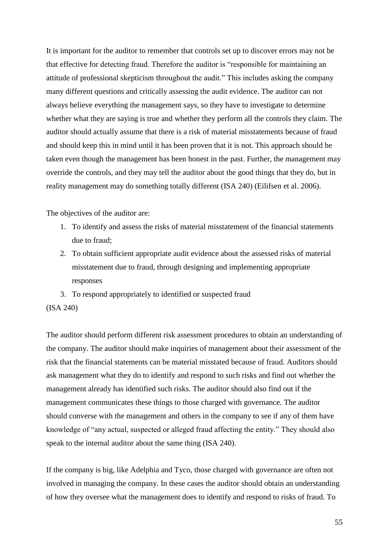It is important for the auditor to remember that controls set up to discover errors may not be that effective for detecting fraud. Therefore the auditor is "responsible for maintaining an attitude of professional skepticism throughout the audit." This includes asking the company many different questions and critically assessing the audit evidence. The auditor can not always believe everything the management says, so they have to investigate to determine whether what they are saying is true and whether they perform all the controls they claim. The auditor should actually assume that there is a risk of material misstatements because of fraud and should keep this in mind until it has been proven that it is not. This approach should be taken even though the management has been honest in the past. Further, the management may override the controls, and they may tell the auditor about the good things that they do, but in reality management may do something totally different (ISA 240) (Eilifsen et al. 2006).

The objectives of the auditor are:

- 1. To identify and assess the risks of material misstatement of the financial statements due to fraud;
- 2. To obtain sufficient appropriate audit evidence about the assessed risks of material misstatement due to fraud, through designing and implementing appropriate responses
- 3. To respond appropriately to identified or suspected fraud

### (ISA 240)

The auditor should perform different risk assessment procedures to obtain an understanding of the company. The auditor should make inquiries of management about their assessment of the risk that the financial statements can be material misstated because of fraud. Auditors should ask management what they do to identify and respond to such risks and find out whether the management already has identified such risks. The auditor should also find out if the management communicates these things to those charged with governance. The auditor should converse with the management and others in the company to see if any of them have knowledge of "any actual, suspected or alleged fraud affecting the entity." They should also speak to the internal auditor about the same thing (ISA 240).

If the company is big, like Adelphia and Tyco, those charged with governance are often not involved in managing the company. In these cases the auditor should obtain an understanding of how they oversee what the management does to identify and respond to risks of fraud. To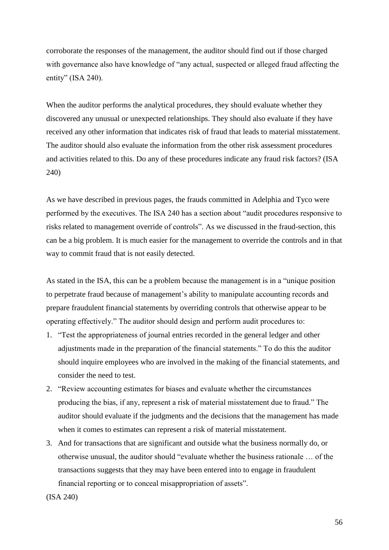corroborate the responses of the management, the auditor should find out if those charged with governance also have knowledge of "any actual, suspected or alleged fraud affecting the entity" (ISA 240).

When the auditor performs the analytical procedures, they should evaluate whether they discovered any unusual or unexpected relationships. They should also evaluate if they have received any other information that indicates risk of fraud that leads to material misstatement. The auditor should also evaluate the information from the other risk assessment procedures and activities related to this. Do any of these procedures indicate any fraud risk factors? (ISA 240)

As we have described in previous pages, the frauds committed in Adelphia and Tyco were performed by the executives. The ISA 240 has a section about "audit procedures responsive to risks related to management override of controls". As we discussed in the fraud-section, this can be a big problem. It is much easier for the management to override the controls and in that way to commit fraud that is not easily detected.

As stated in the ISA, this can be a problem because the management is in a "unique position to perpetrate fraud because of management's ability to manipulate accounting records and prepare fraudulent financial statements by overriding controls that otherwise appear to be operating effectively." The auditor should design and perform audit procedures to:

- 1. "Test the appropriateness of journal entries recorded in the general ledger and other adjustments made in the preparation of the financial statements." To do this the auditor should inquire employees who are involved in the making of the financial statements, and consider the need to test.
- 2. "Review accounting estimates for biases and evaluate whether the circumstances producing the bias, if any, represent a risk of material misstatement due to fraud." The auditor should evaluate if the judgments and the decisions that the management has made when it comes to estimates can represent a risk of material misstatement.
- 3. And for transactions that are significant and outside what the business normally do, or otherwise unusual, the auditor should "evaluate whether the business rationale … of the transactions suggests that they may have been entered into to engage in fraudulent financial reporting or to conceal misappropriation of assets".
- (ISA 240)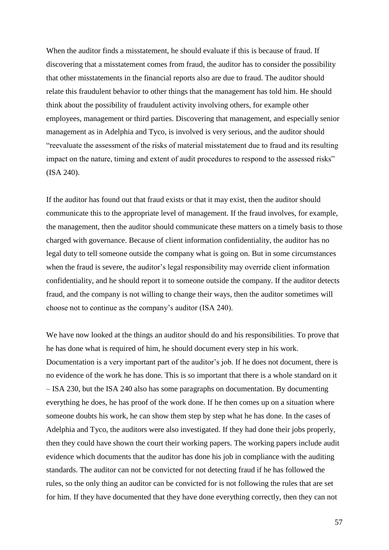When the auditor finds a misstatement, he should evaluate if this is because of fraud. If discovering that a misstatement comes from fraud, the auditor has to consider the possibility that other misstatements in the financial reports also are due to fraud. The auditor should relate this fraudulent behavior to other things that the management has told him. He should think about the possibility of fraudulent activity involving others, for example other employees, management or third parties. Discovering that management, and especially senior management as in Adelphia and Tyco, is involved is very serious, and the auditor should "reevaluate the assessment of the risks of material misstatement due to fraud and its resulting impact on the nature, timing and extent of audit procedures to respond to the assessed risks" (ISA 240).

If the auditor has found out that fraud exists or that it may exist, then the auditor should communicate this to the appropriate level of management. If the fraud involves, for example, the management, then the auditor should communicate these matters on a timely basis to those charged with governance. Because of client information confidentiality, the auditor has no legal duty to tell someone outside the company what is going on. But in some circumstances when the fraud is severe, the auditor's legal responsibility may override client information confidentiality, and he should report it to someone outside the company. If the auditor detects fraud, and the company is not willing to change their ways, then the auditor sometimes will choose not to continue as the company's auditor (ISA 240).

We have now looked at the things an auditor should do and his responsibilities. To prove that he has done what is required of him, he should document every step in his work. Documentation is a very important part of the auditor's job. If he does not document, there is no evidence of the work he has done. This is so important that there is a whole standard on it – ISA 230, but the ISA 240 also has some paragraphs on documentation. By documenting everything he does, he has proof of the work done. If he then comes up on a situation where someone doubts his work, he can show them step by step what he has done. In the cases of Adelphia and Tyco, the auditors were also investigated. If they had done their jobs properly, then they could have shown the court their working papers. The working papers include audit evidence which documents that the auditor has done his job in compliance with the auditing standards. The auditor can not be convicted for not detecting fraud if he has followed the rules, so the only thing an auditor can be convicted for is not following the rules that are set for him. If they have documented that they have done everything correctly, then they can not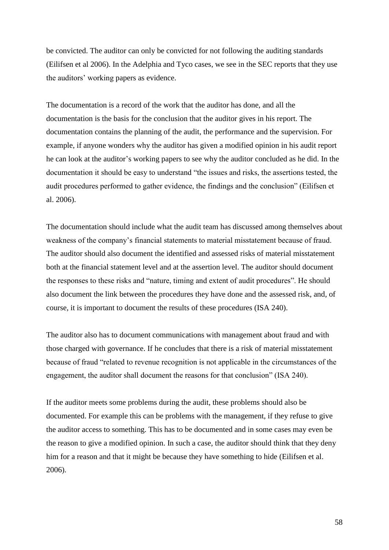be convicted. The auditor can only be convicted for not following the auditing standards (Eilifsen et al 2006). In the Adelphia and Tyco cases, we see in the SEC reports that they use the auditors' working papers as evidence.

The documentation is a record of the work that the auditor has done, and all the documentation is the basis for the conclusion that the auditor gives in his report. The documentation contains the planning of the audit, the performance and the supervision. For example, if anyone wonders why the auditor has given a modified opinion in his audit report he can look at the auditor's working papers to see why the auditor concluded as he did. In the documentation it should be easy to understand "the issues and risks, the assertions tested, the audit procedures performed to gather evidence, the findings and the conclusion" (Eilifsen et al. 2006).

The documentation should include what the audit team has discussed among themselves about weakness of the company's financial statements to material misstatement because of fraud. The auditor should also document the identified and assessed risks of material misstatement both at the financial statement level and at the assertion level. The auditor should document the responses to these risks and "nature, timing and extent of audit procedures". He should also document the link between the procedures they have done and the assessed risk, and, of course, it is important to document the results of these procedures (ISA 240).

The auditor also has to document communications with management about fraud and with those charged with governance. If he concludes that there is a risk of material misstatement because of fraud "related to revenue recognition is not applicable in the circumstances of the engagement, the auditor shall document the reasons for that conclusion" (ISA 240).

If the auditor meets some problems during the audit, these problems should also be documented. For example this can be problems with the management, if they refuse to give the auditor access to something. This has to be documented and in some cases may even be the reason to give a modified opinion. In such a case, the auditor should think that they deny him for a reason and that it might be because they have something to hide (Eilifsen et al. 2006).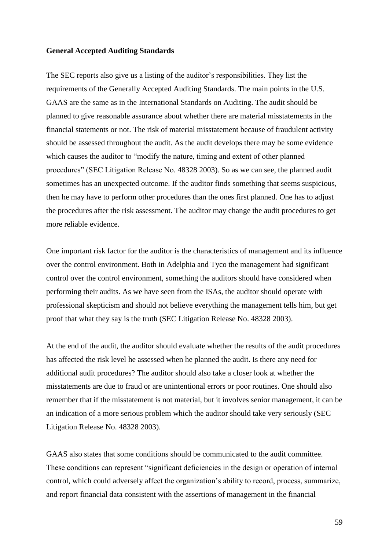### **General Accepted Auditing Standards**

The SEC reports also give us a listing of the auditor's responsibilities. They list the requirements of the Generally Accepted Auditing Standards. The main points in the U.S. GAAS are the same as in the International Standards on Auditing. The audit should be planned to give reasonable assurance about whether there are material misstatements in the financial statements or not. The risk of material misstatement because of fraudulent activity should be assessed throughout the audit. As the audit develops there may be some evidence which causes the auditor to "modify the nature, timing and extent of other planned procedures" (SEC Litigation Release No. 48328 2003). So as we can see, the planned audit sometimes has an unexpected outcome. If the auditor finds something that seems suspicious, then he may have to perform other procedures than the ones first planned. One has to adjust the procedures after the risk assessment. The auditor may change the audit procedures to get more reliable evidence.

One important risk factor for the auditor is the characteristics of management and its influence over the control environment. Both in Adelphia and Tyco the management had significant control over the control environment, something the auditors should have considered when performing their audits. As we have seen from the ISAs, the auditor should operate with professional skepticism and should not believe everything the management tells him, but get proof that what they say is the truth (SEC Litigation Release No. 48328 2003).

At the end of the audit, the auditor should evaluate whether the results of the audit procedures has affected the risk level he assessed when he planned the audit. Is there any need for additional audit procedures? The auditor should also take a closer look at whether the misstatements are due to fraud or are unintentional errors or poor routines. One should also remember that if the misstatement is not material, but it involves senior management, it can be an indication of a more serious problem which the auditor should take very seriously (SEC Litigation Release No. 48328 2003).

GAAS also states that some conditions should be communicated to the audit committee. These conditions can represent "significant deficiencies in the design or operation of internal control, which could adversely affect the organization's ability to record, process, summarize, and report financial data consistent with the assertions of management in the financial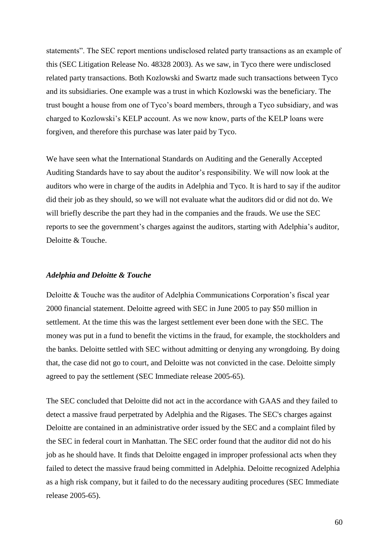statements". The SEC report mentions undisclosed related party transactions as an example of this (SEC Litigation Release No. 48328 2003). As we saw, in Tyco there were undisclosed related party transactions. Both Kozlowski and Swartz made such transactions between Tyco and its subsidiaries. One example was a trust in which Kozlowski was the beneficiary. The trust bought a house from one of Tyco's board members, through a Tyco subsidiary, and was charged to Kozlowski's KELP account. As we now know, parts of the KELP loans were forgiven, and therefore this purchase was later paid by Tyco.

We have seen what the International Standards on Auditing and the Generally Accepted Auditing Standards have to say about the auditor's responsibility. We will now look at the auditors who were in charge of the audits in Adelphia and Tyco. It is hard to say if the auditor did their job as they should, so we will not evaluate what the auditors did or did not do. We will briefly describe the part they had in the companies and the frauds. We use the SEC reports to see the government's charges against the auditors, starting with Adelphia's auditor, Deloitte & Touche.

## *Adelphia and Deloitte & Touche*

Deloitte & Touche was the auditor of Adelphia Communications Corporation's fiscal year 2000 financial statement. Deloitte agreed with SEC in June 2005 to pay \$50 million in settlement. At the time this was the largest settlement ever been done with the SEC. The money was put in a fund to benefit the victims in the fraud, for example, the stockholders and the banks. Deloitte settled with SEC without admitting or denying any wrongdoing. By doing that, the case did not go to court, and Deloitte was not convicted in the case. Deloitte simply agreed to pay the settlement (SEC Immediate release 2005-65).

The SEC concluded that Deloitte did not act in the accordance with GAAS and they failed to detect a massive fraud perpetrated by Adelphia and the Rigases. The SEC's charges against Deloitte are contained in an administrative order issued by the SEC and a complaint filed by the SEC in federal court in Manhattan. The SEC order found that the auditor did not do his job as he should have. It finds that Deloitte engaged in improper professional acts when they failed to detect the massive fraud being committed in Adelphia. Deloitte recognized Adelphia as a high risk company, but it failed to do the necessary auditing procedures (SEC Immediate release 2005-65).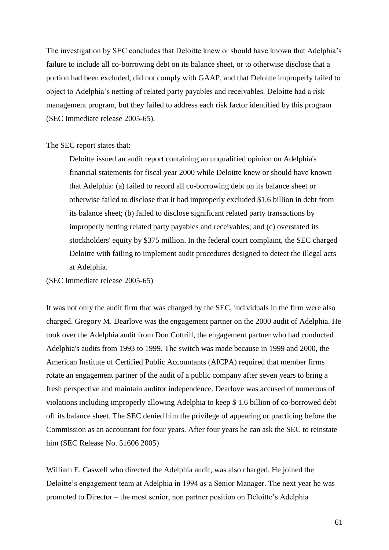The investigation by SEC concludes that Deloitte knew or should have known that Adelphia's failure to include all co-borrowing debt on its balance sheet, or to otherwise disclose that a portion had been excluded, did not comply with GAAP, and that Deloitte improperly failed to object to Adelphia's netting of related party payables and receivables. Deloitte had a risk management program, but they failed to address each risk factor identified by this program (SEC Immediate release 2005-65).

#### The SEC report states that:

Deloitte issued an audit report containing an unqualified opinion on Adelphia's financial statements for fiscal year 2000 while Deloitte knew or should have known that Adelphia: (a) failed to record all co-borrowing debt on its balance sheet or otherwise failed to disclose that it had improperly excluded \$1.6 billion in debt from its balance sheet; (b) failed to disclose significant related party transactions by improperly netting related party payables and receivables; and (c) overstated its stockholders' equity by \$375 million. In the federal court complaint, the SEC charged Deloitte with failing to implement audit procedures designed to detect the illegal acts at Adelphia.

(SEC Immediate release 2005-65)

It was not only the audit firm that was charged by the SEC, individuals in the firm were also charged. Gregory M. Dearlove was the engagement partner on the 2000 audit of Adelphia. He took over the Adelphia audit from Don Cottrill, the engagement partner who had conducted Adelphia's audits from 1993 to 1999. The switch was made because in 1999 and 2000, the American Institute of Certified Public Accountants (AICPA) required that member firms rotate an engagement partner of the audit of a public company after seven years to bring a fresh perspective and maintain auditor independence. Dearlove was accused of numerous of violations including improperly allowing Adelphia to keep \$ 1.6 billion of co-borrowed debt off its balance sheet. The SEC denied him the privilege of appearing or practicing before the Commission as an accountant for four years. After four years he can ask the SEC to reinstate him (SEC Release No. 51606 2005)

William E. Caswell who directed the Adelphia audit, was also charged. He joined the Deloitte's engagement team at Adelphia in 1994 as a Senior Manager. The next year he was promoted to Director – the most senior, non partner position on Deloitte's Adelphia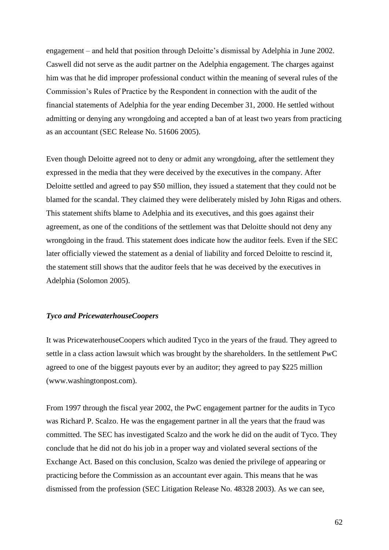engagement – and held that position through Deloitte's dismissal by Adelphia in June 2002. Caswell did not serve as the audit partner on the Adelphia engagement. The charges against him was that he did improper professional conduct within the meaning of several rules of the Commission's Rules of Practice by the Respondent in connection with the audit of the financial statements of Adelphia for the year ending December 31, 2000. He settled without admitting or denying any wrongdoing and accepted a ban of at least two years from practicing as an accountant (SEC Release No. 51606 2005).

Even though Deloitte agreed not to deny or admit any wrongdoing, after the settlement they expressed in the media that they were deceived by the executives in the company. After Deloitte settled and agreed to pay \$50 million, they issued a statement that they could not be blamed for the scandal. They claimed they were deliberately misled by John Rigas and others. This statement shifts blame to Adelphia and its executives, and this goes against their agreement, as one of the conditions of the settlement was that Deloitte should not deny any wrongdoing in the fraud. This statement does indicate how the auditor feels. Even if the SEC later officially viewed the statement as a denial of liability and forced Deloitte to rescind it, the statement still shows that the auditor feels that he was deceived by the executives in Adelphia (Solomon 2005).

# *Tyco and PricewaterhouseCoopers*

It was PricewaterhouseCoopers which audited Tyco in the years of the fraud. They agreed to settle in a class action lawsuit which was brought by the shareholders. In the settlement PwC agreed to one of the biggest payouts ever by an auditor; they agreed to pay \$225 million (www.washingtonpost.com).

From 1997 through the fiscal year 2002, the PwC engagement partner for the audits in Tyco was Richard P. Scalzo. He was the engagement partner in all the years that the fraud was committed. The SEC has investigated Scalzo and the work he did on the audit of Tyco. They conclude that he did not do his job in a proper way and violated several sections of the Exchange Act. Based on this conclusion, Scalzo was denied the privilege of appearing or practicing before the Commission as an accountant ever again. This means that he was dismissed from the profession (SEC Litigation Release No. 48328 2003). As we can see,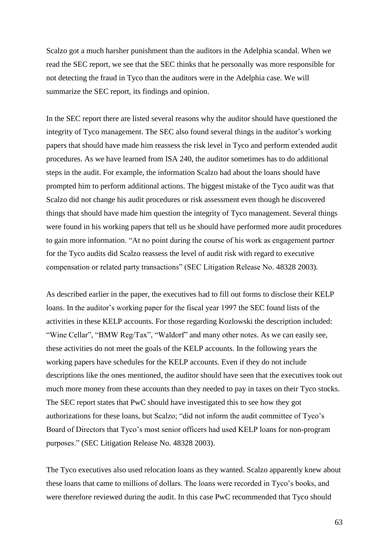Scalzo got a much harsher punishment than the auditors in the Adelphia scandal. When we read the SEC report, we see that the SEC thinks that he personally was more responsible for not detecting the fraud in Tyco than the auditors were in the Adelphia case. We will summarize the SEC report, its findings and opinion.

In the SEC report there are listed several reasons why the auditor should have questioned the integrity of Tyco management. The SEC also found several things in the auditor's working papers that should have made him reassess the risk level in Tyco and perform extended audit procedures. As we have learned from ISA 240, the auditor sometimes has to do additional steps in the audit. For example, the information Scalzo had about the loans should have prompted him to perform additional actions. The biggest mistake of the Tyco audit was that Scalzo did not change his audit procedures or risk assessment even though he discovered things that should have made him question the integrity of Tyco management. Several things were found in his working papers that tell us he should have performed more audit procedures to gain more information. "At no point during the course of his work as engagement partner for the Tyco audits did Scalzo reassess the level of audit risk with regard to executive compensation or related party transactions" (SEC Litigation Release No. 48328 2003).

As described earlier in the paper, the executives had to fill out forms to disclose their KELP loans. In the auditor's working paper for the fiscal year 1997 the SEC found lists of the activities in these KELP accounts. For those regarding Kozlowski the description included: "Wine Cellar", "BMW Reg/Tax", "Waldorf" and many other notes. As we can easily see, these activities do not meet the goals of the KELP accounts. In the following years the working papers have schedules for the KELP accounts. Even if they do not include descriptions like the ones mentioned, the auditor should have seen that the executives took out much more money from these accounts than they needed to pay in taxes on their Tyco stocks. The SEC report states that PwC should have investigated this to see how they got authorizations for these loans, but Scalzo; "did not inform the audit committee of Tyco's Board of Directors that Tyco's most senior officers had used KELP loans for non-program purposes." (SEC Litigation Release No. 48328 2003).

The Tyco executives also used relocation loans as they wanted. Scalzo apparently knew about these loans that came to millions of dollars. The loans were recorded in Tyco's books, and were therefore reviewed during the audit. In this case PwC recommended that Tyco should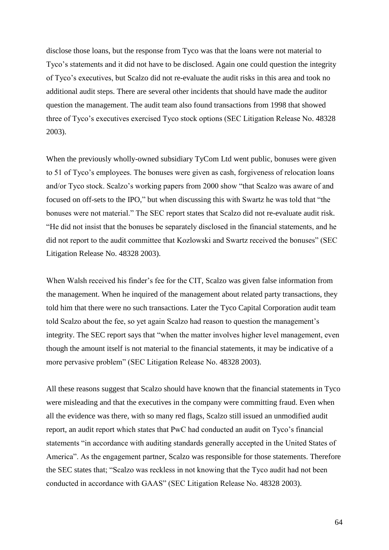disclose those loans, but the response from Tyco was that the loans were not material to Tyco's statements and it did not have to be disclosed. Again one could question the integrity of Tyco's executives, but Scalzo did not re-evaluate the audit risks in this area and took no additional audit steps. There are several other incidents that should have made the auditor question the management. The audit team also found transactions from 1998 that showed three of Tyco's executives exercised Tyco stock options (SEC Litigation Release No. 48328 2003).

When the previously wholly-owned subsidiary TyCom Ltd went public, bonuses were given to 51 of Tyco's employees. The bonuses were given as cash, forgiveness of relocation loans and/or Tyco stock. Scalzo's working papers from 2000 show "that Scalzo was aware of and focused on off-sets to the IPO," but when discussing this with Swartz he was told that "the bonuses were not material." The SEC report states that Scalzo did not re-evaluate audit risk. "He did not insist that the bonuses be separately disclosed in the financial statements, and he did not report to the audit committee that Kozlowski and Swartz received the bonuses" (SEC Litigation Release No. 48328 2003).

When Walsh received his finder's fee for the CIT, Scalzo was given false information from the management. When he inquired of the management about related party transactions, they told him that there were no such transactions. Later the Tyco Capital Corporation audit team told Scalzo about the fee, so yet again Scalzo had reason to question the management's integrity. The SEC report says that "when the matter involves higher level management, even though the amount itself is not material to the financial statements, it may be indicative of a more pervasive problem" (SEC Litigation Release No. 48328 2003).

All these reasons suggest that Scalzo should have known that the financial statements in Tyco were misleading and that the executives in the company were committing fraud. Even when all the evidence was there, with so many red flags, Scalzo still issued an unmodified audit report, an audit report which states that PwC had conducted an audit on Tyco's financial statements "in accordance with auditing standards generally accepted in the United States of America". As the engagement partner, Scalzo was responsible for those statements. Therefore the SEC states that; "Scalzo was reckless in not knowing that the Tyco audit had not been conducted in accordance with GAAS" (SEC Litigation Release No. 48328 2003).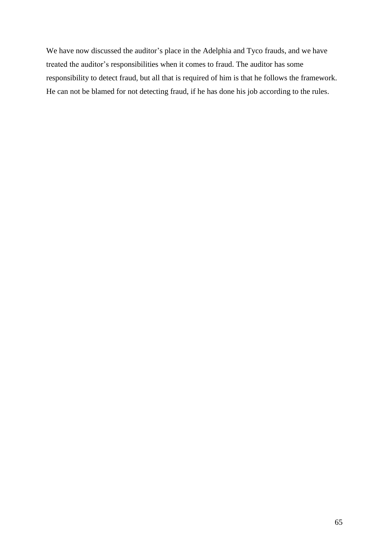We have now discussed the auditor's place in the Adelphia and Tyco frauds, and we have treated the auditor's responsibilities when it comes to fraud. The auditor has some responsibility to detect fraud, but all that is required of him is that he follows the framework. He can not be blamed for not detecting fraud, if he has done his job according to the rules.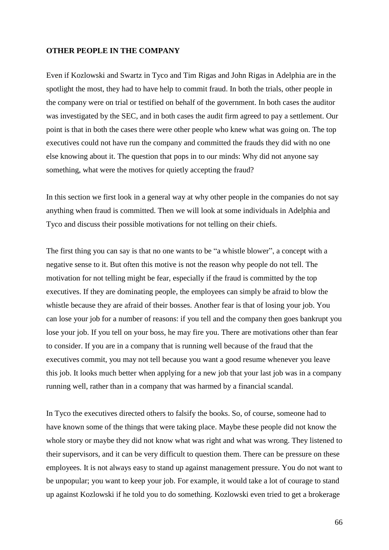# **OTHER PEOPLE IN THE COMPANY**

Even if Kozlowski and Swartz in Tyco and Tim Rigas and John Rigas in Adelphia are in the spotlight the most, they had to have help to commit fraud. In both the trials, other people in the company were on trial or testified on behalf of the government. In both cases the auditor was investigated by the SEC, and in both cases the audit firm agreed to pay a settlement. Our point is that in both the cases there were other people who knew what was going on. The top executives could not have run the company and committed the frauds they did with no one else knowing about it. The question that pops in to our minds: Why did not anyone say something, what were the motives for quietly accepting the fraud?

In this section we first look in a general way at why other people in the companies do not say anything when fraud is committed. Then we will look at some individuals in Adelphia and Tyco and discuss their possible motivations for not telling on their chiefs.

The first thing you can say is that no one wants to be "a whistle blower", a concept with a negative sense to it. But often this motive is not the reason why people do not tell. The motivation for not telling might be fear, especially if the fraud is committed by the top executives. If they are dominating people, the employees can simply be afraid to blow the whistle because they are afraid of their bosses. Another fear is that of losing your job. You can lose your job for a number of reasons: if you tell and the company then goes bankrupt you lose your job. If you tell on your boss, he may fire you. There are motivations other than fear to consider. If you are in a company that is running well because of the fraud that the executives commit, you may not tell because you want a good resume whenever you leave this job. It looks much better when applying for a new job that your last job was in a company running well, rather than in a company that was harmed by a financial scandal.

In Tyco the executives directed others to falsify the books. So, of course, someone had to have known some of the things that were taking place. Maybe these people did not know the whole story or maybe they did not know what was right and what was wrong. They listened to their supervisors, and it can be very difficult to question them. There can be pressure on these employees. It is not always easy to stand up against management pressure. You do not want to be unpopular; you want to keep your job. For example, it would take a lot of courage to stand up against Kozlowski if he told you to do something. Kozlowski even tried to get a brokerage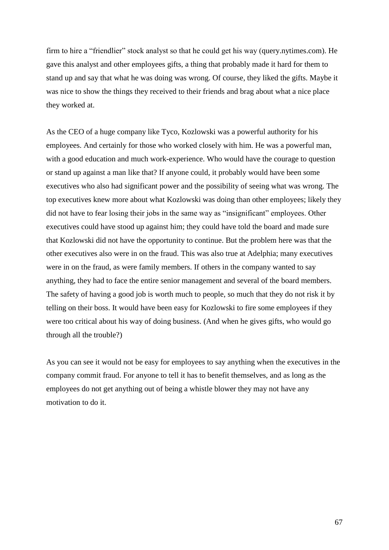firm to hire a "friendlier" stock analyst so that he could get his way (query.nytimes.com). He gave this analyst and other employees gifts, a thing that probably made it hard for them to stand up and say that what he was doing was wrong. Of course, they liked the gifts. Maybe it was nice to show the things they received to their friends and brag about what a nice place they worked at.

As the CEO of a huge company like Tyco, Kozlowski was a powerful authority for his employees. And certainly for those who worked closely with him. He was a powerful man, with a good education and much work-experience. Who would have the courage to question or stand up against a man like that? If anyone could, it probably would have been some executives who also had significant power and the possibility of seeing what was wrong. The top executives knew more about what Kozlowski was doing than other employees; likely they did not have to fear losing their jobs in the same way as "insignificant" employees. Other executives could have stood up against him; they could have told the board and made sure that Kozlowski did not have the opportunity to continue. But the problem here was that the other executives also were in on the fraud. This was also true at Adelphia; many executives were in on the fraud, as were family members. If others in the company wanted to say anything, they had to face the entire senior management and several of the board members. The safety of having a good job is worth much to people, so much that they do not risk it by telling on their boss. It would have been easy for Kozlowski to fire some employees if they were too critical about his way of doing business. (And when he gives gifts, who would go through all the trouble?)

As you can see it would not be easy for employees to say anything when the executives in the company commit fraud. For anyone to tell it has to benefit themselves, and as long as the employees do not get anything out of being a whistle blower they may not have any motivation to do it.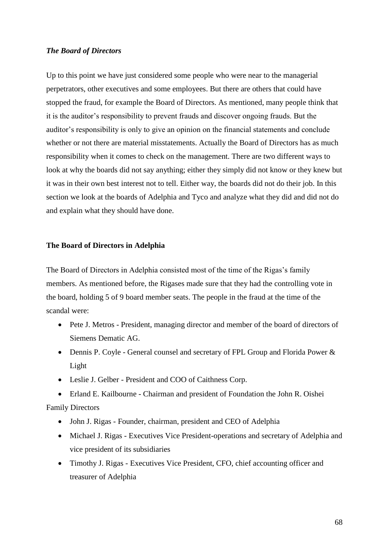## *The Board of Directors*

Up to this point we have just considered some people who were near to the managerial perpetrators, other executives and some employees. But there are others that could have stopped the fraud, for example the Board of Directors. As mentioned, many people think that it is the auditor's responsibility to prevent frauds and discover ongoing frauds. But the auditor's responsibility is only to give an opinion on the financial statements and conclude whether or not there are material misstatements. Actually the Board of Directors has as much responsibility when it comes to check on the management. There are two different ways to look at why the boards did not say anything; either they simply did not know or they knew but it was in their own best interest not to tell. Either way, the boards did not do their job. In this section we look at the boards of Adelphia and Tyco and analyze what they did and did not do and explain what they should have done.

### **The Board of Directors in Adelphia**

The Board of Directors in Adelphia consisted most of the time of the Rigas's family members. As mentioned before, the Rigases made sure that they had the controlling vote in the board, holding 5 of 9 board member seats. The people in the fraud at the time of the scandal were:

- Pete J. Metros President, managing director and member of the board of directors of Siemens Dematic AG.
- Dennis P. Coyle General counsel and secretary of FPL Group and Florida Power & Light
- Leslie J. Gelber President and COO of Caithness Corp.

 Erland E. Kailbourne - Chairman and president of Foundation the John R. Oishei Family Directors

- John J. Rigas Founder, chairman, president and CEO of Adelphia
- Michael J. Rigas Executives Vice President-operations and secretary of Adelphia and vice president of its subsidiaries
- Timothy J. Rigas Executives Vice President, CFO, chief accounting officer and treasurer of Adelphia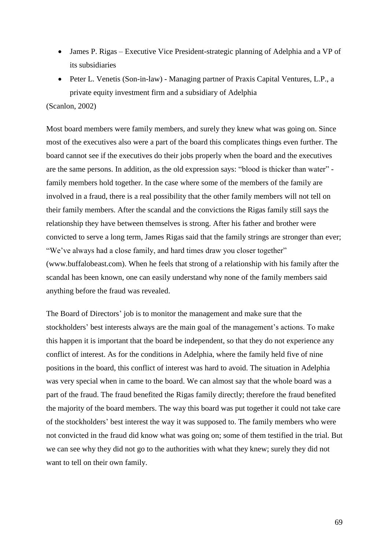- James P. Rigas Executive Vice President-strategic planning of Adelphia and a VP of its subsidiaries
- Peter L. Venetis (Son-in-law) Managing partner of Praxis Capital Ventures, L.P., a private equity investment firm and a subsidiary of Adelphia

## (Scanlon, 2002)

Most board members were family members, and surely they knew what was going on. Since most of the executives also were a part of the board this complicates things even further. The board cannot see if the executives do their jobs properly when the board and the executives are the same persons. In addition, as the old expression says: "blood is thicker than water" family members hold together. In the case where some of the members of the family are involved in a fraud, there is a real possibility that the other family members will not tell on their family members. After the scandal and the convictions the Rigas family still says the relationship they have between themselves is strong. After his father and brother were convicted to serve a long term, James Rigas said that the family strings are stronger than ever; "We've always had a close family, and hard times draw you closer together" (www.buffalobeast.com). When he feels that strong of a relationship with his family after the scandal has been known, one can easily understand why none of the family members said anything before the fraud was revealed.

The Board of Directors' job is to monitor the management and make sure that the stockholders' best interests always are the main goal of the management's actions. To make this happen it is important that the board be independent, so that they do not experience any conflict of interest. As for the conditions in Adelphia, where the family held five of nine positions in the board, this conflict of interest was hard to avoid. The situation in Adelphia was very special when in came to the board. We can almost say that the whole board was a part of the fraud. The fraud benefited the Rigas family directly; therefore the fraud benefited the majority of the board members. The way this board was put together it could not take care of the stockholders' best interest the way it was supposed to. The family members who were not convicted in the fraud did know what was going on; some of them testified in the trial. But we can see why they did not go to the authorities with what they knew; surely they did not want to tell on their own family.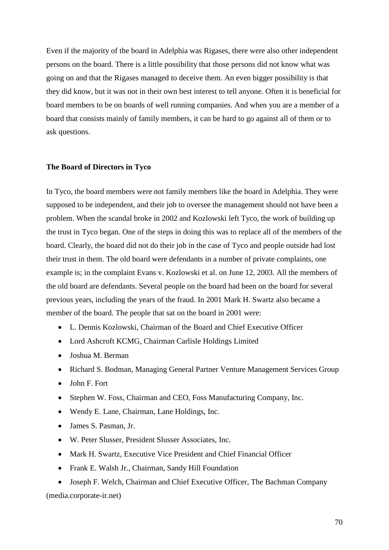Even if the majority of the board in Adelphia was Rigases, there were also other independent persons on the board. There is a little possibility that those persons did not know what was going on and that the Rigases managed to deceive them. An even bigger possibility is that they did know, but it was not in their own best interest to tell anyone. Often it is beneficial for board members to be on boards of well running companies. And when you are a member of a board that consists mainly of family members, it can be hard to go against all of them or to ask questions.

## **The Board of Directors in Tyco**

In Tyco, the board members were not family members like the board in Adelphia. They were supposed to be independent, and their job to oversee the management should not have been a problem. When the scandal broke in 2002 and Kozlowski left Tyco, the work of building up the trust in Tyco began. One of the steps in doing this was to replace all of the members of the board. Clearly, the board did not do their job in the case of Tyco and people outside had lost their trust in them. The old board were defendants in a number of private complaints, one example is; in the complaint Evans v. Kozlowski et al. on June 12, 2003. All the members of the old board are defendants. Several people on the board had been on the board for several previous years, including the years of the fraud. In 2001 Mark H. Swartz also became a member of the board. The people that sat on the board in 2001 were:

- L. Dennis Kozlowski, Chairman of the Board and Chief Executive Officer
- Lord Ashcroft KCMG, Chairman Carlisle Holdings Limited
- Joshua M. Berman
- Richard S. Bodman, Managing General Partner Venture Management Services Group
- $\bullet$  Iohn F. Fort
- Stephen W. Foss, Chairman and CEO, Foss Manufacturing Company, Inc.
- Wendy E. Lane, Chairman, Lane Holdings, Inc.
- James S. Pasman, Jr.
- W. Peter Slusser, President Slusser Associates, Inc.
- Mark H. Swartz, Executive Vice President and Chief Financial Officer
- Frank E. Walsh Jr., Chairman, Sandy Hill Foundation

 Joseph F. Welch, Chairman and Chief Executive Officer, The Bachman Company (media.corporate-ir.net)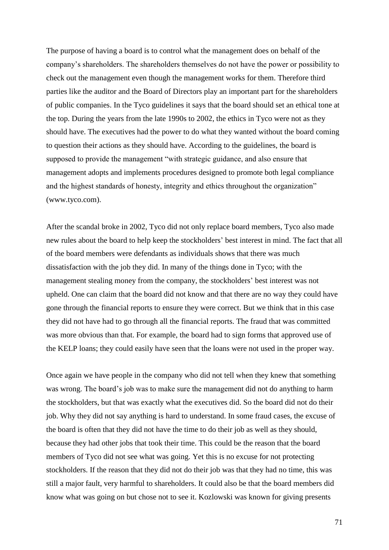The purpose of having a board is to control what the management does on behalf of the company's shareholders. The shareholders themselves do not have the power or possibility to check out the management even though the management works for them. Therefore third parties like the auditor and the Board of Directors play an important part for the shareholders of public companies. In the Tyco guidelines it says that the board should set an ethical tone at the top. During the years from the late 1990s to 2002, the ethics in Tyco were not as they should have. The executives had the power to do what they wanted without the board coming to question their actions as they should have. According to the guidelines, the board is supposed to provide the management "with strategic guidance, and also ensure that management adopts and implements procedures designed to promote both legal compliance and the highest standards of honesty, integrity and ethics throughout the organization" (www.tyco.com).

After the scandal broke in 2002, Tyco did not only replace board members, Tyco also made new rules about the board to help keep the stockholders' best interest in mind. The fact that all of the board members were defendants as individuals shows that there was much dissatisfaction with the job they did. In many of the things done in Tyco; with the management stealing money from the company, the stockholders' best interest was not upheld. One can claim that the board did not know and that there are no way they could have gone through the financial reports to ensure they were correct. But we think that in this case they did not have had to go through all the financial reports. The fraud that was committed was more obvious than that. For example, the board had to sign forms that approved use of the KELP loans; they could easily have seen that the loans were not used in the proper way.

Once again we have people in the company who did not tell when they knew that something was wrong. The board's job was to make sure the management did not do anything to harm the stockholders, but that was exactly what the executives did. So the board did not do their job. Why they did not say anything is hard to understand. In some fraud cases, the excuse of the board is often that they did not have the time to do their job as well as they should, because they had other jobs that took their time. This could be the reason that the board members of Tyco did not see what was going. Yet this is no excuse for not protecting stockholders. If the reason that they did not do their job was that they had no time, this was still a major fault, very harmful to shareholders. It could also be that the board members did know what was going on but chose not to see it. Kozlowski was known for giving presents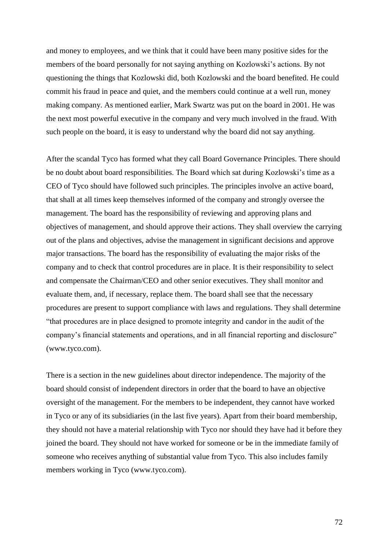and money to employees, and we think that it could have been many positive sides for the members of the board personally for not saying anything on Kozlowski's actions. By not questioning the things that Kozlowski did, both Kozlowski and the board benefited. He could commit his fraud in peace and quiet, and the members could continue at a well run, money making company. As mentioned earlier, Mark Swartz was put on the board in 2001. He was the next most powerful executive in the company and very much involved in the fraud. With such people on the board, it is easy to understand why the board did not say anything.

After the scandal Tyco has formed what they call Board Governance Principles. There should be no doubt about board responsibilities. The Board which sat during Kozlowski's time as a CEO of Tyco should have followed such principles. The principles involve an active board, that shall at all times keep themselves informed of the company and strongly oversee the management. The board has the responsibility of reviewing and approving plans and objectives of management, and should approve their actions. They shall overview the carrying out of the plans and objectives, advise the management in significant decisions and approve major transactions. The board has the responsibility of evaluating the major risks of the company and to check that control procedures are in place. It is their responsibility to select and compensate the Chairman/CEO and other senior executives. They shall monitor and evaluate them, and, if necessary, replace them. The board shall see that the necessary procedures are present to support compliance with laws and regulations. They shall determine "that procedures are in place designed to promote integrity and candor in the audit of the company's financial statements and operations, and in all financial reporting and disclosure" (www.tyco.com).

There is a section in the new guidelines about director independence. The majority of the board should consist of independent directors in order that the board to have an objective oversight of the management. For the members to be independent, they cannot have worked in Tyco or any of its subsidiaries (in the last five years). Apart from their board membership, they should not have a material relationship with Tyco nor should they have had it before they joined the board. They should not have worked for someone or be in the immediate family of someone who receives anything of substantial value from Tyco. This also includes family members working in Tyco (www.tyco.com).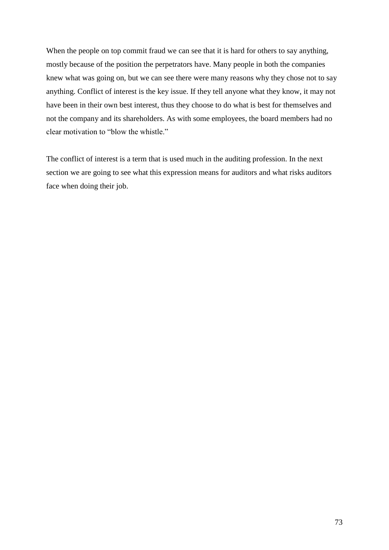When the people on top commit fraud we can see that it is hard for others to say anything, mostly because of the position the perpetrators have. Many people in both the companies knew what was going on, but we can see there were many reasons why they chose not to say anything. Conflict of interest is the key issue. If they tell anyone what they know, it may not have been in their own best interest, thus they choose to do what is best for themselves and not the company and its shareholders. As with some employees, the board members had no clear motivation to "blow the whistle."

The conflict of interest is a term that is used much in the auditing profession. In the next section we are going to see what this expression means for auditors and what risks auditors face when doing their job.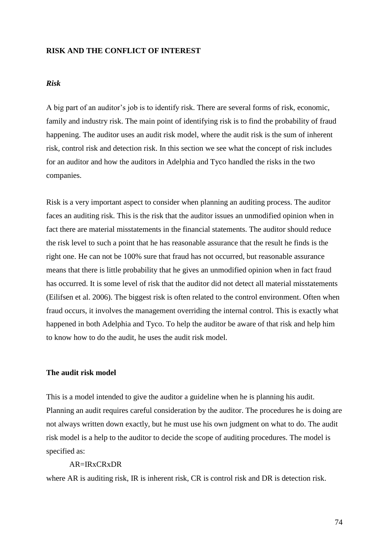### **RISK AND THE CONFLICT OF INTEREST**

### *Risk*

A big part of an auditor's job is to identify risk. There are several forms of risk, economic, family and industry risk. The main point of identifying risk is to find the probability of fraud happening. The auditor uses an audit risk model, where the audit risk is the sum of inherent risk, control risk and detection risk. In this section we see what the concept of risk includes for an auditor and how the auditors in Adelphia and Tyco handled the risks in the two companies.

Risk is a very important aspect to consider when planning an auditing process. The auditor faces an auditing risk. This is the risk that the auditor issues an unmodified opinion when in fact there are material misstatements in the financial statements. The auditor should reduce the risk level to such a point that he has reasonable assurance that the result he finds is the right one. He can not be 100% sure that fraud has not occurred, but reasonable assurance means that there is little probability that he gives an unmodified opinion when in fact fraud has occurred. It is some level of risk that the auditor did not detect all material misstatements (Eilifsen et al. 2006). The biggest risk is often related to the control environment. Often when fraud occurs, it involves the management overriding the internal control. This is exactly what happened in both Adelphia and Tyco. To help the auditor be aware of that risk and help him to know how to do the audit, he uses the audit risk model.

#### **The audit risk model**

This is a model intended to give the auditor a guideline when he is planning his audit. Planning an audit requires careful consideration by the auditor. The procedures he is doing are not always written down exactly, but he must use his own judgment on what to do. The audit risk model is a help to the auditor to decide the scope of auditing procedures. The model is specified as:

#### AR=IRxCRxDR

where AR is auditing risk, IR is inherent risk, CR is control risk and DR is detection risk.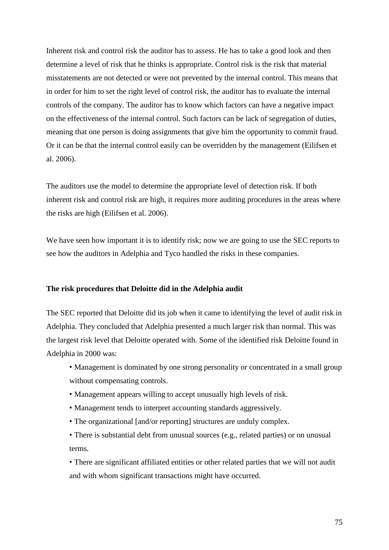Inherent risk and control risk the auditor has to assess. He has to take a good look and then determine a level of risk that he thinks is appropriate. Control risk is the risk that material misstatements are not detected or were not prevented by the internal control. This means that in order for him to set the right level of control risk, the auditor has to evaluate the internal controls of the company. The auditor has to know which factors can have a negative impact on the effectiveness of the internal control. Such factors can be lack of segregation of duties, meaning that one person is doing assignments that give him the opportunity to commit fraud. Or it can be that the internal control easily can be overridden by the management (Eilifsen et al. 2006).

The auditors use the model to determine the appropriate level of detection risk. If both inherent risk and control risk are high, it requires more auditing procedures in the areas where the risks are high (Eilifsen et al. 2006).

We have seen how important it is to identify risk; now we are going to use the SEC reports to see how the auditors in Adelphia and Tyco handled the risks in these companies.

### **The risk procedures that Deloitte did in the Adelphia audit**

The SEC reported that Deloitte did its job when it came to identifying the level of audit risk in Adelphia. They concluded that Adelphia presented a much larger risk than normal. This was the largest risk level that Deloitte operated with. Some of the identified risk Deloitte found in Adelphia in 2000 was:

• Management is dominated by one strong personality or concentrated in a small group without compensating controls.

- Management appears willing to accept unusually high levels of risk.
- Management tends to interpret accounting standards aggressively.
- The organizational [and/or reporting] structures are unduly complex.
- There is substantial debt from unusual sources (e.g., related parties) or on unusual terms.

• There are significant affiliated entities or other related parties that we will not audit and with whom significant transactions might have occurred.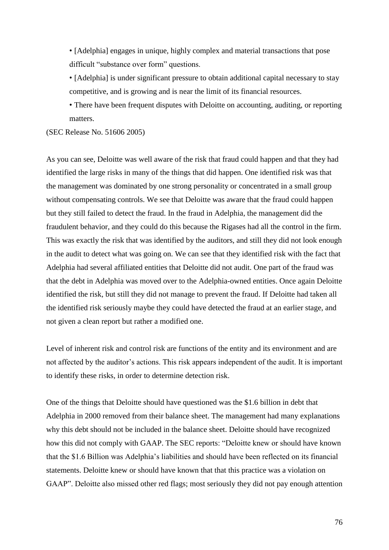• [Adelphia] engages in unique, highly complex and material transactions that pose difficult "substance over form" questions.

• [Adelphia] is under significant pressure to obtain additional capital necessary to stay competitive, and is growing and is near the limit of its financial resources.

• There have been frequent disputes with Deloitte on accounting, auditing, or reporting matters.

(SEC Release No. 51606 2005)

As you can see, Deloitte was well aware of the risk that fraud could happen and that they had identified the large risks in many of the things that did happen. One identified risk was that the management was dominated by one strong personality or concentrated in a small group without compensating controls. We see that Deloitte was aware that the fraud could happen but they still failed to detect the fraud. In the fraud in Adelphia, the management did the fraudulent behavior, and they could do this because the Rigases had all the control in the firm. This was exactly the risk that was identified by the auditors, and still they did not look enough in the audit to detect what was going on. We can see that they identified risk with the fact that Adelphia had several affiliated entities that Deloitte did not audit. One part of the fraud was that the debt in Adelphia was moved over to the Adelphia-owned entities. Once again Deloitte identified the risk, but still they did not manage to prevent the fraud. If Deloitte had taken all the identified risk seriously maybe they could have detected the fraud at an earlier stage, and not given a clean report but rather a modified one.

Level of inherent risk and control risk are functions of the entity and its environment and are not affected by the auditor's actions. This risk appears independent of the audit. It is important to identify these risks, in order to determine detection risk.

One of the things that Deloitte should have questioned was the \$1.6 billion in debt that Adelphia in 2000 removed from their balance sheet. The management had many explanations why this debt should not be included in the balance sheet. Deloitte should have recognized how this did not comply with GAAP. The SEC reports: "Deloitte knew or should have known that the \$1.6 Billion was Adelphia's liabilities and should have been reflected on its financial statements. Deloitte knew or should have known that that this practice was a violation on GAAP". Deloitte also missed other red flags; most seriously they did not pay enough attention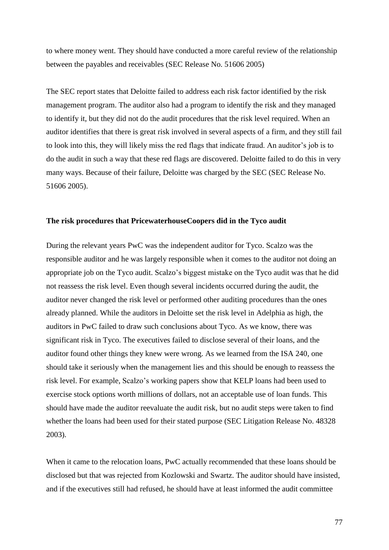to where money went. They should have conducted a more careful review of the relationship between the payables and receivables (SEC Release No. 51606 2005)

The SEC report states that Deloitte failed to address each risk factor identified by the risk management program. The auditor also had a program to identify the risk and they managed to identify it, but they did not do the audit procedures that the risk level required. When an auditor identifies that there is great risk involved in several aspects of a firm, and they still fail to look into this, they will likely miss the red flags that indicate fraud. An auditor's job is to do the audit in such a way that these red flags are discovered. Deloitte failed to do this in very many ways. Because of their failure, Deloitte was charged by the SEC (SEC Release No. 51606 2005).

#### **The risk procedures that PricewaterhouseCoopers did in the Tyco audit**

During the relevant years PwC was the independent auditor for Tyco. Scalzo was the responsible auditor and he was largely responsible when it comes to the auditor not doing an appropriate job on the Tyco audit. Scalzo's biggest mistake on the Tyco audit was that he did not reassess the risk level. Even though several incidents occurred during the audit, the auditor never changed the risk level or performed other auditing procedures than the ones already planned. While the auditors in Deloitte set the risk level in Adelphia as high, the auditors in PwC failed to draw such conclusions about Tyco. As we know, there was significant risk in Tyco. The executives failed to disclose several of their loans, and the auditor found other things they knew were wrong. As we learned from the ISA 240, one should take it seriously when the management lies and this should be enough to reassess the risk level. For example, Scalzo's working papers show that KELP loans had been used to exercise stock options worth millions of dollars, not an acceptable use of loan funds. This should have made the auditor reevaluate the audit risk, but no audit steps were taken to find whether the loans had been used for their stated purpose (SEC Litigation Release No. 48328 2003).

When it came to the relocation loans, PwC actually recommended that these loans should be disclosed but that was rejected from Kozlowski and Swartz. The auditor should have insisted, and if the executives still had refused, he should have at least informed the audit committee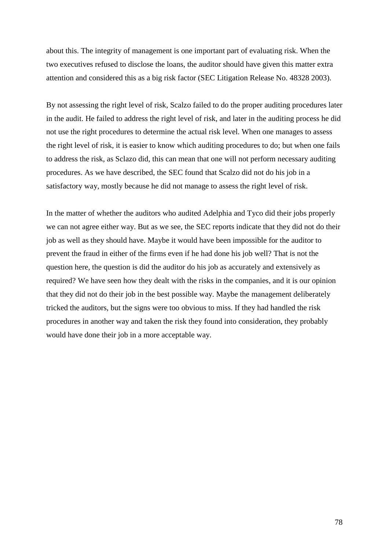about this. The integrity of management is one important part of evaluating risk. When the two executives refused to disclose the loans, the auditor should have given this matter extra attention and considered this as a big risk factor (SEC Litigation Release No. 48328 2003).

By not assessing the right level of risk, Scalzo failed to do the proper auditing procedures later in the audit. He failed to address the right level of risk, and later in the auditing process he did not use the right procedures to determine the actual risk level. When one manages to assess the right level of risk, it is easier to know which auditing procedures to do; but when one fails to address the risk, as Sclazo did, this can mean that one will not perform necessary auditing procedures. As we have described, the SEC found that Scalzo did not do his job in a satisfactory way, mostly because he did not manage to assess the right level of risk.

In the matter of whether the auditors who audited Adelphia and Tyco did their jobs properly we can not agree either way. But as we see, the SEC reports indicate that they did not do their job as well as they should have. Maybe it would have been impossible for the auditor to prevent the fraud in either of the firms even if he had done his job well? That is not the question here, the question is did the auditor do his job as accurately and extensively as required? We have seen how they dealt with the risks in the companies, and it is our opinion that they did not do their job in the best possible way. Maybe the management deliberately tricked the auditors, but the signs were too obvious to miss. If they had handled the risk procedures in another way and taken the risk they found into consideration, they probably would have done their job in a more acceptable way.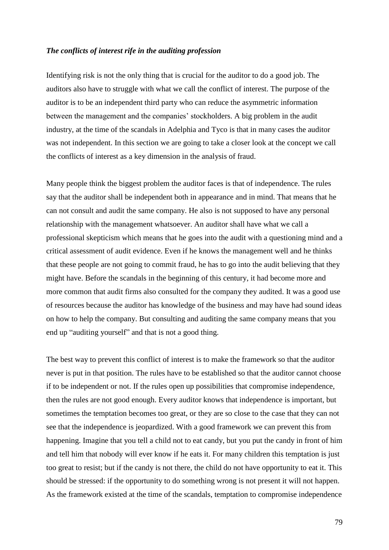#### *The conflicts of interest rife in the auditing profession*

Identifying risk is not the only thing that is crucial for the auditor to do a good job. The auditors also have to struggle with what we call the conflict of interest. The purpose of the auditor is to be an independent third party who can reduce the asymmetric information between the management and the companies' stockholders. A big problem in the audit industry, at the time of the scandals in Adelphia and Tyco is that in many cases the auditor was not independent. In this section we are going to take a closer look at the concept we call the conflicts of interest as a key dimension in the analysis of fraud.

Many people think the biggest problem the auditor faces is that of independence. The rules say that the auditor shall be independent both in appearance and in mind. That means that he can not consult and audit the same company. He also is not supposed to have any personal relationship with the management whatsoever. An auditor shall have what we call a professional skepticism which means that he goes into the audit with a questioning mind and a critical assessment of audit evidence. Even if he knows the management well and he thinks that these people are not going to commit fraud, he has to go into the audit believing that they might have. Before the scandals in the beginning of this century, it had become more and more common that audit firms also consulted for the company they audited. It was a good use of resources because the auditor has knowledge of the business and may have had sound ideas on how to help the company. But consulting and auditing the same company means that you end up "auditing yourself" and that is not a good thing.

The best way to prevent this conflict of interest is to make the framework so that the auditor never is put in that position. The rules have to be established so that the auditor cannot choose if to be independent or not. If the rules open up possibilities that compromise independence, then the rules are not good enough. Every auditor knows that independence is important, but sometimes the temptation becomes too great, or they are so close to the case that they can not see that the independence is jeopardized. With a good framework we can prevent this from happening. Imagine that you tell a child not to eat candy, but you put the candy in front of him and tell him that nobody will ever know if he eats it. For many children this temptation is just too great to resist; but if the candy is not there, the child do not have opportunity to eat it. This should be stressed: if the opportunity to do something wrong is not present it will not happen. As the framework existed at the time of the scandals, temptation to compromise independence

79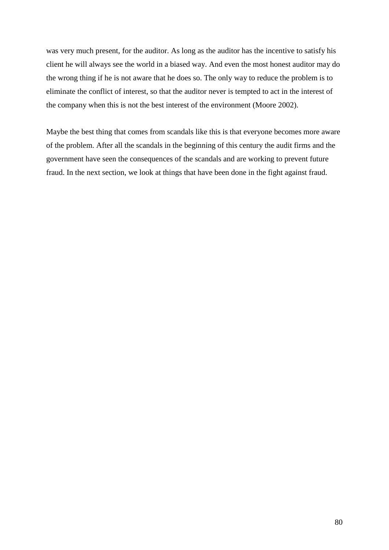was very much present, for the auditor. As long as the auditor has the incentive to satisfy his client he will always see the world in a biased way. And even the most honest auditor may do the wrong thing if he is not aware that he does so. The only way to reduce the problem is to eliminate the conflict of interest, so that the auditor never is tempted to act in the interest of the company when this is not the best interest of the environment (Moore [2002\)](http://proquest.umi.com/pqdweb?RQT=572&VType=PQD&VName=PQD&VInst=PROD&pmid=7510&pcid=3093601&SrchMode=3).

Maybe the best thing that comes from scandals like this is that everyone becomes more aware of the problem. After all the scandals in the beginning of this century the audit firms and the government have seen the consequences of the scandals and are working to prevent future fraud. In the next section, we look at things that have been done in the fight against fraud.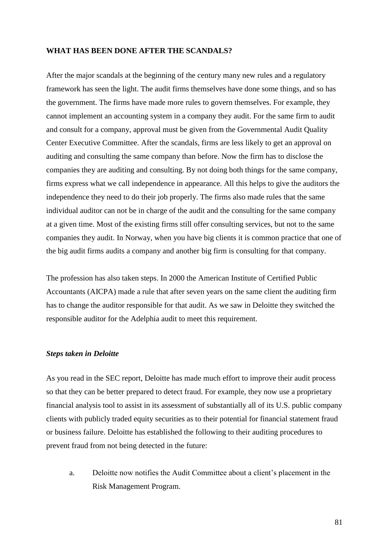#### **WHAT HAS BEEN DONE AFTER THE SCANDALS?**

After the major scandals at the beginning of the century many new rules and a regulatory framework has seen the light. The audit firms themselves have done some things, and so has the government. The firms have made more rules to govern themselves. For example, they cannot implement an accounting system in a company they audit. For the same firm to audit and consult for a company, approval must be given from the Governmental Audit Quality Center Executive Committee. After the scandals, firms are less likely to get an approval on auditing and consulting the same company than before. Now the firm has to disclose the companies they are auditing and consulting. By not doing both things for the same company, firms express what we call independence in appearance. All this helps to give the auditors the independence they need to do their job properly. The firms also made rules that the same individual auditor can not be in charge of the audit and the consulting for the same company at a given time. Most of the existing firms still offer consulting services, but not to the same companies they audit. In Norway, when you have big clients it is common practice that one of the big audit firms audits a company and another big firm is consulting for that company.

The profession has also taken steps. In 2000 the American Institute of Certified Public Accountants (AICPA) made a rule that after seven years on the same client the auditing firm has to change the auditor responsible for that audit. As we saw in Deloitte they switched the responsible auditor for the Adelphia audit to meet this requirement.

#### *Steps taken in Deloitte*

As you read in the SEC report, Deloitte has made much effort to improve their audit process so that they can be better prepared to detect fraud. For example, they now use a proprietary financial analysis tool to assist in its assessment of substantially all of its U.S. public company clients with publicly traded equity securities as to their potential for financial statement fraud or business failure. Deloitte has established the following to their auditing procedures to prevent fraud from not being detected in the future:

a. Deloitte now notifies the Audit Committee about a client's placement in the Risk Management Program.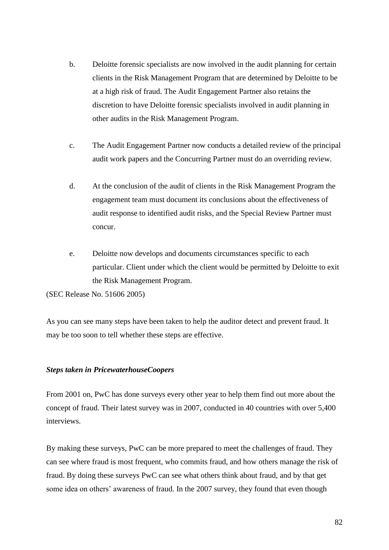- b. Deloitte forensic specialists are now involved in the audit planning for certain clients in the Risk Management Program that are determined by Deloitte to be at a high risk of fraud. The Audit Engagement Partner also retains the discretion to have Deloitte forensic specialists involved in audit planning in other audits in the Risk Management Program.
- c. The Audit Engagement Partner now conducts a detailed review of the principal audit work papers and the Concurring Partner must do an overriding review.
- d. At the conclusion of the audit of clients in the Risk Management Program the engagement team must document its conclusions about the effectiveness of audit response to identified audit risks, and the Special Review Partner must concur.
- e. Deloitte now develops and documents circumstances specific to each particular. Client under which the client would be permitted by Deloitte to exit the Risk Management Program.

(SEC Release No. 51606 2005)

As you can see many steps have been taken to help the auditor detect and prevent fraud. It may be too soon to tell whether these steps are effective.

### *Steps taken in PricewaterhouseCoopers*

From 2001 on, PwC has done surveys every other year to help them find out more about the concept of fraud. Their latest survey was in 2007, conducted in 40 countries with over 5,400 interviews.

By making these surveys, PwC can be more prepared to meet the challenges of fraud. They can see where fraud is most frequent, who commits fraud, and how others manage the risk of fraud. By doing these surveys PwC can see what others think about fraud, and by that get some idea on others' awareness of fraud. In the 2007 survey, they found that even though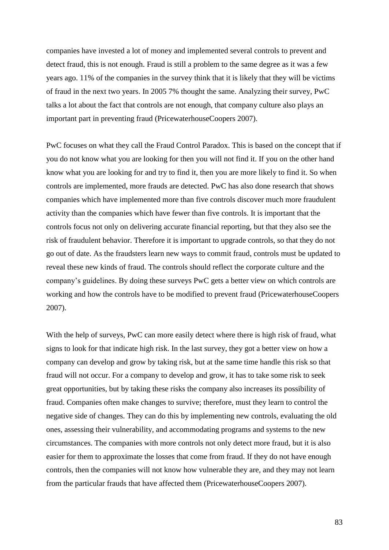companies have invested a lot of money and implemented several controls to prevent and detect fraud, this is not enough. Fraud is still a problem to the same degree as it was a few years ago. 11% of the companies in the survey think that it is likely that they will be victims of fraud in the next two years. In 2005 7% thought the same. Analyzing their survey, PwC talks a lot about the fact that controls are not enough, that company culture also plays an important part in preventing fraud (PricewaterhouseCoopers 2007).

PwC focuses on what they call the Fraud Control Paradox. This is based on the concept that if you do not know what you are looking for then you will not find it. If you on the other hand know what you are looking for and try to find it, then you are more likely to find it. So when controls are implemented, more frauds are detected. PwC has also done research that shows companies which have implemented more than five controls discover much more fraudulent activity than the companies which have fewer than five controls. It is important that the controls focus not only on delivering accurate financial reporting, but that they also see the risk of fraudulent behavior. Therefore it is important to upgrade controls, so that they do not go out of date. As the fraudsters learn new ways to commit fraud, controls must be updated to reveal these new kinds of fraud. The controls should reflect the corporate culture and the company's guidelines. By doing these surveys PwC gets a better view on which controls are working and how the controls have to be modified to prevent fraud (PricewaterhouseCoopers 2007).

With the help of surveys, PwC can more easily detect where there is high risk of fraud, what signs to look for that indicate high risk. In the last survey, they got a better view on how a company can develop and grow by taking risk, but at the same time handle this risk so that fraud will not occur. For a company to develop and grow, it has to take some risk to seek great opportunities, but by taking these risks the company also increases its possibility of fraud. Companies often make changes to survive; therefore, must they learn to control the negative side of changes. They can do this by implementing new controls, evaluating the old ones, assessing their vulnerability, and accommodating programs and systems to the new circumstances. The companies with more controls not only detect more fraud, but it is also easier for them to approximate the losses that come from fraud. If they do not have enough controls, then the companies will not know how vulnerable they are, and they may not learn from the particular frauds that have affected them (PricewaterhouseCoopers 2007).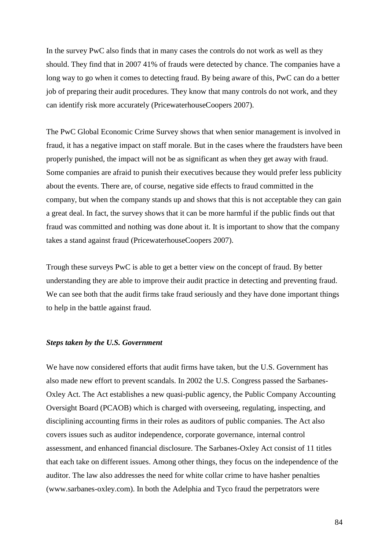In the survey PwC also finds that in many cases the controls do not work as well as they should. They find that in 2007 41% of frauds were detected by chance. The companies have a long way to go when it comes to detecting fraud. By being aware of this, PwC can do a better job of preparing their audit procedures. They know that many controls do not work, and they can identify risk more accurately (PricewaterhouseCoopers 2007).

The PwC Global Economic Crime Survey shows that when senior management is involved in fraud, it has a negative impact on staff morale. But in the cases where the fraudsters have been properly punished, the impact will not be as significant as when they get away with fraud. Some companies are afraid to punish their executives because they would prefer less publicity about the events. There are, of course, negative side effects to fraud committed in the company, but when the company stands up and shows that this is not acceptable they can gain a great deal. In fact, the survey shows that it can be more harmful if the public finds out that fraud was committed and nothing was done about it. It is important to show that the company takes a stand against fraud (PricewaterhouseCoopers 2007).

Trough these surveys PwC is able to get a better view on the concept of fraud. By better understanding they are able to improve their audit practice in detecting and preventing fraud. We can see both that the audit firms take fraud seriously and they have done important things to help in the battle against fraud.

#### *Steps taken by the U.S. Government*

We have now considered efforts that audit firms have taken, but the U.S. Government has also made new effort to prevent scandals. In 2002 the U.S. Congress passed the Sarbanes-Oxley Act. The Act establishes a new quasi-public agency, the [Public Company Accounting](http://en.wikipedia.org/wiki/Public_Company_Accounting_Oversight_Board)  [Oversight Board](http://en.wikipedia.org/wiki/Public_Company_Accounting_Oversight_Board) (PCAOB) which is charged with overseeing, regulating, inspecting, and disciplining accounting firms in their roles as auditors of public companies. The Act also covers issues such as [auditor](http://en.wikipedia.org/wiki/Auditor) independence, [corporate governance,](http://en.wikipedia.org/wiki/Corporate_governance) [internal control](http://en.wikipedia.org/wiki/Internal_control) assessment, and enhanced financial disclosure. The Sarbanes-Oxley Act consist of 11 titles that each take on different issues. Among other things, they focus on the independence of the auditor. The law also addresses the need for white collar crime to have hasher penalties (www.sarbanes-oxley.com). In both the Adelphia and Tyco fraud the perpetrators were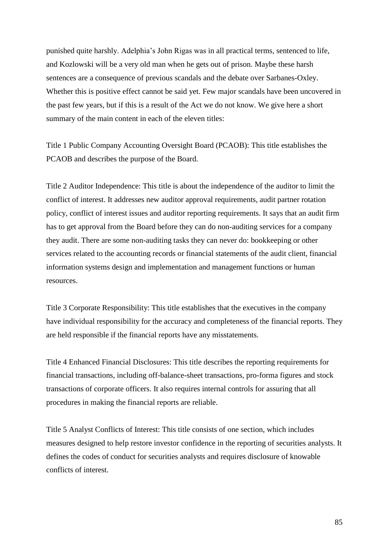punished quite harshly. Adelphia's John Rigas was in all practical terms, sentenced to life, and Kozlowski will be a very old man when he gets out of prison. Maybe these harsh sentences are a consequence of previous scandals and the debate over Sarbanes-Oxley. Whether this is positive effect cannot be said yet. Few major scandals have been uncovered in the past few years, but if this is a result of the Act we do not know. We give here a short summary of the main content in each of the eleven titles:

Title 1 Public Company Accounting Oversight Board (PCAOB): This title establishes the PCAOB and describes the purpose of the Board.

Title 2 Auditor Independence: This title is about the independence of the auditor to limit the conflict of interest. It addresses new auditor approval requirements, audit partner rotation policy, conflict of interest issues and auditor reporting requirements. It says that an audit firm has to get approval from the Board before they can do non-auditing services for a company they audit. There are some non-auditing tasks they can never do: bookkeeping or other services related to the accounting records or financial statements of the audit client, financial information systems design and implementation and management functions or human resources.

Title 3 Corporate Responsibility: This title establishes that the executives in the company have individual responsibility for the accuracy and completeness of the financial reports. They are held responsible if the financial reports have any misstatements.

Title 4 Enhanced Financial Disclosures: This title describes the reporting requirements for financial transactions, including [off-balance-sheet](http://en.wikipedia.org/wiki/Off-balance-sheet) transactions, pro-forma figures and stock transactions of corporate officers. It also requires internal controls for assuring that all procedures in making the financial reports are reliable.

Title 5 Analyst Conflicts of Interest: This title consists of one section, which includes measures designed to help restore investor confidence in the reporting of securities analysts. It defines the codes of conduct for securities analysts and requires disclosure of knowable conflicts of interest.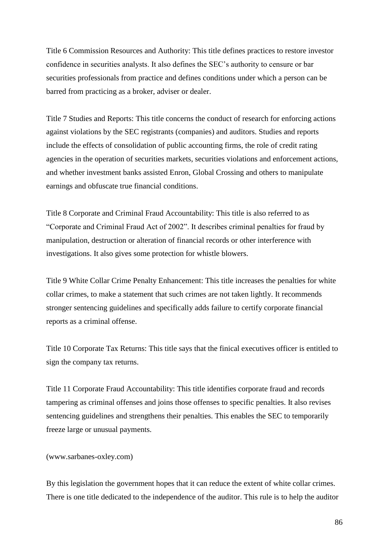Title 6 Commission Resources and Authority: This title defines practices to restore investor confidence in securities analysts. It also defines the SEC's authority to censure or bar securities professionals from practice and defines conditions under which a person can be barred from practicing as a broker, adviser or dealer.

Title 7 Studies and Reports: This title concerns the conduct of research for enforcing actions against violations by the [SEC](http://en.wikipedia.org/wiki/SEC) registrants (companies) and auditors. Studies and reports include the effects of consolidation of public accounting firms, the role of credit rating agencies in the operation of securities markets, securities violations and enforcement actions, and whether investment banks assisted [Enron,](http://en.wikipedia.org/wiki/Enron) [Global Crossing](http://en.wikipedia.org/wiki/Global_Crossing) and others to manipulate earnings and obfuscate true financial conditions.

Title 8 Corporate and Criminal Fraud Accountability: This title is also referred to as "Corporate and Criminal Fraud Act of 2002". It describes criminal penalties for fraud by manipulation, destruction or alteration of financial records or other interference with investigations. It also gives some protection for whistle blowers.

Title 9 White Collar Crime Penalty Enhancement: This title increases the penalties for white collar crimes, to make a statement that such crimes are not taken lightly. It recommends stronger sentencing guidelines and specifically adds failure to certify corporate financial reports as a criminal offense.

Title 10 Corporate Tax Returns: This title says that the finical executives officer is entitled to sign the company tax returns.

Title 11 Corporate Fraud Accountability: This title identifies corporate fraud and records tampering as criminal offenses and joins those offenses to specific penalties. It also revises sentencing guidelines and strengthens their penalties. This enables the SEC to temporarily freeze large or unusual payments.

#### (www.sarbanes-oxley.com)

By this legislation the government hopes that it can reduce the extent of white collar crimes. There is one title dedicated to the independence of the auditor. This rule is to help the auditor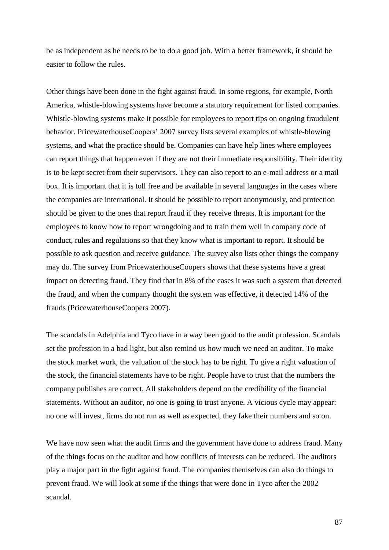be as independent as he needs to be to do a good job. With a better framework, it should be easier to follow the rules.

Other things have been done in the fight against fraud. In some regions, for example, North America, whistle-blowing systems have become a statutory requirement for listed companies. Whistle-blowing systems make it possible for employees to report tips on ongoing fraudulent behavior. PricewaterhouseCoopers' 2007 survey lists several examples of whistle-blowing systems, and what the practice should be. Companies can have help lines where employees can report things that happen even if they are not their immediate responsibility. Their identity is to be kept secret from their supervisors. They can also report to an e-mail address or a mail box. It is important that it is toll free and be available in several languages in the cases where the companies are international. It should be possible to report anonymously, and protection should be given to the ones that report fraud if they receive threats. It is important for the employees to know how to report wrongdoing and to train them well in company code of conduct, rules and regulations so that they know what is important to report. It should be possible to ask question and receive guidance. The survey also lists other things the company may do. The survey from PricewaterhouseCoopers shows that these systems have a great impact on detecting fraud. They find that in 8% of the cases it was such a system that detected the fraud, and when the company thought the system was effective, it detected 14% of the frauds (PricewaterhouseCoopers 2007).

The scandals in Adelphia and Tyco have in a way been good to the audit profession. Scandals set the profession in a bad light, but also remind us how much we need an auditor. To make the stock market work, the valuation of the stock has to be right. To give a right valuation of the stock, the financial statements have to be right. People have to trust that the numbers the company publishes are correct. All stakeholders depend on the credibility of the financial statements. Without an auditor, no one is going to trust anyone. A vicious cycle may appear: no one will invest, firms do not run as well as expected, they fake their numbers and so on.

We have now seen what the audit firms and the government have done to address fraud. Many of the things focus on the auditor and how conflicts of interests can be reduced. The auditors play a major part in the fight against fraud. The companies themselves can also do things to prevent fraud. We will look at some if the things that were done in Tyco after the 2002 scandal.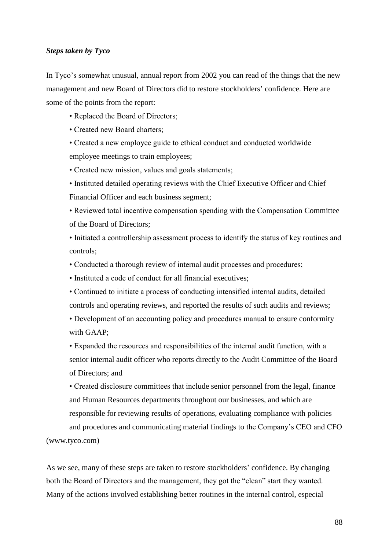#### *Steps taken by Tyco*

In Tyco's somewhat unusual, annual report from 2002 you can read of the things that the new management and new Board of Directors did to restore stockholders' confidence. Here are some of the points from the report:

• Replaced the Board of Directors;

• Created new Board charters;

• Created a new employee guide to ethical conduct and conducted worldwide employee meetings to train employees;

• Created new mission, values and goals statements;

• Instituted detailed operating reviews with the Chief Executive Officer and Chief Financial Officer and each business segment;

• Reviewed total incentive compensation spending with the Compensation Committee of the Board of Directors;

• Initiated a controllership assessment process to identify the status of key routines and controls;

• Conducted a thorough review of internal audit processes and procedures;

• Instituted a code of conduct for all financial executives;

• Continued to initiate a process of conducting intensified internal audits, detailed controls and operating reviews, and reported the results of such audits and reviews;

• Development of an accounting policy and procedures manual to ensure conformity with GAAP;

• Expanded the resources and responsibilities of the internal audit function, with a senior internal audit officer who reports directly to the Audit Committee of the Board of Directors; and

• Created disclosure committees that include senior personnel from the legal, finance and Human Resources departments throughout our businesses, and which are responsible for reviewing results of operations, evaluating compliance with policies and procedures and communicating material findings to the Company's CEO and CFO

(www.tyco.com)

As we see, many of these steps are taken to restore stockholders' confidence. By changing both the Board of Directors and the management, they got the "clean" start they wanted. Many of the actions involved establishing better routines in the internal control, especial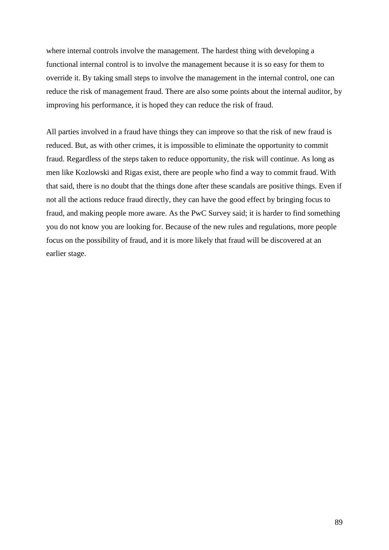where internal controls involve the management. The hardest thing with developing a functional internal control is to involve the management because it is so easy for them to override it. By taking small steps to involve the management in the internal control, one can reduce the risk of management fraud. There are also some points about the internal auditor, by improving his performance, it is hoped they can reduce the risk of fraud.

All parties involved in a fraud have things they can improve so that the risk of new fraud is reduced. But, as with other crimes, it is impossible to eliminate the opportunity to commit fraud. Regardless of the steps taken to reduce opportunity, the risk will continue. As long as men like Kozlowski and Rigas exist, there are people who find a way to commit fraud. With that said, there is no doubt that the things done after these scandals are positive things. Even if not all the actions reduce fraud directly, they can have the good effect by bringing focus to fraud, and making people more aware. As the PwC Survey said; it is harder to find something you do not know you are looking for. Because of the new rules and regulations, more people focus on the possibility of fraud, and it is more likely that fraud will be discovered at an earlier stage.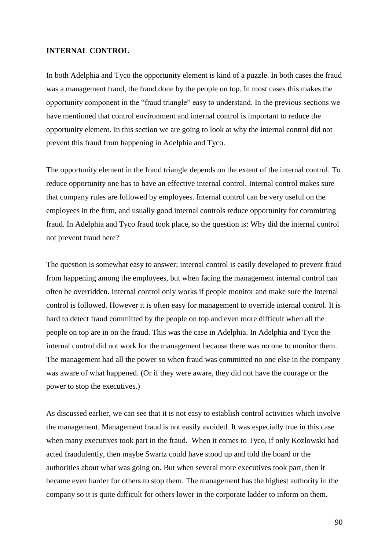### **INTERNAL CONTROL**

In both Adelphia and Tyco the opportunity element is kind of a puzzle. In both cases the fraud was a management fraud, the fraud done by the people on top. In most cases this makes the opportunity component in the "fraud triangle" easy to understand. In the previous sections we have mentioned that control environment and internal control is important to reduce the opportunity element. In this section we are going to look at why the internal control did not prevent this fraud from happening in Adelphia and Tyco.

The opportunity element in the fraud triangle depends on the extent of the internal control. To reduce opportunity one has to have an effective internal control. Internal control makes sure that company rules are followed by employees. Internal control can be very useful on the employees in the firm, and usually good internal controls reduce opportunity for committing fraud. In Adelphia and Tyco fraud took place, so the question is: Why did the internal control not prevent fraud here?

The question is somewhat easy to answer; internal control is easily developed to prevent fraud from happening among the employees, but when facing the management internal control can often be overridden. Internal control only works if people monitor and make sure the internal control is followed. However it is often easy for management to override internal control. It is hard to detect fraud committed by the people on top and even more difficult when all the people on top are in on the fraud. This was the case in Adelphia. In Adelphia and Tyco the internal control did not work for the management because there was no one to monitor them. The management had all the power so when fraud was committed no one else in the company was aware of what happened. (Or if they were aware, they did not have the courage or the power to stop the executives.)

As discussed earlier, we can see that it is not easy to establish control activities which involve the management. Management fraud is not easily avoided. It was especially true in this case when many executives took part in the fraud. When it comes to Tyco, if only Kozlowski had acted fraudulently, then maybe Swartz could have stood up and told the board or the authorities about what was going on. But when several more executives took part, then it became even harder for others to stop them. The management has the highest authority in the company so it is quite difficult for others lower in the corporate ladder to inform on them.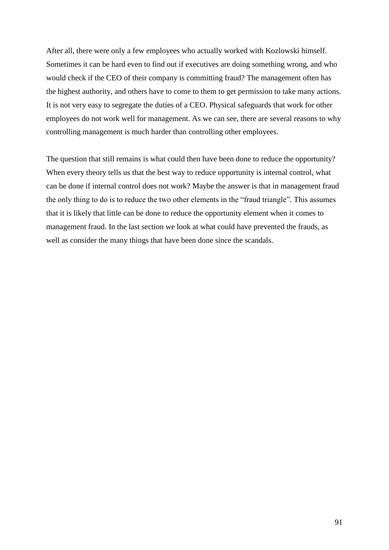After all, there were only a few employees who actually worked with Kozlowski himself. Sometimes it can be hard even to find out if executives are doing something wrong, and who would check if the CEO of their company is committing fraud? The management often has the highest authority, and others have to come to them to get permission to take many actions. It is not very easy to segregate the duties of a CEO. Physical safeguards that work for other employees do not work well for management. As we can see, there are several reasons to why controlling management is much harder than controlling other employees.

The question that still remains is what could then have been done to reduce the opportunity? When every theory tells us that the best way to reduce opportunity is internal control, what can be done if internal control does not work? Maybe the answer is that in management fraud the only thing to do is to reduce the two other elements in the "fraud triangle". This assumes that it is likely that little can be done to reduce the opportunity element when it comes to management fraud. In the last section we look at what could have prevented the frauds, as well as consider the many things that have been done since the scandals.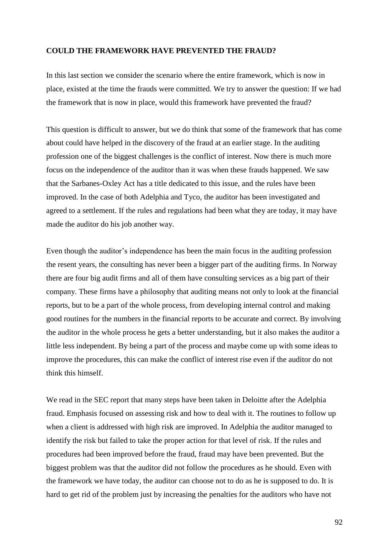### **COULD THE FRAMEWORK HAVE PREVENTED THE FRAUD?**

In this last section we consider the scenario where the entire framework, which is now in place, existed at the time the frauds were committed. We try to answer the question: If we had the framework that is now in place, would this framework have prevented the fraud?

This question is difficult to answer, but we do think that some of the framework that has come about could have helped in the discovery of the fraud at an earlier stage. In the auditing profession one of the biggest challenges is the conflict of interest. Now there is much more focus on the independence of the auditor than it was when these frauds happened. We saw that the Sarbanes-Oxley Act has a title dedicated to this issue, and the rules have been improved. In the case of both Adelphia and Tyco, the auditor has been investigated and agreed to a settlement. If the rules and regulations had been what they are today, it may have made the auditor do his job another way.

Even though the auditor's independence has been the main focus in the auditing profession the resent years, the consulting has never been a bigger part of the auditing firms. In Norway there are four big audit firms and all of them have consulting services as a big part of their company. These firms have a philosophy that auditing means not only to look at the financial reports, but to be a part of the whole process, from developing internal control and making good routines for the numbers in the financial reports to be accurate and correct. By involving the auditor in the whole process he gets a better understanding, but it also makes the auditor a little less independent. By being a part of the process and maybe come up with some ideas to improve the procedures, this can make the conflict of interest rise even if the auditor do not think this himself.

We read in the SEC report that many steps have been taken in Deloitte after the Adelphia fraud. Emphasis focused on assessing risk and how to deal with it. The routines to follow up when a client is addressed with high risk are improved. In Adelphia the auditor managed to identify the risk but failed to take the proper action for that level of risk. If the rules and procedures had been improved before the fraud, fraud may have been prevented. But the biggest problem was that the auditor did not follow the procedures as he should. Even with the framework we have today, the auditor can choose not to do as he is supposed to do. It is hard to get rid of the problem just by increasing the penalties for the auditors who have not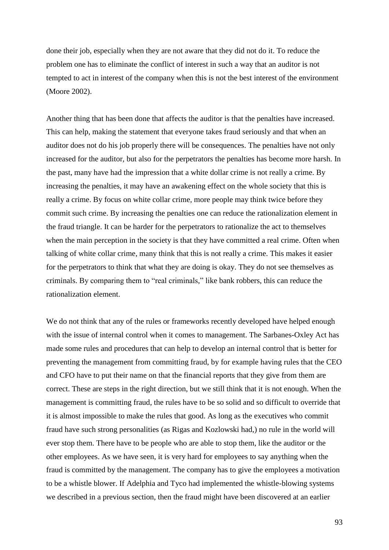done their job, especially when they are not aware that they did not do it. To reduce the problem one has to eliminate the conflict of interest in such a way that an auditor is not tempted to act in interest of the company when this is not the best interest of the environment (Moore 2002).

Another thing that has been done that affects the auditor is that the penalties have increased. This can help, making the statement that everyone takes fraud seriously and that when an auditor does not do his job properly there will be consequences. The penalties have not only increased for the auditor, but also for the perpetrators the penalties has become more harsh. In the past, many have had the impression that a white dollar crime is not really a crime. By increasing the penalties, it may have an awakening effect on the whole society that this is really a crime. By focus on white collar crime, more people may think twice before they commit such crime. By increasing the penalties one can reduce the rationalization element in the fraud triangle. It can be harder for the perpetrators to rationalize the act to themselves when the main perception in the society is that they have committed a real crime. Often when talking of white collar crime, many think that this is not really a crime. This makes it easier for the perpetrators to think that what they are doing is okay. They do not see themselves as criminals. By comparing them to "real criminals," like bank robbers, this can reduce the rationalization element.

We do not think that any of the rules or frameworks recently developed have helped enough with the issue of internal control when it comes to management. The Sarbanes-Oxley Act has made some rules and procedures that can help to develop an internal control that is better for preventing the management from committing fraud, by for example having rules that the CEO and CFO have to put their name on that the financial reports that they give from them are correct. These are steps in the right direction, but we still think that it is not enough. When the management is committing fraud, the rules have to be so solid and so difficult to override that it is almost impossible to make the rules that good. As long as the executives who commit fraud have such strong personalities (as Rigas and Kozlowski had,) no rule in the world will ever stop them. There have to be people who are able to stop them, like the auditor or the other employees. As we have seen, it is very hard for employees to say anything when the fraud is committed by the management. The company has to give the employees a motivation to be a whistle blower. If Adelphia and Tyco had implemented the whistle-blowing systems we described in a previous section, then the fraud might have been discovered at an earlier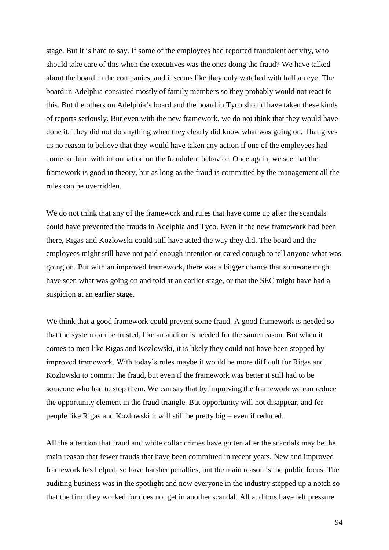stage. But it is hard to say. If some of the employees had reported fraudulent activity, who should take care of this when the executives was the ones doing the fraud? We have talked about the board in the companies, and it seems like they only watched with half an eye. The board in Adelphia consisted mostly of family members so they probably would not react to this. But the others on Adelphia's board and the board in Tyco should have taken these kinds of reports seriously. But even with the new framework, we do not think that they would have done it. They did not do anything when they clearly did know what was going on. That gives us no reason to believe that they would have taken any action if one of the employees had come to them with information on the fraudulent behavior. Once again, we see that the framework is good in theory, but as long as the fraud is committed by the management all the rules can be overridden.

We do not think that any of the framework and rules that have come up after the scandals could have prevented the frauds in Adelphia and Tyco. Even if the new framework had been there, Rigas and Kozlowski could still have acted the way they did. The board and the employees might still have not paid enough intention or cared enough to tell anyone what was going on. But with an improved framework, there was a bigger chance that someone might have seen what was going on and told at an earlier stage, or that the SEC might have had a suspicion at an earlier stage.

We think that a good framework could prevent some fraud. A good framework is needed so that the system can be trusted, like an auditor is needed for the same reason. But when it comes to men like Rigas and Kozlowski, it is likely they could not have been stopped by improved framework. With today's rules maybe it would be more difficult for Rigas and Kozlowski to commit the fraud, but even if the framework was better it still had to be someone who had to stop them. We can say that by improving the framework we can reduce the opportunity element in the fraud triangle. But opportunity will not disappear, and for people like Rigas and Kozlowski it will still be pretty big – even if reduced.

All the attention that fraud and white collar crimes have gotten after the scandals may be the main reason that fewer frauds that have been committed in recent years. New and improved framework has helped, so have harsher penalties, but the main reason is the public focus. The auditing business was in the spotlight and now everyone in the industry stepped up a notch so that the firm they worked for does not get in another scandal. All auditors have felt pressure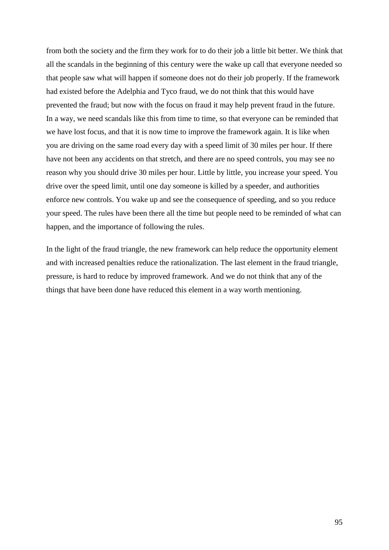from both the society and the firm they work for to do their job a little bit better. We think that all the scandals in the beginning of this century were the wake up call that everyone needed so that people saw what will happen if someone does not do their job properly. If the framework had existed before the Adelphia and Tyco fraud, we do not think that this would have prevented the fraud; but now with the focus on fraud it may help prevent fraud in the future. In a way, we need scandals like this from time to time, so that everyone can be reminded that we have lost focus, and that it is now time to improve the framework again. It is like when you are driving on the same road every day with a speed limit of 30 miles per hour. If there have not been any accidents on that stretch, and there are no speed controls, you may see no reason why you should drive 30 miles per hour. Little by little, you increase your speed. You drive over the speed limit, until one day someone is killed by a speeder, and authorities enforce new controls. You wake up and see the consequence of speeding, and so you reduce your speed. The rules have been there all the time but people need to be reminded of what can happen, and the importance of following the rules.

In the light of the fraud triangle, the new framework can help reduce the opportunity element and with increased penalties reduce the rationalization. The last element in the fraud triangle, pressure, is hard to reduce by improved framework. And we do not think that any of the things that have been done have reduced this element in a way worth mentioning.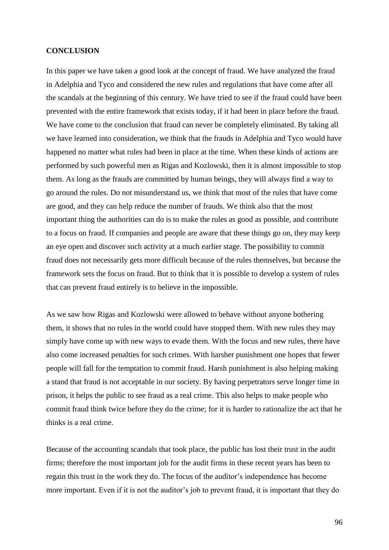#### **CONCLUSION**

In this paper we have taken a good look at the concept of fraud. We have analyzed the fraud in Adelphia and Tyco and considered the new rules and regulations that have come after all the scandals at the beginning of this century. We have tried to see if the fraud could have been prevented with the entire framework that exists today, if it had been in place before the fraud. We have come to the conclusion that fraud can never be completely eliminated. By taking all we have learned into consideration, we think that the frauds in Adelphia and Tyco would have happened no matter what rules had been in place at the time. When these kinds of actions are performed by such powerful men as Rigas and Kozlowski, then it is almost impossible to stop them. As long as the frauds are committed by human beings, they will always find a way to go around the rules. Do not misunderstand us, we think that most of the rules that have come are good, and they can help reduce the number of frauds. We think also that the most important thing the authorities can do is to make the rules as good as possible, and contribute to a focus on fraud. If companies and people are aware that these things go on, they may keep an eye open and discover such activity at a much earlier stage. The possibility to commit fraud does not necessarily gets more difficult because of the rules themselves, but because the framework sets the focus on fraud. But to think that it is possible to develop a system of rules that can prevent fraud entirely is to believe in the impossible.

As we saw how Rigas and Kozlowski were allowed to behave without anyone bothering them, it shows that no rules in the world could have stopped them. With new rules they may simply have come up with new ways to evade them. With the focus and new rules, there have also come increased penalties for such crimes. With harsher punishment one hopes that fewer people will fall for the temptation to commit fraud. Harsh punishment is also helping making a stand that fraud is not acceptable in our society. By having perpetrators serve longer time in prison, it helps the public to see fraud as a real crime. This also helps to make people who commit fraud think twice before they do the crime; for it is harder to rationalize the act that he thinks is a real crime.

Because of the accounting scandals that took place, the public has lost their trust in the audit firms; therefore the most important job for the audit firms in these recent years has been to regain this trust in the work they do. The focus of the auditor's independence has become more important. Even if it is not the auditor's job to prevent fraud, it is important that they do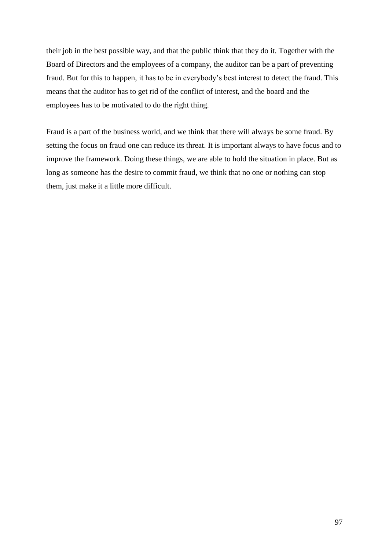their job in the best possible way, and that the public think that they do it. Together with the Board of Directors and the employees of a company, the auditor can be a part of preventing fraud. But for this to happen, it has to be in everybody's best interest to detect the fraud. This means that the auditor has to get rid of the conflict of interest, and the board and the employees has to be motivated to do the right thing.

Fraud is a part of the business world, and we think that there will always be some fraud. By setting the focus on fraud one can reduce its threat. It is important always to have focus and to improve the framework. Doing these things, we are able to hold the situation in place. But as long as someone has the desire to commit fraud, we think that no one or nothing can stop them, just make it a little more difficult.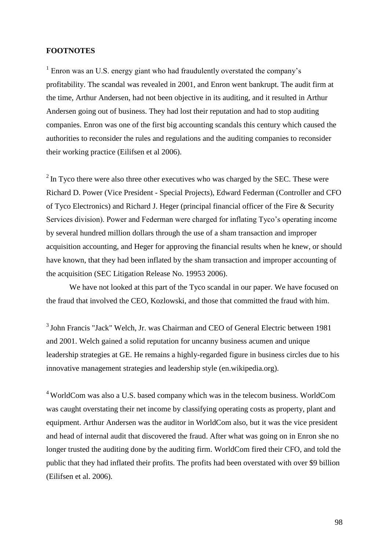### **FOOTNOTES**

<sup>1</sup> Enron was an U.S. energy giant who had fraudulently overstated the company's profitability. The scandal was revealed in 2001, and Enron went bankrupt. The audit firm at the time, Arthur Andersen, had not been objective in its auditing, and it resulted in Arthur Andersen going out of business. They had lost their reputation and had to stop auditing companies. Enron was one of the first big accounting scandals this century which caused the authorities to reconsider the rules and regulations and the auditing companies to reconsider their working practice (Eilifsen et al 2006).

 $2 \text{ In } T$  and there were also three other executives who was charged by the SEC. These were Richard D. Power (Vice President - Special Projects), Edward Federman (Controller and CFO of Tyco Electronics) and Richard J. Heger (principal financial officer of the Fire & Security Services division). Power and Federman were charged for inflating Tyco's operating income by several hundred million dollars through the use of a sham transaction and improper acquisition accounting, and Heger for approving the financial results when he knew, or should have known, that they had been inflated by the sham transaction and improper accounting of the acquisition (SEC Litigation Release No. 19953 2006).

We have not looked at this part of the Tyco scandal in our paper. We have focused on the fraud that involved the CEO, Kozlowski, and those that committed the fraud with him.

<sup>3</sup> John Francis "Jack" Welch, Jr. was [Chairman](http://en.wikipedia.org/wiki/Chairman) and [CEO](http://en.wikipedia.org/wiki/Chief_Executive_Officer) of [General Electric](http://en.wikipedia.org/wiki/General_Electric) between 1981 and 2001. Welch gained a solid reputation for uncanny business acumen and unique leadership strategies at GE. He remains a highly-regarded figure in business circles due to his innovative management strategies and leadership style (en.wikipedia.org).

<sup>4</sup> WorldCom was also a U.S. based company which was in the telecom business. WorldCom was caught overstating their net income by classifying operating costs as property, plant and equipment. Arthur Andersen was the auditor in WorldCom also, but it was the vice president and head of internal audit that discovered the fraud. After what was going on in Enron she no longer trusted the auditing done by the auditing firm. WorldCom fired their CFO, and told the public that they had inflated their profits. The profits had been overstated with over \$9 billion (Eilifsen et al. 2006).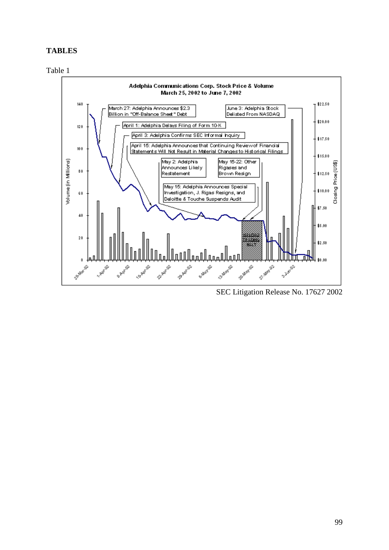## **TABLES**





SEC Litigation Release No. 17627 2002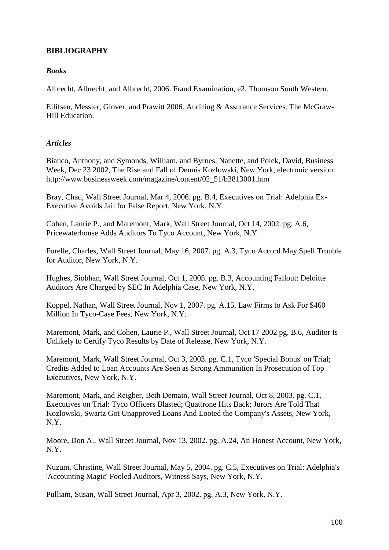# **BIBLIOGRAPHY**

# *Books*

Albrecht, Albrecht, and Albrecht, 2006. Fraud Examination, e2, Thomson South Western.

Eilifsen, Messier, Glover, and Prawitt 2006. Auditing & Assurance Services. The McGraw-Hill Education.

# *Articles*

Bianco, Anthony, and Symonds, William, and Byrnes, Nanette, and Polek, David, Business Week, Dec 23 2002, The Rise and Fall of Dennis Kozlowski, New York, electronic version: [http://www.businessweek.com/magazine/content/02\\_51/b3813001.htm](http://www.businessweek.com/magazine/content/02_51/b3813001.htm)

[Bray,](javascript:void(0);) Chad, Wall Street Journal, [Mar 4, 2006.](http://proquest.umi.com/pqdweb?RQT=572&VType=PQD&VName=PQD&VInst=PROD&pmid=7510&pcid=17658681&SrchMode=3) pg. B.4, Executives on Trial: Adelphia Ex-Executive Avoids Jail for False Report, New York, N.Y.

[Cohen, Laurie P., and Maremont,](javascript:void(0);) Mark, Wall Street Journal, [Oct 14, 2002.](http://proquest.umi.com/pqdweb?RQT=572&VType=PQD&VName=PQD&VInst=PROD&pmid=7510&pcid=2704321&SrchMode=3) pg. A.6, Pricewaterhouse Adds Auditors To Tyco Account, New York, N.Y.

Forelle, Charles, Wall Street Journal, May 16, 2007. pg. A.3, Tyco Accord May Spell Trouble for Auditor, New York, N.Y.

[Hughes,](javascript:void(0);) Siobhan, [Wall Street Journal,](http://proquest.umi.com/pqdweb?RQT=318&pmid=7510&TS=1200918042&clientId=11603&VInst=PROD&VName=PQD&VType=PQD) [Oct 1, 2005.](http://proquest.umi.com/pqdweb?RQT=572&VType=PQD&VName=PQD&VInst=PROD&pmid=7510&pcid=16340071&SrchMode=3) pg. B.3, Accounting Fallout: Deloitte Auditors Are Charged by SEC In Adelphia Case, New York, N.Y.

[Koppel,](javascript:void(0);) Nathan, Wall Street Journal, [Nov 1, 2007.](http://proquest.umi.com/pqdweb?RQT=572&VType=PQD&VName=PQD&VInst=PROD&pmid=7510&pcid=37469721&SrchMode=3) pg. A.15, Law Firms to Ask For \$460 Million In Tyco-Case Fees, New York, N.Y.

Maremont, Mark, and Cohen, Laurie P., Wall Street Journal, Oct 17 2002 pg. B.6, Auditor Is Unlikely to Certify Tyco Results by Date of Release, New York, N.Y.

[Maremont,](javascript:void(0);) Mark, Wall Street Journal, [Oct 3, 2003.](http://proquest.umi.com/pqdweb?RQT=572&VType=PQD&VName=PQD&VInst=PROD&pmid=7510&pcid=6171941&SrchMode=3) pg. C.1, Tyco 'Special Bonus' on Trial; Credits Added to Loan Accounts Are Seen as Strong Ammunition In Prosecution of Top Executives, New York, N.Y.

[Maremont, Mark, and Reigber,](javascript:void(0);) Beth Demain, Wall Street Journal, [Oct 8, 2003.](http://proquest.umi.com/pqdweb?RQT=572&VType=PQD&VName=PQD&VInst=PROD&pmid=7510&pcid=6257921&SrchMode=3) pg. C.1, Executives on Trial: Tyco Officers Blasted; Quattrone Hits Back; Jurors Are Told That Kozlowski, Swartz Got Unapproved Loans And Looted the Company's Assets, New York, N.Y.

Moore, Don A., Wall Street Journal, [Nov 13, 2002.](http://proquest.umi.com/pqdweb?RQT=572&VType=PQD&VName=PQD&VInst=PROD&pmid=7510&pcid=3093601&SrchMode=3) pg. A.24, An [Honest Account,](javascript:void(0);) New York, N.Y.

[Nuzum,](javascript:void(0);) Christine, Wall Street Journal, [May 5, 2004.](http://proquest.umi.com/pqdweb?RQT=572&VType=PQD&VName=PQD&VInst=PROD&pmid=7510&pcid=12559861&SrchMode=3) pg. C.5, Executives on Trial: Adelphia's 'Accounting Magic' Fooled Auditors, Witness Says, New York, N.Y.

[Pulliam,](javascript:void(0);) Susan, [Wall Street Journal,](http://proquest.umi.com/pqdweb?RQT=318&pmid=7510&TS=1211356513&clientId=11603&VInst=PROD&VName=PQD&VType=PQD) [Apr 3, 2002.](http://proquest.umi.com/pqdweb?RQT=572&VType=PQD&VName=PQD&VInst=PROD&pmid=7510&pcid=1639534&SrchMode=3) pg. A.3, New York, N.Y.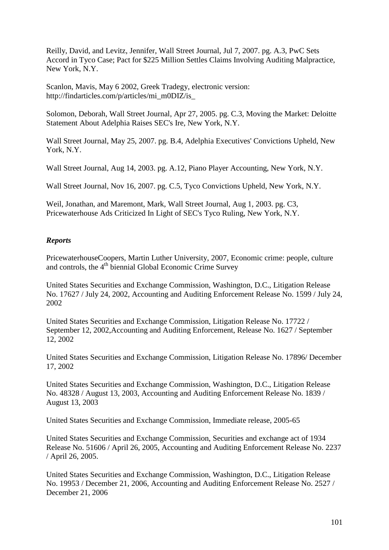[Reilly, David, and Levitz,](javascript:void(0);) Jennifer, Wall Street Journal, [Jul 7, 2007.](http://proquest.umi.com/pqdweb?RQT=572&VType=PQD&VName=PQD&VInst=PROD&pmid=7510&pcid=36300901&SrchMode=3) pg. A.3, PwC Sets Accord in Tyco Case; Pact for \$225 Million Settles Claims Involving Auditing Malpractice, New York, N.Y.

Scanlon, Mavis, May 6 2002, Greek Tradegy, electronic version: [http://findarticles.com/p/articles/mi\\_m0DIZ/is\\_](http://findarticles.com/p/articles/mi_m0DIZ/is_)

[Solomon,](javascript:void(0);) Deborah, [Wall Street Journal,](http://proquest.umi.com/pqdweb?RQT=318&pmid=7510&TS=1200920149&clientId=11603&VInst=PROD&VName=PQD&VType=PQD) [Apr 27, 2005.](http://proquest.umi.com/pqdweb?RQT=572&VType=PQD&VName=PQD&VInst=PROD&pmid=7510&pcid=15221081&SrchMode=3) pg. C.3, Moving the Market: Deloitte Statement About Adelphia Raises SEC's Ire, New York, N.Y.

Wall Street Journal, [May 25, 2007.](http://proquest.umi.com/pqdweb?RQT=572&VType=PQD&VName=PQD&VInst=PROD&pmid=7510&pcid=35914391&SrchMode=3) pg. B.4, Adelphia Executives' Convictions Upheld, New York, N.Y.

Wall Street Journal, [Aug 14, 2003.](http://proquest.umi.com/pqdweb?RQT=572&VType=PQD&VName=PQD&VInst=PROD&pmid=7510&pcid=5626811&SrchMode=3) pg. A.12, Piano Player Accounting, New York, N.Y.

Wall Street Journal, Nov 16, 2007. pg. C.5, Tyco Convictions Upheld, New York, N.Y.

[Weil, Jonathan, and Maremont,](javascript:void(0);) Mark, Wall Street Journal, [Aug 1, 2003.](http://proquest.umi.com/pqdweb?RQT=572&VType=PQD&VName=PQD&VInst=PROD&pmid=7510&pcid=5538011&SrchMode=3) pg. C3, Pricewaterhouse Ads Criticized In Light of SEC's Tyco Ruling, New York, N.Y.

## *Reports*

PricewaterhouseCoopers, Martin Luther University, 2007, Economic crime: people, culture and controls, the 4<sup>th</sup> biennial Global Economic Crime Survey

United States Securities and Exchange Commission, Washington, D.C., Litigation Release No. 17627 / July 24, 2002, Accounting and Auditing Enforcement Release No. 1599 / July 24, 2002

United States Securities and Exchange Commission, Litigation Release No. 17722 / September 12, 2002,Accounting and Auditing Enforcement, Release No. 1627 / September 12, 2002

United States Securities and Exchange Commission, Litigation Release No. 17896/ December 17, 2002

United States Securities and Exchange Commission, Washington, D.C., Litigation Release No. 48328 / August 13, 2003, Accounting and Auditing Enforcement Release No. 1839 / August 13, 2003

United States Securities and Exchange Commission, Immediate release, 2005-65

United States Securities and Exchange Commission, Securities and exchange act of 1934 Release No. 51606 / April 26, 2005, Accounting and Auditing Enforcement Release No. 2237 / April 26, 2005.

United States Securities and Exchange Commission, Washington, D.C., Litigation Release No. 19953 / December 21, 2006, Accounting and Auditing Enforcement Release No. 2527 / December 21, 2006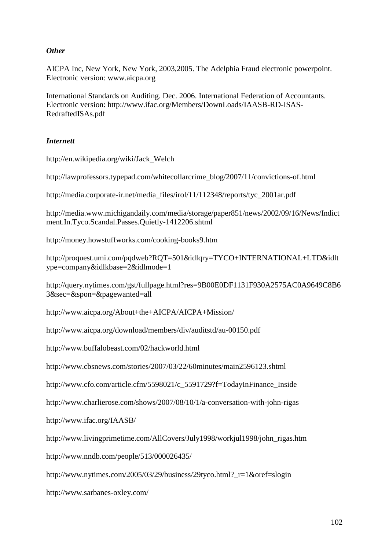### *Other*

AICPA Inc, New York, New York, 2003,2005. The Adelphia Fraud electronic powerpoint. Electronic version: www.aicpa.org

International Standards on Auditing. Dec. 2006. International Federation of Accountants. Electronic version: http://www.ifac.org/Members/DownLoads/IAASB-RD-ISAS-RedraftedISAs.pdf

## *Internett*

http://en.wikipedia.org/wiki/Jack\_Welch

http://lawprofessors.typepad.com/whitecollarcrime\_blog/2007/11/convictions-of.html

http://media.corporate-ir.net/media\_files/irol/11/112348/reports/tyc\_2001ar.pdf

http://media.www.michigandaily.com/media/storage/paper851/news/2002/09/16/News/Indict ment.In.Tyco.Scandal.Passes.Quietly-1412206.shtml

http://money.howstuffworks.com/cooking-books9.htm

http://proquest.umi.com/pqdweb?RQT=501&idlqry=TYCO+INTERNATIONAL+LTD&idlt ype=company&idlkbase=2&idlmode=1

http://query.nytimes.com/gst/fullpage.html?res=9B00E0DF1131F930A2575AC0A9649C8B6 3&sec=&spon=&pagewanted=all

http://www.aicpa.org/About+the+AICPA/AICPA+Mission/

<http://www.aicpa.org/download/members/div/auditstd/au-00150.pdf>

http://www.buffalobeast.com/02/hackworld.html

http://www.cbsnews.com/stories/2007/03/22/60minutes/main2596123.shtml

http://www.cfo.com/article.cfm/5598021/c\_5591729?f=TodayInFinance\_Inside

http://www.charlierose.com/shows/2007/08/10/1/a-conversation-with-john-rigas

<http://www.ifac.org/IAASB/>

http://www.livingprimetime.com/AllCovers/July1998/workjul1998/john\_rigas.htm

http://www.nndb.com/people/513/000026435/

http://www.nytimes.com/2005/03/29/business/29tyco.html?\_r=1&oref=slogin

http://www.sarbanes-oxley.com/